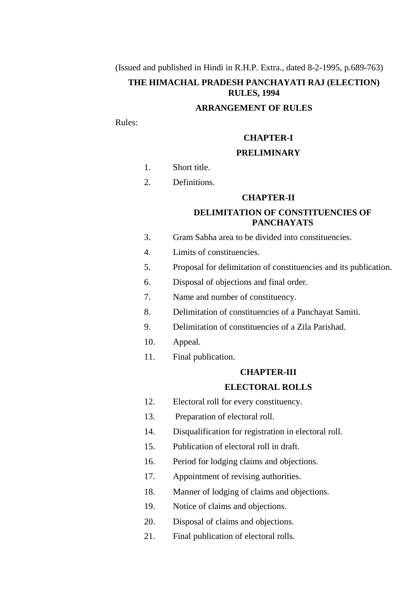(Issued and published in Hindi in R.H.P. Extra., dated 8-2-1995, p.689-763)

# **THE HIMACHAL PRADESH PANCHAYATI RAJ (ELECTION) RULES, 1994**

## **ARRANGEMENT OF RULES**

Rules:

## **CHAPTER-I**

# **PRELIMINARY**

- 1. [Short title.](#page-5-0)
- 2. [Definitions.](file:///C:\Documents%20and%20Settings\DEVI%20RAM\My%20Documents\New%20Folder%20(3)\ELECTION%20RULES%20(Eng.).doc%23Definitions)

## **CHAPTER-II**

# **DELIMITATION OF CONSTITUENCIES OF PANCHAYATS**

- 3. [Gram Sabha area to be divided into constituencies.](#page-6-0)
- 4. [Limits of constituencies.](#page-6-1)
- 5. [Proposal for delimitation of constituencies and its publication.](file:///C:\Documents%20and%20Settings\DEVI%20RAM\My%20Documents\New%20Folder%20(3)\ELECTION%20RULES%20(Eng.).doc%23Proposal)
- 6. [Disposal of objections and final order.](#page-7-0)
- 7. [Name and number of constituency.](file:///C:\Documents%20and%20Settings\DEVI%20RAM\My%20Documents\New%20Folder%20(3)\ELECTION%20RULES%20(Eng.).doc%23name)
- 8. [Delimitation of constituencies of a Panchayat Samiti.](file:///C:\Documents%20and%20Settings\DEVI%20RAM\My%20Documents\New%20Folder%20(3)\ELECTION%20RULES%20(Eng.).doc%23Delimitation3)
- 9. [Delimitation of constituencies of](file:///C:\Documents%20and%20Settings\DEVI%20RAM\My%20Documents\New%20Folder%20(3)\ELECTION%20RULES%20(Eng.).doc%23Delimitation) a Zila Parishad.
- 10. [Appeal.](file:///C:\Documents%20and%20Settings\DEVI%20RAM\My%20Documents\New%20Folder%20(3)\ELECTION%20RULES%20(Eng.).doc%23appeal)
- 11. [Final publication.](#page-8-0)

#### **CHAPTER-III**

# **ELECTORAL ROLLS**

- 12. [Electoral roll for every constituency.](file:///C:\Documents%20and%20Settings\DEVI%20RAM\My%20Documents\New%20Folder%20(3)\ELECTION%20RULES%20(Eng.).doc%23Electoral)
- 13. [Preparation of electoral roll.](file:///C:\Documents%20and%20Settings\DEVI%20RAM\My%20Documents\New%20Folder%20(3)\ELECTION%20RULES%20(Eng.).doc%23Preparation)
- 14. [Disqualification for registration in electoral roll.](file:///C:\Documents%20and%20Settings\DEVI%20RAM\My%20Documents\New%20Folder%20(3)\ELECTION%20RULES%20(Eng.).doc%23Disqualification)
- 15. [Publication of electoral roll in draft.](#page-10-0)
- 16. [Period for lodging claims and objections.](file:///C:\Documents%20and%20Settings\DEVI%20RAM\My%20Documents\New%20Folder%20(3)\ELECTION%20RULES%20(Eng.).doc%23Period)
- 1[7. Appointment of revising](file:///C:\Documents%20and%20Settings\DEVI%20RAM\My%20Documents\New%20Folder%20(3)\ELECTION%20RULES%20(Eng.).doc%23Appoint) authorities.
- 18. [Manner of lodging of claims and objections.](#page-10-1)
- 19. [Notice of claims and objections.](#page-11-0)
- 20. [Disposal of claims and objections.](file:///C:\Documents%20and%20Settings\DEVI%20RAM\My%20Documents\New%20Folder%20(3)\ELECTION%20RULES%20(Eng.).doc%23Disposal2)
- 21. [Final publication of electoral rolls.](#page-12-0)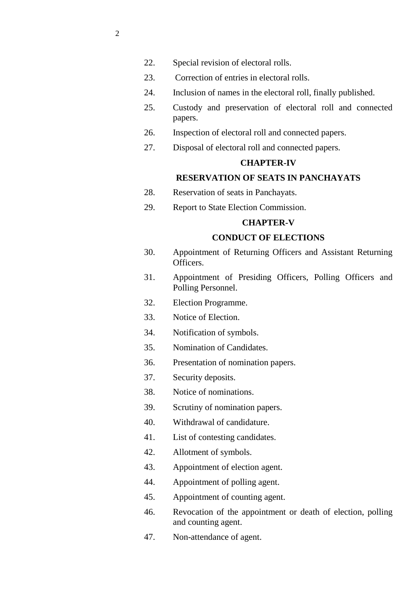- 22. [Special revision of electoral rolls.](#page-12-1)
- 23. [Correction of entries in electoral rolls.](#page-12-2)
- 24. [Inclusion of names in the electoral](file:///C:\Documents%20and%20Settings\DEVI%20RAM\My%20Documents\New%20Folder%20(3)\ELECTION%20RULES%20(Eng.).doc%23Inclusiion) roll, finally published.
- 25. [Custody and preservation of electoral roll and connected](#page-14-0)  [papers.](#page-14-0)
- 26. [Inspection of electoral roll and connected papers.](#page-14-1)
- 27. [Disposal of electoral roll and connected papers.](#page-14-2)

# **CHAPTER-IV**

# **RESERVATION OF SEATS IN PANCHAYATS**

- 28. [Reservation of seats in Panchayats.](#page-14-3)
- 29. [Report to State Election Commission.](file:///C:\Documents%20and%20Settings\DEVI%20RAM\My%20Documents\New%20Folder%20(3)\ELECTION%20RULES%20(Eng.).doc%23Report2)

# **CHAPTER-V**

# **CONDUCT OF ELECTIONS**

- 30. [Appointment of Returning Officers and Assistant Returning](#page-16-0)  [Officers.](#page-16-0)
- 31. [Appointment of Presiding Officers, Polling Officers and](#page-17-0)  Polling [Personnel.](#page-17-0)
- 32. [Election Programme.](#page-17-1)
- 33. [Notice of Election.](#page-18-0)
- 34. [Notification of symbols.](#page-18-1)
- 35. [Nomination of Candidates.](#page-18-2)
- 36. [Presentation of nomination papers.](#page-19-0)
- 37. [Security deposits.](#page-19-1)
- 38. [Notice of nominations.](#page-20-0)
- 39. [Scrutiny of nomination papers.](#page-20-1)
- 40. [Withdrawal of candidature.](#page-21-0)
- 41. [List of contesting candidates.](#page-21-1)
- 42. [Allotment of symbols.](#page-22-0)
- 43. [Appointment of election agent.](#page-22-1)
- 44. [Appointment of polling agent.](#page-22-2)
- 45. [Appointment of counting agent.](#page-22-3)
- 46. [Revocation of the appointment or death of election, polling](file:///C:\Documents%20and%20Settings\DEVI%20RAM\My%20Documents\New%20Folder%20(3)\ELECTION%20RULES%20(Eng.).doc%23Revocation)  [and counting agent.](file:///C:\Documents%20and%20Settings\DEVI%20RAM\My%20Documents\New%20Folder%20(3)\ELECTION%20RULES%20(Eng.).doc%23Revocation)
- 47. [Non-attendance of agent.](#page-23-0)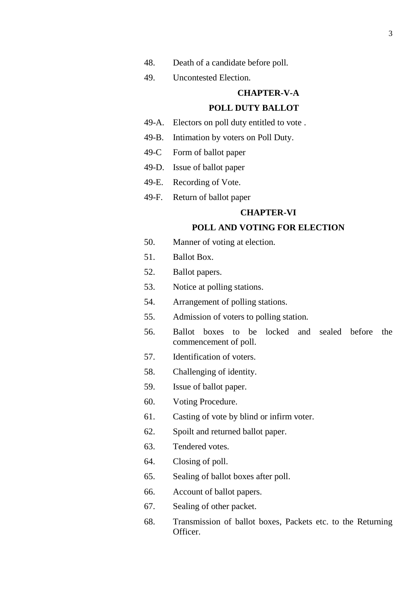- 48. [Death of a candidate before poll.](#page-23-1)
- 49. [Uncontested Election.](#page-23-2)

# **CHAPTER-V-A**

#### **POLL DUTY BALLOT**

- 49-A. Electors on poll duty entitled to vote .
- 49-B. [Intimation by voters on Poll Duty.](#page-24-0)
- 49-C [Form of ballot paper](#page-24-1)
- 49-D. [Issue of ballot paper](#page-24-2)
- 49-E. [Recording](#page-25-0) of Vote.
- 49-F. Return [of ballot paper](#page-25-1)

# **CHAPTER-VI**

## **POLL AND VOTING FOR ELECTION**

- 50. [Manner of voting](file:///C:\Documents%20and%20Settings\DEVI%20RAM\My%20Documents\New%20Folder%20(3)\ELECTION%20RULES%20(Eng.).doc%23Manner) at election.
- 51. [Ballot Box.](file:///C:\Documents%20and%20Settings\DEVI%20RAM\My%20Documents\New%20Folder%20(3)\ELECTION%20RULES%20(Eng.).doc%23Ballot2)
- 52. [Ballot papers.](file:///C:\Documents%20and%20Settings\DEVI%20RAM\My%20Documents\New%20Folder%20(3)\ELECTION%20RULES%20(Eng.).doc%23Ballot3)
- 53. [Notice at polling stations.](file:///C:\Documents%20and%20Settings\DEVI%20RAM\My%20Documents\New%20Folder%20(3)\ELECTION%20RULES%20(Eng.).doc%23Notice)
- 54. [Arrangement of polling stations.](file:///C:\Documents%20and%20Settings\DEVI%20RAM\My%20Documents\New%20Folder%20(3)\ELECTION%20RULES%20(Eng.).doc%23Arrangement)
- 55. [Admission of voters to polling station.](file:///C:\Documents%20and%20Settings\DEVI%20RAM\My%20Documents\New%20Folder%20(3)\ELECTION%20RULES%20(Eng.).doc%23Admission2)
- 56. [Ballot boxes to be locked and sealed before the](file:///C:\Documents%20and%20Settings\DEVI%20RAM\My%20Documents\New%20Folder%20(3)\ELECTION%20RULES%20(Eng.).doc%23Ballot)  [commencement of poll.](file:///C:\Documents%20and%20Settings\DEVI%20RAM\My%20Documents\New%20Folder%20(3)\ELECTION%20RULES%20(Eng.).doc%23Ballot)
- 57. [Identification of voters.](file:///C:\Documents%20and%20Settings\DEVI%20RAM\My%20Documents\New%20Folder%20(3)\ELECTION%20RULES%20(Eng.).doc%23Identification)
- 58. [Challenging of identity.](#page-27-0)
- 5[9. Issue of ballot paper.](file:///C:\Documents%20and%20Settings\DEVI%20RAM\My%20Documents\New%20Folder%20(3)\ELECTION%20RULES%20(Eng.).doc%23Issue)
- 60. [Voting Procedure.](#page-28-0)
- 61. [Casting of vote by blind or infirm voter.](#page-29-0)
- 62. [Spoilt and returned ballot paper.](#page-29-1)
- 63. [Tendered votes.](#page-30-0)
- 64. [Closing of poll.](#page-30-1)
- 65. [Sealing of ballot boxes after poll.](#page-30-2)
- 66. [Account of ballot papers.](#page-30-3)
- 67. [Sealing of other packet.](#page-31-0)
- 68. [Transmission of ballot boxes, Packets etc. to the Returning](#page-31-1)  [Officer.](#page-31-1)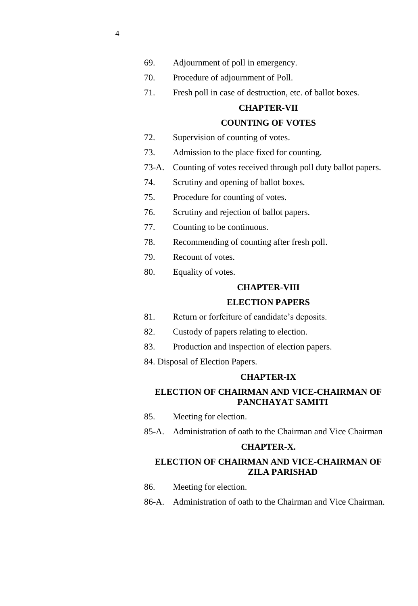- 69. [Adjournment of poll in emergency.](#page-31-2)
- 70. [Procedure of adjournment of Poll.](#page-32-0)
- 71. [Fresh poll in case of destruction, etc. of ballot boxes.](#page-32-1)

## **CHAPTER-VII**

# **COUNTING OF VOTES**

- 72. [Supervision of counting of votes.](#page-33-0)
- 73. [Admission to the place fixed for counting.](#page-33-1)
- 73-A. [Counting of votes received through poll duty ballot papers.](#page-33-2)
- 74. [Scrutiny and opening of ballot boxes.](#page-35-0)
- 75. [Procedure for counting of votes.](#page-35-1)
- 76. [Scrutiny and rejection of ballot papers.](#page-37-0)
- 77. [Counting to be continuous.](#page-38-0)
- 78. [Recommending of counting after fresh poll.](#page-38-1)
- 79. [Recount of votes.](#page-38-2)
- 80. [Equality of votes.](#page-39-0)

#### **CHAPTER-VIII**

## **ELECTION PAPERS**

- 81. [Return or forfeiture of candidate's deposits.](#page-39-1)
- 82. [Custody of papers relating to election.](#page-39-2)
- 83. [Production and inspection of election papers.](#page-40-0)
- 84. [Disposal of Election Papers.](#page-40-1)

# **CHAPTER-IX**

# **ELECTION OF CHAIRMAN AND VICE-CHAIRMAN OF PANCHAYAT SAMITI**

- 85. [Meeting for election.](#page-40-2)
- 85-A. [Administration of oath to the Chairman and Vice Chairman](#page-45-0)

# **CHAPTER-X.**

# **ELECTION OF CHAIRMAN AND VICE-CHAIRMAN OF ZILA PARISHAD**

- 86. [Meeting for election.](#page-45-1)
- 86-A. [Administration of oath to the Chairman and Vice Chairman.](#page-49-0)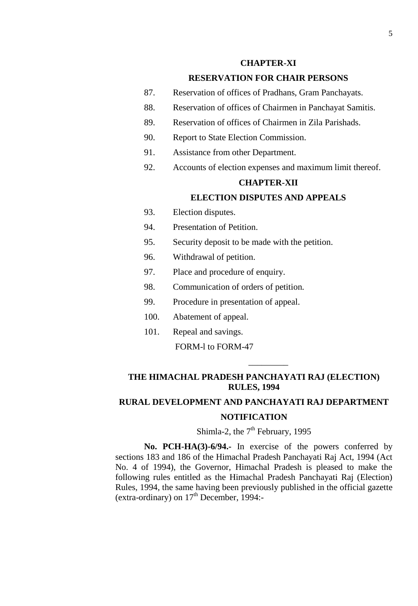## **CHAPTER-XI**

# **RESERVATION FOR CHAIR PERSONS**

- 87. [Reservation of offices of Pradhans, Gram Panchayats.](#page-49-1)
- 88. [Reservation of offices of Chairmen in Panchayat Samitis.](#page-51-0)
- 89. [Reservation of offices of Chairmen in Zila Parishads.](#page-53-0)
- 90. [Report to State Election Commission.](#page-55-0)
- 91. [Assistance from other Department.](#page-55-1)
- 92. [Accounts of election expenses and maximum limit thereof.](#page-55-2)

#### **CHAPTER-XII**

# **ELECTION DISPUTES AND APPEALS**

- 93. [Election disputes.](#page-56-0)
- 94. [Presentation of Petition.](#page-56-1)
- 95. [Security deposit to be made with the petition.](#page-56-2)
- 96. [Withdrawal of petition.](#page-56-3)
- 97. [Place and procedure of enquiry.](#page-57-0)
- 98. [Communication of orders of petition.](#page-57-1)
- 99. [Procedure in presentation of appeal.](#page-57-2)
- 100. Abatement of appeal.
- 101. Repeal and savings.

## [FORM-l to FORM-47](#page-25-1)

# **THE HIMACHAL PRADESH PANCHAYATI RAJ (ELECTION) RULES, 1994**

\_\_\_\_\_\_\_\_\_

# **RURAL DEVELOPMENT AND PANCHAYATI RAJ DEPARTMENT NOTIFICATION**

# Shimla-2, the  $7<sup>th</sup>$  February, 1995

**No. PCH-HA(3)-6/94.-** In exercise of the powers conferred by sections 183 and 186 of the Himachal Pradesh Panchayati Raj Act, 1994 (Act No. 4 of 1994), the Governor, Himachal Pradesh is pleased to make the following rules entitled as the Himachal Pradesh Panchayati Raj (Election) Rules, 1994, the same having been previously published in the official gazette (extra-ordinary) on  $17<sup>th</sup>$  December, 1994:-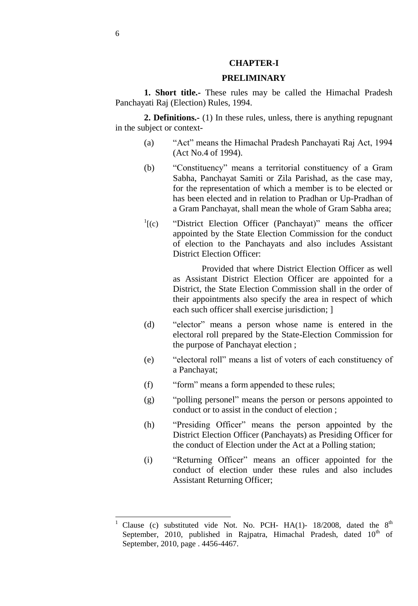#### **CHAPTER-I**

#### **PRELIMINARY**

<span id="page-5-0"></span>**1. Short title.-** These rules may be called the Himachal Pradesh Panchayati Raj (Election) Rules, 1994.

**2. Definitions.-** (1) In these rules, unless, there is anything repugnant in the subject or context-

- (a) **Act**" means the Himachal Pradesh Panchayati Raj Act, 1994 (Act No.4 of 1994).
- (b) 
"Constituency" means a territorial constituency of a Gram Sabha, Panchayat Samiti or Zila Parishad, as the case may, for the representation of which a member is to be elected or has been elected and in relation to Pradhan or Up-Pradhan of a Gram Panchayat, shall mean the whole of Gram Sabha area;
- $\frac{1}{2}$ [(c) "District Election Officer (Panchayat)" means the officer appointed by the State Election Commission for the conduct of election to the Panchayats and also includes Assistant District Election Officer:

Provided that where District Election Officer as well as Assistant District Election Officer are appointed for a District, the State Election Commission shall in the order of their appointments also specify the area in respect of which each such officer shall exercise jurisdiction; ]

- (d) "elector" means a person whose name is entered in the electoral roll prepared by the State-Election Commission for the purpose of Panchayat election ;
- (e) "electoral roll" means a list of voters of each constituency of a Panchayat;
- (f) "form" means a form appended to these rules;
- (g) "polling personel" means the person or persons appointed to conduct or to assist in the conduct of election ;
- (h) **"Presiding Officer"** means the person appointed by the District Election Officer (Panchayats) as Presiding Officer for the conduct of Election under the Act at a Polling station;
- (i) 
"Returning Officer" means an officer appointed for the conduct of election under these rules and also includes Assistant Returning Officer;

l

Clause (c) substituted vide Not. No. PCH- HA(1)- 18/2008, dated the  $8<sup>th</sup>$ September, 2010, published in Rajpatra, Himachal Pradesh, dated  $10<sup>th</sup>$  of September, 2010, page . 4456-4467.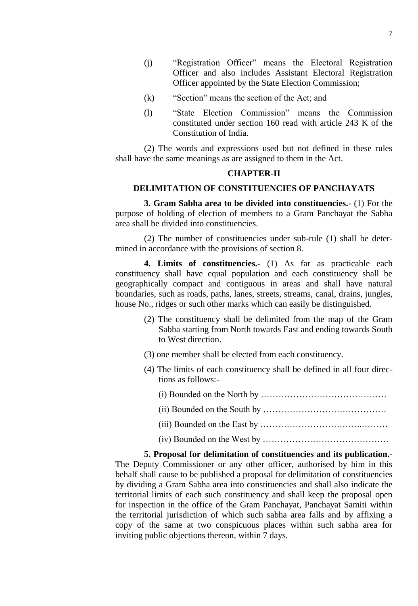- (i) 
"Registration Officer" means the Electoral Registration Officer and also includes Assistant Electoral Registration Officer appointed by the State Election Commission;
- $(k)$  "Section" means the section of the Act; and
- (1) 
"State Election Commission" means the Commission constituted under section 160 read with article 243 K of the Constitution of India.

(2) The words and expressions used but not defined in these rules shall have the same meanings as are assigned to them in the Act.

#### **CHAPTER-II**

#### <span id="page-6-0"></span>**DELIMITATION OF CONSTITUENCIES OF PANCHAYATS**

**3. Gram Sabha area to be divided into constituencies.-** (1) For the purpose of holding of election of members to a Gram Panchayat the Sabha area shall be divided into constituencies.

(2) The number of constituencies under sub-rule (1) shall be determined in accordance with the provisions of section 8.

<span id="page-6-1"></span>**4. Limits of constituencies.-** (1) As far as practicable each constituency shall have equal population and each constituency shall be geographically compact and contiguous in areas and shall have natural boundaries, such as roads, paths, lanes, streets, streams, canal, drains, jungles, house No., ridges or such other marks which can easily be distinguished.

- (2) The constituency shall be delimited from the map of the Gram Sabha starting from North towards East and ending towards South to West direction.
- (3) one member shall be elected from each constituency.
- (4) The limits of each constituency shall be defined in all four directions as follows:-
	- (i) Bounded on the North by …………………………………….
	- (ii) Bounded on the South by ……………………………………
	- (iii) Bounded on the East by ……………………………..………
	- (iv) Bounded on the West by …………………………………….

**5. Proposal for delimitation of constituencies and its publication.-** The Deputy Commissioner or any other officer, authorised by him in this behalf shall cause to be published a proposal for delimitation of constituencies by dividing a Gram Sabha area into constituencies and shall also indicate the territorial limits of each such constituency and shall keep the proposal open for inspection in the office of the Gram Panchayat, Panchayat Samiti within the territorial jurisdiction of which such sabha area falls and by affixing a copy of the same at two conspicuous places within such sabha area for inviting public objections thereon, within 7 days.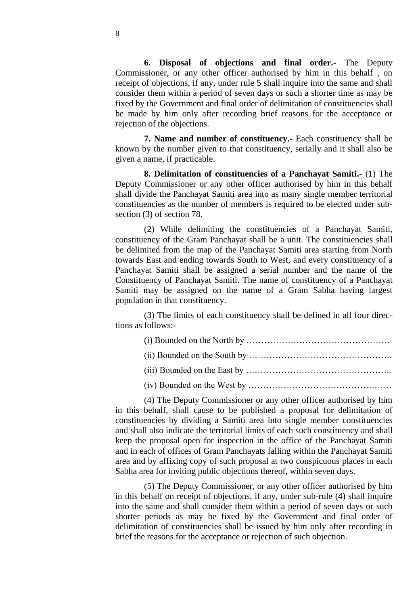<span id="page-7-0"></span>**6. Disposal of objections and final order.-** The Deputy Commissioner, or any other officer authorised by him in this behalf , on receipt of objections, if any, under rule 5 shall inquire into the same and shall consider them within a period of seven days or such a shorter time as may be fixed by the Government and final order of delimitation of constituencies shall be made by him only after recording brief reasons for the acceptance or rejection of the objections.

**7. Name and number of constituency.-** Each constituency shall be known by the number given to that constituency, serially and it shall also be given a name, if practicable.

**8. Delimitation of constituencies of a Panchayat Samiti.-** (1) The Deputy Commissioner or any other officer authorised by him in this behalf shall divide the Panchayat Samiti area into as many single member territorial constituencies as the number of members is required to be elected under subsection (3) of section 78.

(2) While delimiting the constituencies of a Panchayat Samiti, constituency of the Gram Panchayat shall be a unit. The constituencies shall be delimited from the map of the Panchayat Samiti area starting from North towards East and ending towards South to West, and every constituency of a Panchayat Samiti shall be assigned a serial number and the name of the Constituency of Panchayat Samiti. The name of constituency of a Panchayat Samiti may be assigned on the name of a Gram Sabha having largest population in that constituency.

(3) The limits of each constituency shall be defined in all four directions as follows:-

- (i) Bounded on the North by ………………………………………….
- (ii) Bounded on the South by ………………………………………….
- (iii) Bounded on the East by …………………………………………..
- (iv) Bounded on the West by ………………………………………….

(4) The Deputy Commissioner or any other officer authorised by him in this behalf, shall cause to be published a proposal for delimitation of constituencies by dividing a Samiti area into single member constituencies and shall also indicate the territorial limits of each such constituency and shall keep the proposal open for inspection in the office of the Panchayat Samiti and in each of offices of Gram Panchayats falling within the Panchayat Samiti area and by affixing copy of such proposal at two conspicuous places in each Sabha area for inviting public objections thereof, within seven days.

(5) The Deputy Commissioner, or any other officer authorised by him in this behalf on receipt of objections, if any, under sub-rule (4) shall inquire into the same and shall consider them within a period of seven days or such shorter periods as may be fixed by the Government and final order of delimitation of constituencies shall be issued by him only after recording in brief the reasons for the acceptance or rejection of such objection.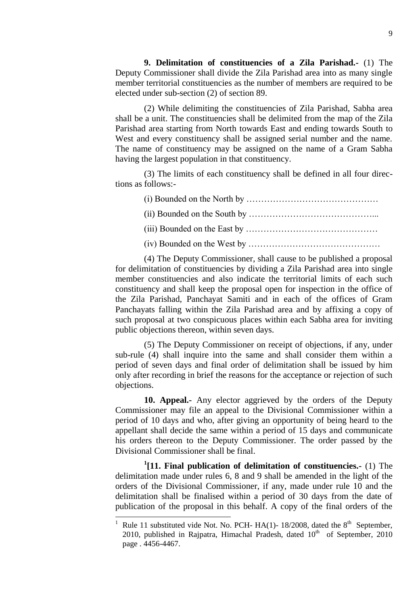**9. Delimitation of constituencies of a Zila Parishad.-** (1) The Deputy Commissioner shall divide the Zila Parishad area into as many single member territorial constituencies as the number of members are required to be elected under sub-section (2) of section 89.

(2) While delimiting the constituencies of Zila Parishad, Sabha area shall be a unit. The constituencies shall be delimited from the map of the Zila Parishad area starting from North towards East and ending towards South to West and every constituency shall be assigned serial number and the name. The name of constituency may be assigned on the name of a Gram Sabha having the largest population in that constituency.

(3) The limits of each constituency shall be defined in all four directions as follows:-

(i) Bounded on the North by ………………………………………

- (ii) Bounded on the South by ……………………………………...
- (iii) Bounded on the East by ………………………………………
- (iv) Bounded on the West by ………………………………………

(4) The Deputy Commissioner, shall cause to be published a proposal for delimitation of constituencies by dividing a Zila Parishad area into single member constituencies and also indicate the territorial limits of each such constituency and shall keep the proposal open for inspection in the office of the Zila Parishad, Panchayat Samiti and in each of the offices of Gram Panchayats falling within the Zila Parishad area and by affixing a copy of such proposal at two conspicuous places within each Sabha area for inviting public objections thereon, within seven days.

(5) The Deputy Commissioner on receipt of objections, if any, under sub-rule (4) shall inquire into the same and shall consider them within a period of seven days and final order of delimitation shall be issued by him only after recording in brief the reasons for the acceptance or rejection of such objections.

**10. Appeal.-** Any elector aggrieved by the orders of the Deputy Commissioner may file an appeal to the Divisional Commissioner within a period of 10 days and who, after giving an opportunity of being heard to the appellant shall decide the same within a period of 15 days and communicate his orders thereon to the Deputy Commissioner. The order passed by the Divisional Commissioner shall be final.

<span id="page-8-0"></span>**1 [11. Final publication of delimitation of constituencies.-** (1) The delimitation made under rules 6, 8 and 9 shall be amended in the light of the orders of the Divisional Commissioner, if any, made under rule 10 and the delimitation shall be finalised within a period of 30 days from the date of publication of the proposal in this behalf. A copy of the final orders of the

l

<sup>&</sup>lt;sup>1</sup> Rule 11 substituted vide Not. No. PCH- HA(1)-18/2008, dated the  $8<sup>th</sup>$  September, 2010, published in Rajpatra, Himachal Pradesh, dated  $10<sup>th</sup>$  of September, 2010 page . 4456-4467.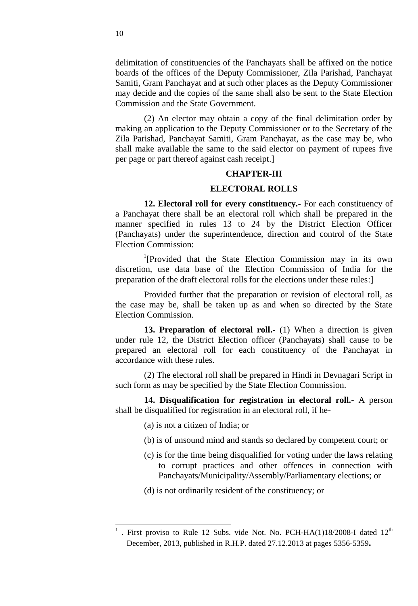delimitation of constituencies of the Panchayats shall be affixed on the notice boards of the offices of the Deputy Commissioner, Zila Parishad, Panchayat Samiti, Gram Panchayat and at such other places as the Deputy Commissioner may decide and the copies of the same shall also be sent to the State Election Commission and the State Government.

(2) An elector may obtain a copy of the final delimitation order by making an application to the Deputy Commissioner or to the Secretary of the Zila Parishad, Panchayat Samiti, Gram Panchayat, as the case may be, who shall make available the same to the said elector on payment of rupees five per page or part thereof against cash receipt.]

#### **CHAPTER-III**

## **ELECTORAL ROLLS**

**12. Electoral roll for every constituency.-** For each constituency of a Panchayat there shall be an electoral roll which shall be prepared in the manner specified in rules 13 to 24 by the District Election Officer (Panchayats) under the superintendence, direction and control of the State Election Commission:

<sup>1</sup>[Provided that the State Election Commission may in its own discretion, use data base of the Election Commission of India for the preparation of the draft electoral rolls for the elections under these rules:]

Provided further that the preparation or revision of electoral roll, as the case may be, shall be taken up as and when so directed by the State Election Commission.

**13. Preparation of electoral roll.-** (1) When a direction is given under rule 12, the District Election officer (Panchayats) shall cause to be prepared an electoral roll for each constituency of the Panchayat in accordance with these rules.

(2) The electoral roll shall be prepared in Hindi in Devnagari Script in such form as may be specified by the State Election Commission.

**14. Disqualification for registration in electoral roll.-** A person shall be disqualified for registration in an electoral roll, if he-

- (a) is not a citizen of India; or
- (b) is of unsound mind and stands so declared by competent court; or
- (c) is for the time being disqualified for voting under the laws relating to corrupt practices and other offences in connection with Panchayats/Municipality/Assembly/Parliamentary elections; or
- (d) is not ordinarily resident of the constituency; or

<sup>&</sup>lt;sup>1</sup>. First proviso to Rule 12 Subs. vide Not. No. PCH-HA(1)18/2008-I dated 12<sup>th</sup> December, 2013, published in R.H.P. dated 27.12.2013 at pages 5356-5359**.**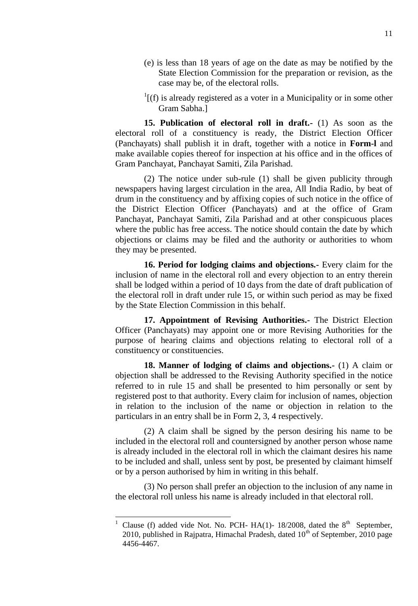- (e) is less than 18 years of age on the date as may be notified by the State Election Commission for the preparation or revision, as the case may be, of the electoral rolls.
- <span id="page-10-0"></span> $\frac{1}{1}$ [(f) is already registered as a voter in a Municipality or in some other Gram Sabha.]

**15. Publication of electoral roll in draft.-** (1) As soon as the electoral roll of a constituency is ready, the District Election Officer (Panchayats) shall publish it in draft, together with a notice in **Form-l** and make available copies thereof for inspection at his office and in the offices of Gram Panchayat, Panchayat Samiti, Zila Parishad.

(2) The notice under sub-rule (1) shall be given publicity through newspapers having largest circulation in the area, All India Radio, by beat of drum in the constituency and by affixing copies of such notice in the office of the District Election Officer (Panchayats) and at the office of Gram Panchayat, Panchayat Samiti, Zila Parishad and at other conspicuous places where the public has free access. The notice should contain the date by which objections or claims may be filed and the authority or authorities to whom they may be presented.

**16. Period for lodging claims and objections.-** Every claim for the inclusion of name in the electoral roll and every objection to an entry therein shall be lodged within a period of 10 days from the date of draft publication of the electoral roll in draft under rule 15, or within such period as may be fixed by the State Election Commission in this behalf.

**17. Appointment of Revising Authorities.-** The District Election Officer (Panchayats) may appoint one or more Revising Authorities for the purpose of hearing claims and objections relating to electoral roll of a constituency or constituencies.

<span id="page-10-1"></span>**18. Manner of lodging of claims and objections.-** (1) A claim or objection shall be addressed to the Revising Authority specified in the notice referred to in rule 15 and shall be presented to him personally or sent by registered post to that authority. Every claim for inclusion of names, objection in relation to the inclusion of the name or objection in relation to the particulars in an entry shall be in Form 2, 3, 4 respectively.

(2) A claim shall be signed by the person desiring his name to be included in the electoral roll and countersigned by another person whose name is already included in the electoral roll in which the claimant desires his name to be included and shall, unless sent by post, be presented by claimant himself or by a person authorised by him in writing in this behalf.

(3) No person shall prefer an objection to the inclusion of any name in the electoral roll unless his name is already included in that electoral roll.

l

<sup>&</sup>lt;sup>1</sup> Clause (f) added vide Not. No. PCH- HA(1)- 18/2008, dated the  $8<sup>th</sup>$  September, 2010, published in Rajpatra, Himachal Pradesh, dated  $10<sup>th</sup>$  of September, 2010 page 4456-4467.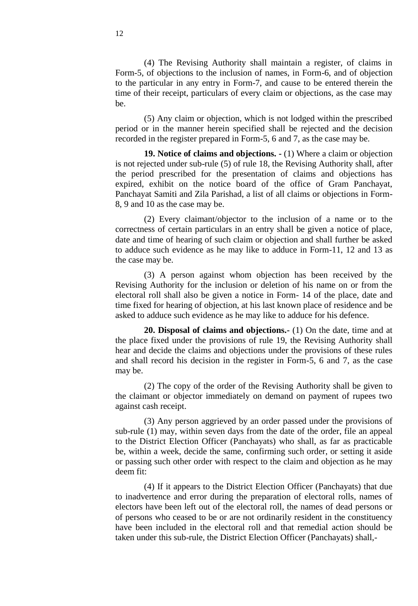(4) The Revising Authority shall maintain a register, of claims in Form-5, of objections to the inclusion of names, in Form-6, and of objection to the particular in any entry in Form-7, and cause to be entered therein the time of their receipt, particulars of every claim or objections, as the case may be.

(5) Any claim or objection, which is not lodged within the prescribed period or in the manner herein specified shall be rejected and the decision recorded in the register prepared in Form-5, 6 and 7, as the case may be.

<span id="page-11-0"></span>**19. Notice of claims and objections. -** (1) Where a claim or objection is not rejected under sub-rule (5) of rule 18, the Revising Authority shall, after the period prescribed for the presentation of claims and objections has expired, exhibit on the notice board of the office of Gram Panchayat, Panchayat Samiti and Zila Parishad, a list of all claims or objections in Form-8, 9 and 10 as the case may be.

(2) Every claimant/objector to the inclusion of a name or to the correctness of certain particulars in an entry shall be given a notice of place, date and time of hearing of such claim or objection and shall further be asked to adduce such evidence as he may like to adduce in Form-11, 12 and 13 as the case may be.

(3) A person against whom objection has been received by the Revising Authority for the inclusion or deletion of his name on or from the electoral roll shall also be given a notice in Form- 14 of the place, date and time fixed for hearing of objection, at his last known place of residence and be asked to adduce such evidence as he may like to adduce for his defence.

**20. Disposal of claims and objections.-** (1) On the date, time and at the place fixed under the provisions of rule 19, the Revising Authority shall hear and decide the claims and objections under the provisions of these rules and shall record his decision in the register in Form-5, 6 and 7, as the case may be.

(2) The copy of the order of the Revising Authority shall be given to the claimant or objector immediately on demand on payment of rupees two against cash receipt.

(3) Any person aggrieved by an order passed under the provisions of sub-rule (1) may, within seven days from the date of the order, file an appeal to the District Election Officer (Panchayats) who shall, as far as practicable be, within a week, decide the same, confirming such order, or setting it aside or passing such other order with respect to the claim and objection as he may deem fit:

(4) If it appears to the District Election Officer (Panchayats) that due to inadvertence and error during the preparation of electoral rolls, names of electors have been left out of the electoral roll, the names of dead persons or of persons who ceased to be or are not ordinarily resident in the constituency have been included in the electoral roll and that remedial action should be taken under this sub-rule, the District Election Officer (Panchayats) shall,-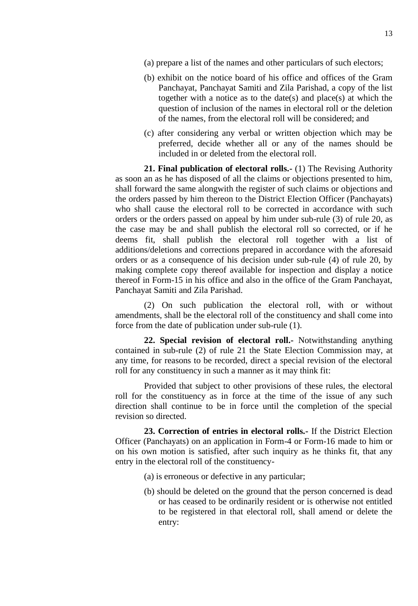- (a) prepare a list of the names and other particulars of such electors;
- (b) exhibit on the notice board of his office and offices of the Gram Panchayat, Panchayat Samiti and Zila Parishad, a copy of the list together with a notice as to the date(s) and place(s) at which the question of inclusion of the names in electoral roll or the deletion of the names, from the electoral roll will be considered; and
- <span id="page-12-0"></span>(c) after considering any verbal or written objection which may be preferred, decide whether all or any of the names should be included in or deleted from the electoral roll.

**21. Final publication of electoral rolls.-** (1) The Revising Authority as soon an as he has disposed of all the claims or objections presented to him, shall forward the same alongwith the register of such claims or objections and the orders passed by him thereon to the District Election Officer (Panchayats) who shall cause the electoral roll to be corrected in accordance with such orders or the orders passed on appeal by him under sub-rule (3) of rule 20, as the case may be and shall publish the electoral roll so corrected, or if he deems fit, shall publish the electoral roll together with a list of additions/deletions and corrections prepared in accordance with the aforesaid orders or as a consequence of his decision under sub-rule (4) of rule 20, by making complete copy thereof available for inspection and display a notice thereof in Form-15 in his office and also in the office of the Gram Panchayat, Panchayat Samiti and Zila Parishad.

(2) On such publication the electoral roll, with or without amendments, shall be the electoral roll of the constituency and shall come into force from the date of publication under sub-rule (1).

<span id="page-12-1"></span>**22. Special revision of electoral roll.-** Notwithstanding anything contained in sub-rule (2) of rule 21 the State Election Commission may, at any time, for reasons to be recorded, direct a special revision of the electoral roll for any constituency in such a manner as it may think fit:

Provided that subject to other provisions of these rules, the electoral roll for the constituency as in force at the time of the issue of any such direction shall continue to be in force until the completion of the special revision so directed.

<span id="page-12-2"></span>**23. Correction of entries in electoral rolls.-** If the District Election Officer (Panchayats) on an application in Form-4 or Form-16 made to him or on his own motion is satisfied, after such inquiry as he thinks fit, that any entry in the electoral roll of the constituency-

- (a) is erroneous or defective in any particular;
- (b) should be deleted on the ground that the person concerned is dead or has ceased to be ordinarily resident or is otherwise not entitled to be registered in that electoral roll, shall amend or delete the entry: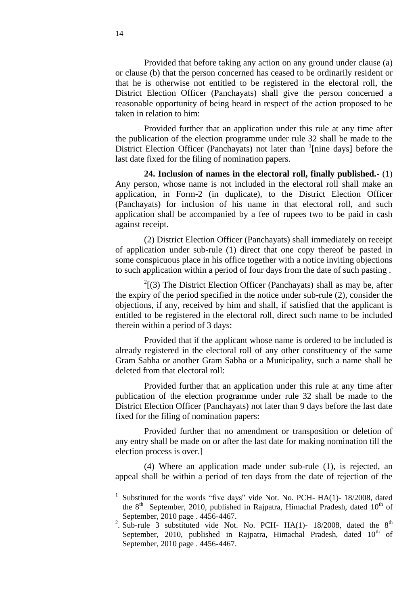Provided that before taking any action on any ground under clause (a) or clause (b) that the person concerned has ceased to be ordinarily resident or that he is otherwise not entitled to be registered in the electoral roll, the District Election Officer (Panchayats) shall give the person concerned a reasonable opportunity of being heard in respect of the action proposed to be taken in relation to him:

Provided further that an application under this rule at any time after the publication of the election programme under rule 32 shall be made to the District Election Officer (Panchayats) not later than <sup>1</sup>[nine days] before the last date fixed for the filing of nomination papers.

**24. Inclusion of names in the electoral roll, finally published.-** (1) Any person, whose name is not included in the electoral roll shall make an application, in Form-2 (in duplicate), to the District Election Officer (Panchayats) for inclusion of his name in that electoral roll, and such application shall be accompanied by a fee of rupees two to be paid in cash against receipt.

(2) District Election Officer (Panchayats) shall immediately on receipt of application under sub-rule (1) direct that one copy thereof be pasted in some conspicuous place in his office together with a notice inviting objections to such application within a period of four days from the date of such pasting .

 $2^{2}$ [(3) The District Election Officer (Panchayats) shall as may be, after the expiry of the period specified in the notice under sub-rule (2), consider the objections, if any, received by him and shall, if satisfied that the applicant is entitled to be registered in the electoral roll, direct such name to be included therein within a period of 3 days:

Provided that if the applicant whose name is ordered to be included is already registered in the electoral roll of any other constituency of the same Gram Sabha or another Gram Sabha or a Municipality, such a name shall be deleted from that electoral roll:

Provided further that an application under this rule at any time after publication of the election programme under rule 32 shall be made to the District Election Officer (Panchayats) not later than 9 days before the last date fixed for the filing of nomination papers:

Provided further that no amendment or transposition or deletion of any entry shall be made on or after the last date for making nomination till the election process is over.]

(4) Where an application made under sub-rule (1), is rejected, an appeal shall be within a period of ten days from the date of rejection of the

<sup>1</sup> Substituted for the words "five days" vide Not. No. PCH- HA(1)- 18/2008, dated the  $8<sup>th</sup>$  September, 2010, published in Rajpatra, Himachal Pradesh, dated  $10<sup>th</sup>$  of September, 2010 page . 4456-4467.

<sup>&</sup>lt;sup>2</sup>. Sub-rule 3 substituted vide Not. No. PCH- HA(1)- 18/2008, dated the  $8^{th}$ September, 2010, published in Rajpatra, Himachal Pradesh, dated  $10<sup>th</sup>$  of September, 2010 page . 4456-4467.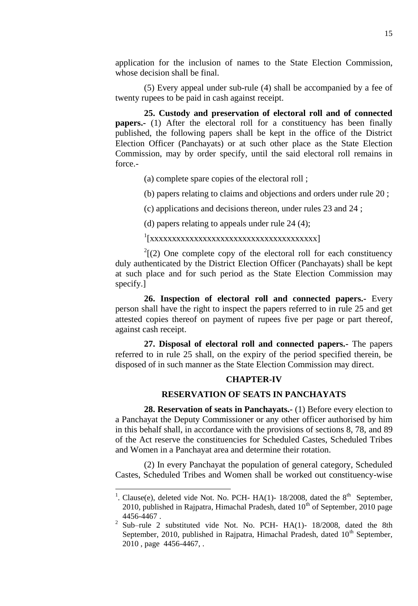application for the inclusion of names to the State Election Commission, whose decision shall be final.

(5) Every appeal under sub-rule (4) shall be accompanied by a fee of twenty rupees to be paid in cash against receipt.

<span id="page-14-0"></span>**25. Custody and preservation of electoral roll and of connected papers.**- (1) After the electoral roll for a constituency has been finally published, the following papers shall be kept in the office of the District Election Officer (Panchayats) or at such other place as the State Election Commission, may by order specify, until the said electoral roll remains in force.-

(a) complete spare copies of the electoral roll ;

(b) papers relating to claims and objections and orders under rule 20 ;

(c) applications and decisions thereon, under rules 23 and 24 ;

(d) papers relating to appeals under rule 24 (4);

1 [xxxxxxxxxxxxxxxxxxxxxxxxxxxxxxxxxxxxxx]

 $2^{2}$ [(2) One complete copy of the electoral roll for each constituency duly authenticated by the District Election Officer (Panchayats) shall be kept at such place and for such period as the State Election Commission may specify.]

<span id="page-14-1"></span>**26. Inspection of electoral roll and connected papers.-** Every person shall have the right to inspect the papers referred to in rule 25 and get attested copies thereof on payment of rupees five per page or part thereof, against cash receipt.

<span id="page-14-2"></span>**27. Disposal of electoral roll and connected papers.-** The papers referred to in rule 25 shall, on the expiry of the period specified therein, be disposed of in such manner as the State Election Commission may direct.

# **CHAPTER-IV**

## <span id="page-14-3"></span>**RESERVATION OF SEATS IN PANCHAYATS**

**28. Reservation of seats in Panchayats.-** (1) Before every election to a Panchayat the Deputy Commissioner or any other officer authorised by him in this behalf shall, in accordance with the provisions of sections 8, 78, and 89 of the Act reserve the constituencies for Scheduled Castes, Scheduled Tribes and Women in a Panchayat area and determine their rotation.

(2) In every Panchayat the population of general category, Scheduled Castes, Scheduled Tribes and Women shall be worked out constituency-wise

<sup>&</sup>lt;sup>1</sup>. Clause(e), deleted vide Not. No. PCH- HA(1)- 18/2008, dated the  $8<sup>th</sup>$  September, 2010, published in Rajpatra, Himachal Pradesh, dated  $10<sup>th</sup>$  of September, 2010 page 4456-4467 .

<sup>&</sup>lt;sup>2</sup> Sub–rule 2 substituted vide Not. No. PCH- HA(1)- 18/2008, dated the 8th September, 2010, published in Rajpatra, Himachal Pradesh, dated  $10<sup>th</sup>$  September, 2010 , page 4456-4467, .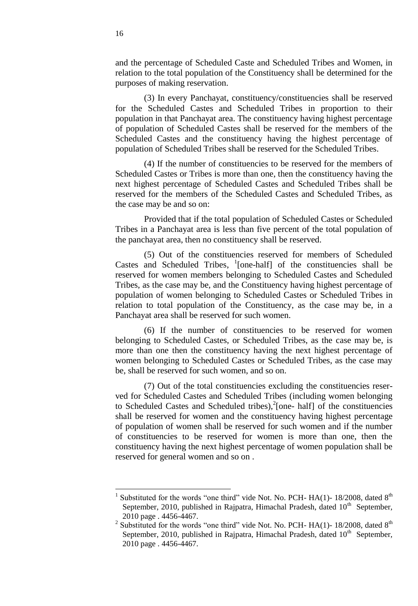and the percentage of Scheduled Caste and Scheduled Tribes and Women, in relation to the total population of the Constituency shall be determined for the purposes of making reservation.

(3) In every Panchayat, constituency/constituencies shall be reserved for the Scheduled Castes and Scheduled Tribes in proportion to their population in that Panchayat area. The constituency having highest percentage of population of Scheduled Castes shall be reserved for the members of the Scheduled Castes and the constituency having the highest percentage of population of Scheduled Tribes shall be reserved for the Scheduled Tribes.

(4) If the number of constituencies to be reserved for the members of Scheduled Castes or Tribes is more than one, then the constituency having the next highest percentage of Scheduled Castes and Scheduled Tribes shall be reserved for the members of the Scheduled Castes and Scheduled Tribes, as the case may be and so on:

Provided that if the total population of Scheduled Castes or Scheduled Tribes in a Panchayat area is less than five percent of the total population of the panchayat area, then no constituency shall be reserved.

(5) Out of the constituencies reserved for members of Scheduled Castes and Scheduled Tribes,  $\frac{1}{2}$  [one-half] of the constituencies shall be reserved for women members belonging to Scheduled Castes and Scheduled Tribes, as the case may be, and the Constituency having highest percentage of population of women belonging to Scheduled Castes or Scheduled Tribes in relation to total population of the Constituency, as the case may be, in a Panchayat area shall be reserved for such women.

(6) If the number of constituencies to be reserved for women belonging to Scheduled Castes, or Scheduled Tribes, as the case may be, is more than one then the constituency having the next highest percentage of women belonging to Scheduled Castes or Scheduled Tribes, as the case may be, shall be reserved for such women, and so on.

(7) Out of the total constituencies excluding the constituencies reserved for Scheduled Castes and Scheduled Tribes (including women belonging to Scheduled Castes and Scheduled tribes), $^{2}$ [one- half] of the constituencies shall be reserved for women and the constituency having highest percentage of population of women shall be reserved for such women and if the number of constituencies to be reserved for women is more than one, then the constituency having the next highest percentage of women population shall be reserved for general women and so on .

<sup>1</sup> Substituted for the words "one third" vide Not. No. PCH-  $HA(1)$ - 18/2008, dated  $8<sup>th</sup>$ September, 2010, published in Rajpatra, Himachal Pradesh, dated  $10<sup>th</sup>$  September, 2010 page . 4456-4467.

<sup>&</sup>lt;sup>2</sup> Substituted for the words "one third" vide Not. No. PCH- HA(1)-18/2008, dated  $8<sup>th</sup>$ September, 2010, published in Rajpatra, Himachal Pradesh, dated  $10<sup>th</sup>$  September, 2010 page . 4456-4467.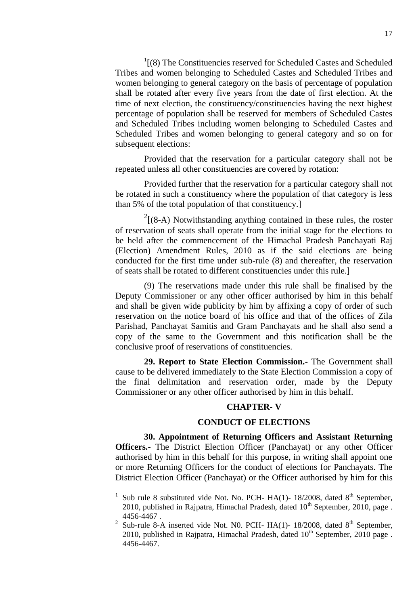$1(8)$  The Constituencies reserved for Scheduled Castes and Scheduled Tribes and women belonging to Scheduled Castes and Scheduled Tribes and women belonging to general category on the basis of percentage of population shall be rotated after every five years from the date of first election. At the time of next election, the constituency/constituencies having the next highest percentage of population shall be reserved for members of Scheduled Castes and Scheduled Tribes including women belonging to Scheduled Castes and Scheduled Tribes and women belonging to general category and so on for subsequent elections:

Provided that the reservation for a particular category shall not be repeated unless all other constituencies are covered by rotation:

Provided further that the reservation for a particular category shall not be rotated in such a constituency where the population of that category is less than 5% of the total population of that constituency.]

 $2[(8-A)$  Notwithstanding anything contained in these rules, the roster of reservation of seats shall operate from the initial stage for the elections to be held after the commencement of the Himachal Pradesh Panchayati Raj (Election) Amendment Rules, 2010 as if the said elections are being conducted for the first time under sub-rule (8) and thereafter, the reservation of seats shall be rotated to different constituencies under this rule.]

(9) The reservations made under this rule shall be finalised by the Deputy Commissioner or any other officer authorised by him in this behalf and shall be given wide publicity by him by affixing a copy of order of such reservation on the notice board of his office and that of the offices of Zila Parishad, Panchayat Samitis and Gram Panchayats and he shall also send a copy of the same to the Government and this notification shall be the conclusive proof of reservations of constituencies.

**29. Report to State Election Commission.-** The Government shall cause to be delivered immediately to the State Election Commission a copy of the final delimitation and reservation order, made by the Deputy Commissioner or any other officer authorised by him in this behalf.

#### **CHAPTER- V**

## <span id="page-16-0"></span>**CONDUCT OF ELECTIONS**

**30. Appointment of Returning Officers and Assistant Returning Officers.-** The District Election Officer (Panchayat) or any other Officer authorised by him in this behalf for this purpose, in writing shall appoint one or more Returning Officers for the conduct of elections for Panchayats. The District Election Officer (Panchayat) or the Officer authorised by him for this

<sup>1</sup> Sub rule 8 substituted vide Not. No. PCH-  $HA(1)$ - 18/2008, dated 8<sup>th</sup> September, 2010, published in Rajpatra, Himachal Pradesh, dated  $10<sup>th</sup>$  September, 2010, page. 4456-4467 .

<sup>&</sup>lt;sup>2</sup> Sub-rule 8-A inserted vide Not. N0. PCH- HA(1)- 18/2008, dated  $8<sup>th</sup>$  September, 2010, published in Rajpatra, Himachal Pradesh, dated  $10<sup>th</sup>$  September, 2010 page. 4456-4467.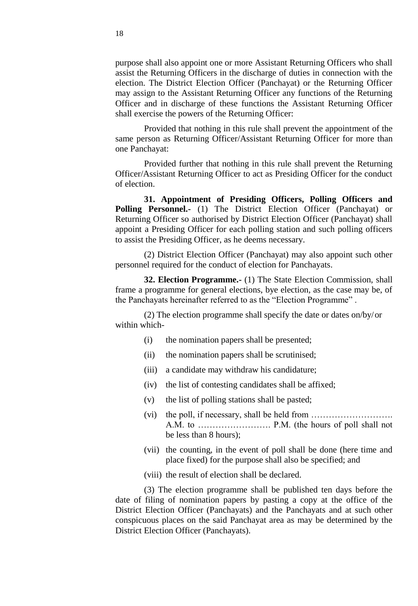purpose shall also appoint one or more Assistant Returning Officers who shall assist the Returning Officers in the discharge of duties in connection with the election. The District Election Officer (Panchayat) or the Returning Officer may assign to the Assistant Returning Officer any functions of the Returning Officer and in discharge of these functions the Assistant Returning Officer shall exercise the powers of the Returning Officer:

Provided that nothing in this rule shall prevent the appointment of the same person as Returning Officer/Assistant Returning Officer for more than one Panchayat:

Provided further that nothing in this rule shall prevent the Returning Officer/Assistant Returning Officer to act as Presiding Officer for the conduct of election.

<span id="page-17-0"></span>**31. Appointment of Presiding Officers, Polling Officers and Polling Personnel.-** (1) The District Election Officer (Panchayat) or Returning Officer so authorised by District Election Officer (Panchayat) shall appoint a Presiding Officer for each polling station and such polling officers to assist the Presiding Officer, as he deems necessary.

(2) District Election Officer (Panchayat) may also appoint such other personnel required for the conduct of election for Panchayats.

<span id="page-17-1"></span>**32. Election Programme.-** (1) The State Election Commission, shall frame a programme for general elections, bye election, as the case may be, of the Panchayats hereinafter referred to as the "Election Programme".

(2) The election programme shall specify the date or dates on/by/or within which-

- (i) the nomination papers shall be presented;
- (ii) the nomination papers shall be scrutinised;
- (iii) a candidate may withdraw his candidature;
- (iv) the list of contesting candidates shall be affixed;
- (v) the list of polling stations shall be pasted;
- (vi) the poll, if necessary, shall be held from ………………………. A.M. to ……………………. P.M. (the hours of poll shall not be less than 8 hours);
- (vii) the counting, in the event of poll shall be done (here time and place fixed) for the purpose shall also be specified; and
- (viii) the result of election shall be declared.

(3) The election programme shall be published ten days before the date of filing of nomination papers by pasting a copy at the office of the District Election Officer (Panchayats) and the Panchayats and at such other conspicuous places on the said Panchayat area as may be determined by the District Election Officer (Panchayats).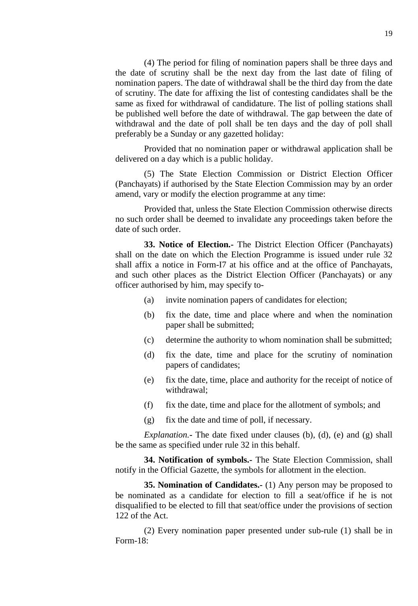(4) The period for filing of nomination papers shall be three days and the date of scrutiny shall be the next day from the last date of filing of nomination papers. The date of withdrawal shall be the third day from the date of scrutiny. The date for affixing the list of contesting candidates shall be the same as fixed for withdrawal of candidature. The list of polling stations shall be published well before the date of withdrawal. The gap between the date of withdrawal and the date of poll shall be ten days and the day of poll shall preferably be a Sunday or any gazetted holiday:

Provided that no nomination paper or withdrawal application shall be delivered on a day which is a public holiday.

(5) The State Election Commission or District Election Officer (Panchayats) if authorised by the State Election Commission may by an order amend, vary or modify the election programme at any time:

Provided that, unless the State Election Commission otherwise directs no such order shall be deemed to invalidate any proceedings taken before the date of such order.

<span id="page-18-0"></span>**33. Notice of Election.-** The District Election Officer (Panchayats) shall on the date on which the Election Programme is issued under rule 32 shall affix a notice in Form-I7 at his office and at the office of Panchayats, and such other places as the District Election Officer (Panchayats) or any officer authorised by him, may specify to-

- (a) invite nomination papers of candidates for election;
- (b) fix the date, time and place where and when the nomination paper shall be submitted;
- (c) determine the authority to whom nomination shall be submitted;
- (d) fix the date, time and place for the scrutiny of nomination papers of candidates;
- (e) fix the date, time, place and authority for the receipt of notice of withdrawal;
- (f) fix the date, time and place for the allotment of symbols; and
- <span id="page-18-1"></span>(g) fix the date and time of poll, if necessary.

*Explanation.***-** The date fixed under clauses (b), (d), (e) and (g) shall be the same as specified under rule 32 in this behalf.

**34. Notification of symbols.-** The State Election Commission, shall notify in the Official Gazette, the symbols for allotment in the election.

<span id="page-18-2"></span>**35. Nomination of Candidates.-** (1) Any person may be proposed to be nominated as a candidate for election to fill a seat/office if he is not disqualified to be elected to fill that seat/office under the provisions of section 122 of the Act.

(2) Every nomination paper presented under sub-rule (1) shall be in Form-18: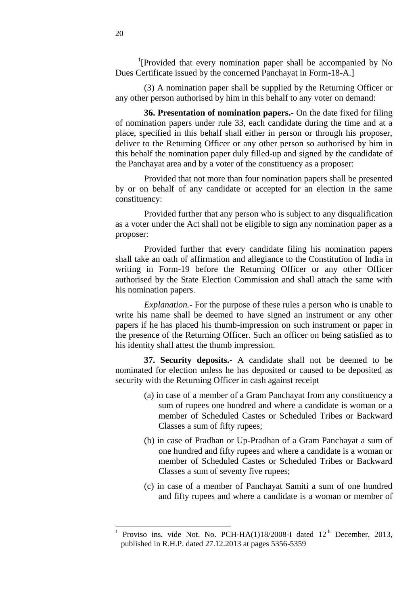<sup>1</sup>[Provided that every nomination paper shall be accompanied by No Dues Certificate issued by the concerned Panchayat in Form-18-A.]

(3) A nomination paper shall be supplied by the Returning Officer or any other person authorised by him in this behalf to any voter on demand:

<span id="page-19-0"></span>**36. Presentation of nomination papers.-** On the date fixed for filing of nomination papers under rule 33, each candidate during the time and at a place, specified in this behalf shall either in person or through his proposer, deliver to the Returning Officer or any other person so authorised by him in this behalf the nomination paper duly filled-up and signed by the candidate of the Panchayat area and by a voter of the constituency as a proposer:

Provided that not more than four nomination papers shall be presented by or on behalf of any candidate or accepted for an election in the same constituency:

Provided further that any person who is subject to any disqualification as a voter under the Act shall not be eligible to sign any nomination paper as a proposer:

Provided further that every candidate filing his nomination papers shall take an oath of affirmation and allegiance to the Constitution of India in writing in Form-19 before the Returning Officer or any other Officer authorised by the State Election Commission and shall attach the same with his nomination papers.

*Explanation.-* For the purpose of these rules a person who is unable to write his name shall be deemed to have signed an instrument or any other papers if he has placed his thumb-impression on such instrument or paper in the presence of the Returning Officer. Such an officer on being satisfied as to his identity shall attest the thumb impression.

**37. Security deposits.-** A candidate shall not be deemed to be nominated for election unless he has deposited or caused to be deposited as security with the Returning Officer in cash against receipt

- <span id="page-19-1"></span>(a) in case of a member of a Gram Panchayat from any constituency a sum of rupees one hundred and where a candidate is woman or a member of Scheduled Castes or Scheduled Tribes or Backward Classes a sum of fifty rupees;
- (b) in case of Pradhan or Up-Pradhan of a Gram Panchayat a sum of one hundred and fifty rupees and where a candidate is a woman or member of Scheduled Castes or Scheduled Tribes or Backward Classes a sum of seventy five rupees;
- (c) in case of a member of Panchayat Samiti a sum of one hundred and fifty rupees and where a candidate is a woman or member of

<sup>1</sup> Proviso ins. vide Not. No. PCH-HA $(1)18/2008$ -I dated  $12<sup>th</sup>$  December, 2013, published in R.H.P. dated 27.12.2013 at pages 5356-5359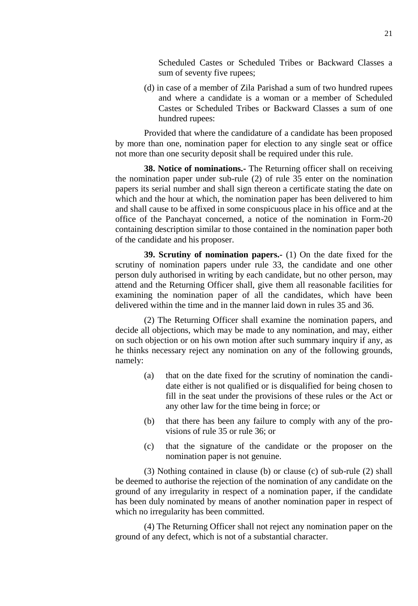Scheduled Castes or Scheduled Tribes or Backward Classes a sum of seventy five rupees;

(d) in case of a member of Zila Parishad a sum of two hundred rupees and where a candidate is a woman or a member of Scheduled Castes or Scheduled Tribes or Backward Classes a sum of one hundred rupees:

Provided that where the candidature of a candidate has been proposed by more than one, nomination paper for election to any single seat or office not more than one security deposit shall be required under this rule.

<span id="page-20-0"></span>**38. Notice of nominations.-** The Returning officer shall on receiving the nomination paper under sub-rule (2) of rule 35 enter on the nomination papers its serial number and shall sign thereon a certificate stating the date on which and the hour at which, the nomination paper has been delivered to him and shall cause to be affixed in some conspicuous place in his office and at the office of the Panchayat concerned, a notice of the nomination in Form-20 containing description similar to those contained in the nomination paper both of the candidate and his proposer.

<span id="page-20-1"></span>**39. Scrutiny of nomination papers.-** (1) On the date fixed for the scrutiny of nomination papers under rule 33, the candidate and one other person duly authorised in writing by each candidate, but no other person, may attend and the Returning Officer shall, give them all reasonable facilities for examining the nomination paper of all the candidates, which have been delivered within the time and in the manner laid down in rules 35 and 36.

(2) The Returning Officer shall examine the nomination papers, and decide all objections, which may be made to any nomination, and may, either on such objection or on his own motion after such summary inquiry if any, as he thinks necessary reject any nomination on any of the following grounds, namely:

- (a) that on the date fixed for the scrutiny of nomination the candidate either is not qualified or is disqualified for being chosen to fill in the seat under the provisions of these rules or the Act or any other law for the time being in force; or
- (b) that there has been any failure to comply with any of the provisions of rule 35 or rule 36; or
- (c) that the signature of the candidate or the proposer on the nomination paper is not genuine.

(3) Nothing contained in clause (b) or clause (c) of sub-rule (2) shall be deemed to authorise the rejection of the nomination of any candidate on the ground of any irregularity in respect of a nomination paper, if the candidate has been duly nominated by means of another nomination paper in respect of which no irregularity has been committed.

(4) The Returning Officer shall not reject any nomination paper on the ground of any defect, which is not of a substantial character.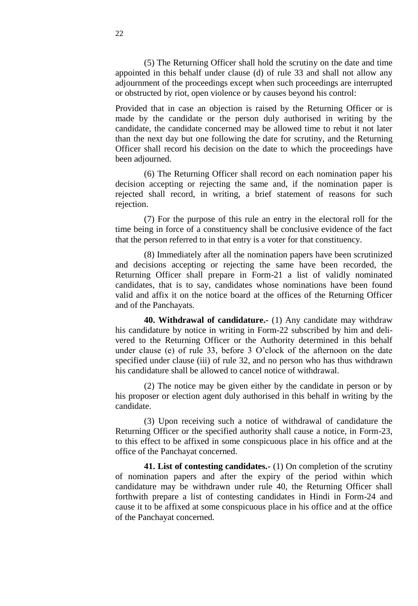(5) The Returning Officer shall hold the scrutiny on the date and time appointed in this behalf under clause (d) of rule 33 and shall not allow any adjournment of the proceedings except when such proceedings are interrupted or obstructed by riot, open violence or by causes beyond his control:

Provided that in case an objection is raised by the Returning Officer or is made by the candidate or the person duly authorised in writing by the candidate, the candidate concerned may be allowed time to rebut it not later than the next day but one following the date for scrutiny, and the Returning Officer shall record his decision on the date to which the proceedings have been adjourned.

(6) The Returning Officer shall record on each nomination paper his decision accepting or rejecting the same and, if the nomination paper is rejected shall record, in writing, a brief statement of reasons for such rejection.

(7) For the purpose of this rule an entry in the electoral roll for the time being in force of a constituency shall be conclusive evidence of the fact that the person referred to in that entry is a voter for that constituency.

(8) Immediately after all the nomination papers have been scrutinized and decisions accepting or rejecting the same have been recorded, the Returning Officer shall prepare in Form-21 a list of validly nominated candidates, that is to say, candidates whose nominations have been found valid and affix it on the notice board at the offices of the Returning Officer and of the Panchayats.

<span id="page-21-0"></span>**40. Withdrawal of candidature.-** (1) Any candidate may withdraw his candidature by notice in writing in Form-22 subscribed by him and delivered to the Returning Officer or the Authority determined in this behalf under clause (e) of rule 33, before 3 O'clock of the afternoon on the date specified under clause (iii) of rule 32, and no person who has thus withdrawn his candidature shall be allowed to cancel notice of withdrawal.

(2) The notice may be given either by the candidate in person or by his proposer or election agent duly authorised in this behalf in writing by the candidate.

(3) Upon receiving such a notice of withdrawal of candidature the Returning Officer or the specified authority shall cause a notice, in Form-23, to this effect to be affixed in some conspicuous place in his office and at the office of the Panchayat concerned.

<span id="page-21-1"></span>**41. List of contesting candidates.-** (1) On completion of the scrutiny of nomination papers and after the expiry of the period within which candidature may be withdrawn under rule 40, the Returning Officer shall forthwith prepare a list of contesting candidates in Hindi in Form-24 and cause it to be affixed at some conspicuous place in his office and at the office of the Panchayat concerned.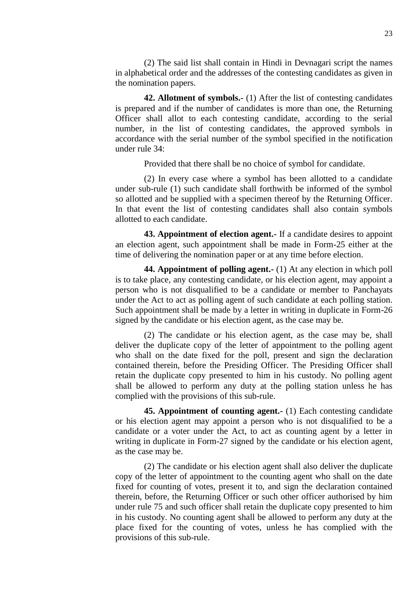(2) The said list shall contain in Hindi in Devnagari script the names in alphabetical order and the addresses of the contesting candidates as given in the nomination papers.

<span id="page-22-0"></span>**42. Allotment of symbols.-** (1) After the list of contesting candidates is prepared and if the number of candidates is more than one, the Returning Officer shall allot to each contesting candidate, according to the serial number, in the list of contesting candidates, the approved symbols in accordance with the serial number of the symbol specified in the notification under rule 34:

Provided that there shall be no choice of symbol for candidate.

(2) In every case where a symbol has been allotted to a candidate under sub-rule (1) such candidate shall forthwith be informed of the symbol so allotted and be supplied with a specimen thereof by the Returning Officer. In that event the list of contesting candidates shall also contain symbols allotted to each candidate.

<span id="page-22-1"></span>**43. Appointment of election agent.-** If a candidate desires to appoint an election agent, such appointment shall be made in Form-25 either at the time of delivering the nomination paper or at any time before election.

<span id="page-22-2"></span>**44. Appointment of polling agent.-** (1) At any election in which poll is to take place, any contesting candidate, or his election agent, may appoint a person who is not disqualified to be a candidate or member to Panchayats under the Act to act as polling agent of such candidate at each polling station. Such appointment shall be made by a letter in writing in duplicate in Form-26 signed by the candidate or his election agent, as the case may be.

(2) The candidate or his election agent, as the case may be, shall deliver the duplicate copy of the letter of appointment to the polling agent who shall on the date fixed for the poll, present and sign the declaration contained therein, before the Presiding Officer. The Presiding Officer shall retain the duplicate copy presented to him in his custody. No polling agent shall be allowed to perform any duty at the polling station unless he has complied with the provisions of this sub-rule.

<span id="page-22-3"></span>**45. Appointment of counting agent.-** (1) Each contesting candidate or his election agent may appoint a person who is not disqualified to be a candidate or a voter under the Act, to act as counting agent by a letter in writing in duplicate in Form-27 signed by the candidate or his election agent, as the case may be.

(2) The candidate or his election agent shall also deliver the duplicate copy of the letter of appointment to the counting agent who shall on the date fixed for counting of votes, present it to, and sign the declaration contained therein, before, the Returning Officer or such other officer authorised by him under rule 75 and such officer shall retain the duplicate copy presented to him in his custody. No counting agent shall be allowed to perform any duty at the place fixed for the counting of votes, unless he has complied with the provisions of this sub-rule.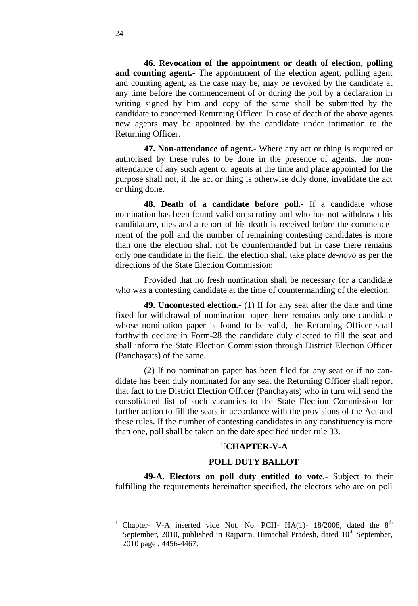**46. Revocation of the appointment or death of election, polling and counting agent.-** The appointment of the election agent, polling agent and counting agent, as the case may be, may be revoked by the candidate at any time before the commencement of or during the poll by a declaration in writing signed by him and copy of the same shall be submitted by the candidate to concerned Returning Officer. In case of death of the above agents new agents may be appointed by the candidate under intimation to the Returning Officer.

<span id="page-23-0"></span>**47. Non-attendance of agent.-** Where any act or thing is required or authorised by these rules to be done in the presence of agents, the nonattendance of any such agent or agents at the time and place appointed for the purpose shall not, if the act or thing is otherwise duly done, invalidate the act or thing done.

<span id="page-23-1"></span>**48. Death of a candidate before poll.-** If a candidate whose nomination has been found valid on scrutiny and who has not withdrawn his candidature, dies and a report of his death is received before the commencement of the poll and the number of remaining contesting candidates is more than one the election shall not be countermanded but in case there remains only one candidate in the field, the election shall take place *de-novo* as per the directions of the State Election Commission:

Provided that no fresh nomination shall be necessary for a candidate who was a contesting candidate at the time of countermanding of the election.

<span id="page-23-2"></span>**49. Uncontested election.-** (1) If for any seat after the date and time fixed for withdrawal of nomination paper there remains only one candidate whose nomination paper is found to be valid, the Returning Officer shall forthwith declare in Form-28 the candidate duly elected to fill the seat and shall inform the State Election Commission through District Election Officer (Panchayats) of the same.

(2) If no nomination paper has been filed for any seat or if no candidate has been duly nominated for any seat the Returning Officer shall report that fact to the District Election Officer (Panchayats) who in turn will send the consolidated list of such vacancies to the State Election Commission for further action to fill the seats in accordance with the provisions of the Act and these rules. If the number of contesting candidates in any constituency is more than one, poll shall be taken on the date specified under rule 33.

# 1 [**CHAPTER-V-A**

## **POLL DUTY BALLOT**

**49-A. Electors on poll duty entitled to vote***.-* Subject to their fulfilling the requirements hereinafter specified, the electors who are on poll

l

Chapter- V-A inserted vide Not. No. PCH-  $HA(1)$ - 18/2008, dated the 8<sup>th</sup> September, 2010, published in Rajpatra, Himachal Pradesh, dated  $10<sup>th</sup>$  September, 2010 page . 4456-4467.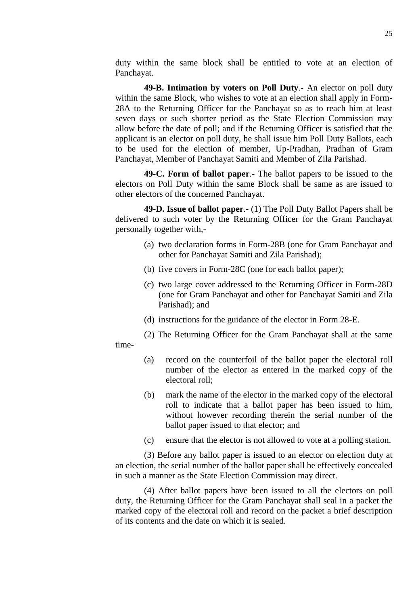duty within the same block shall be entitled to vote at an election of Panchayat.

<span id="page-24-0"></span>**49-B. Intimation by voters on Poll Duty***.-* An elector on poll duty within the same Block, who wishes to vote at an election shall apply in Form-28A to the Returning Officer for the Panchayat so as to reach him at least seven days or such shorter period as the State Election Commission may allow before the date of poll; and if the Returning Officer is satisfied that the applicant is an elector on poll duty, he shall issue him Poll Duty Ballots, each to be used for the election of member, Up-Pradhan, Pradhan of Gram Panchayat, Member of Panchayat Samiti and Member of Zila Parishad.

<span id="page-24-1"></span>**49-C. Form of ballot paper***.-* The ballot papers to be issued to the electors on Poll Duty within the same Block shall be same as are issued to other electors of the concerned Panchayat.

<span id="page-24-2"></span>**49-D. Issue of ballot paper***.-* (1) The Poll Duty Ballot Papers shall be delivered to such voter by the Returning Officer for the Gram Panchayat personally together with,-

- (a) two declaration forms in Form-28B (one for Gram Panchayat and other for Panchayat Samiti and Zila Parishad);
- (b) five covers in Form-28C (one for each ballot paper);
- (c) two large cover addressed to the Returning Officer in Form-28D (one for Gram Panchayat and other for Panchayat Samiti and Zila Parishad); and
- (d) instructions for the guidance of the elector in Form 28-E.
- (2) The Returning Officer for the Gram Panchayat shall at the same
- time-
- (a) record on the counterfoil of the ballot paper the electoral roll number of the elector as entered in the marked copy of the electoral roll;
- (b) mark the name of the elector in the marked copy of the electoral roll to indicate that a ballot paper has been issued to him, without however recording therein the serial number of the ballot paper issued to that elector; and
- (c) ensure that the elector is not allowed to vote at a polling station.

(3) Before any ballot paper is issued to an elector on election duty at an election, the serial number of the ballot paper shall be effectively concealed in such a manner as the State Election Commission may direct.

(4) After ballot papers have been issued to all the electors on poll duty, the Returning Officer for the Gram Panchayat shall seal in a packet the marked copy of the electoral roll and record on the packet a brief description of its contents and the date on which it is sealed.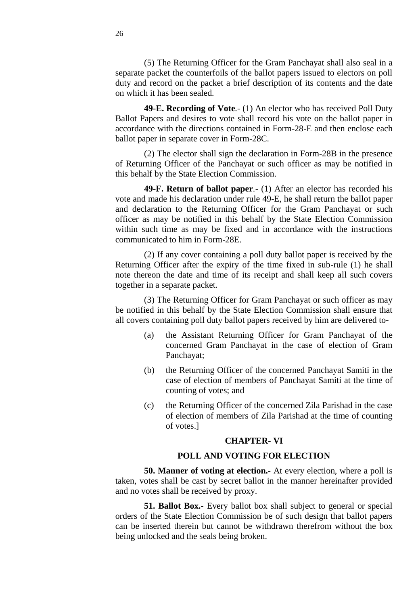(5) The Returning Officer for the Gram Panchayat shall also seal in a separate packet the counterfoils of the ballot papers issued to electors on poll duty and record on the packet a brief description of its contents and the date on which it has been sealed.

<span id="page-25-0"></span>**49-E. Recording of Vote***.-* (1) An elector who has received Poll Duty Ballot Papers and desires to vote shall record his vote on the ballot paper in accordance with the directions contained in Form-28-E and then enclose each ballot paper in separate cover in Form-28C.

(2) The elector shall sign the declaration in Form-28B in the presence of Returning Officer of the Panchayat or such officer as may be notified in this behalf by the State Election Commission.

<span id="page-25-1"></span>**49-F. Return of ballot paper***.-* (1) After an elector has recorded his vote and made his declaration under rule 49-E, he shall return the ballot paper and declaration to the Returning Officer for the Gram Panchayat or such officer as may be notified in this behalf by the State Election Commission within such time as may be fixed and in accordance with the instructions communicated to him in Form-28E.

(2) If any cover containing a poll duty ballot paper is received by the Returning Officer after the expiry of the time fixed in sub-rule (1) he shall note thereon the date and time of its receipt and shall keep all such covers together in a separate packet.

(3) The Returning Officer for Gram Panchayat or such officer as may be notified in this behalf by the State Election Commission shall ensure that all covers containing poll duty ballot papers received by him are delivered to-

- (a) the Assistant Returning Officer for Gram Panchayat of the concerned Gram Panchayat in the case of election of Gram Panchayat;
- (b) the Returning Officer of the concerned Panchayat Samiti in the case of election of members of Panchayat Samiti at the time of counting of votes; and
- (c) the Returning Officer of the concerned Zila Parishad in the case of election of members of Zila Parishad at the time of counting of votes.]

## **CHAPTER- VI**

## **POLL AND VOTING FOR ELECTION**

**50. Manner of voting at election.-** At every election, where a poll is taken, votes shall be cast by secret ballot in the manner hereinafter provided and no votes shall be received by proxy.

**51. Ballot Box.-** Every ballot box shall subject to general or special orders of the State Election Commission be of such design that ballot papers can be inserted therein but cannot be withdrawn therefrom without the box being unlocked and the seals being broken.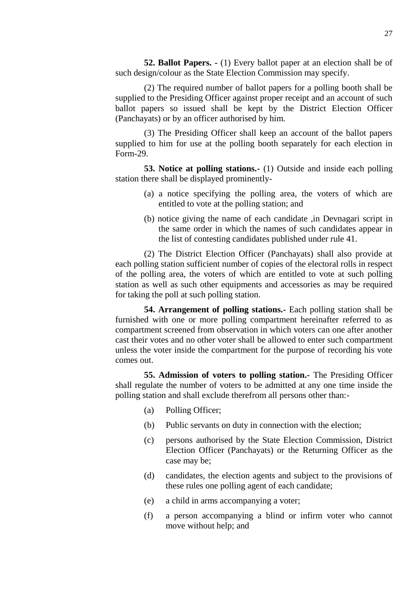**52. Ballot Papers. -** (1) Every ballot paper at an election shall be of such design/colour as the State Election Commission may specify.

(2) The required number of ballot papers for a polling booth shall be supplied to the Presiding Officer against proper receipt and an account of such ballot papers so issued shall be kept by the District Election Officer (Panchayats) or by an officer authorised by him.

(3) The Presiding Officer shall keep an account of the ballot papers supplied to him for use at the polling booth separately for each election in Form-29.

**53. Notice at polling stations.-** (1) Outside and inside each polling station there shall be displayed prominently-

- (a) a notice specifying the polling area, the voters of which are entitled to vote at the polling station; and
- (b) notice giving the name of each candidate ,in Devnagari script in the same order in which the names of such candidates appear in the list of contesting candidates published under rule 41.

(2) The District Election Officer (Panchayats) shall also provide at each polling station sufficient number of copies of the electoral rolls in respect of the polling area, the voters of which are entitled to vote at such polling station as well as such other equipments and accessories as may be required for taking the poll at such polling station.

**54. Arrangement of polling stations.-** Each polling station shall be furnished with one or more polling compartment hereinafter referred to as compartment screened from observation in which voters can one after another cast their votes and no other voter shall be allowed to enter such compartment unless the voter inside the compartment for the purpose of recording his vote comes out.

**55. Admission of voters to polling station.-** The Presiding Officer shall regulate the number of voters to be admitted at any one time inside the polling station and shall exclude therefrom all persons other than:-

- (a) Polling Officer;
- (b) Public servants on duty in connection with the election;
- (c) persons authorised by the State Election Commission, District Election Officer (Panchayats) or the Returning Officer as the case may be;
- (d) candidates, the election agents and subject to the provisions of these rules one polling agent of each candidate;
- (e) a child in arms accompanying a voter;
- (f) a person accompanying a blind or infirm voter who cannot move without help; and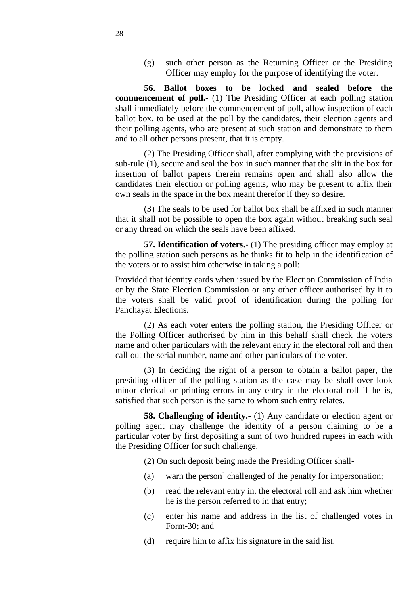(g) such other person as the Returning Officer or the Presiding Officer may employ for the purpose of identifying the voter.

**56. Ballot boxes to be locked and sealed before the commencement of poll.-** (1) The Presiding Officer at each polling station shall immediately before the commencement of poll, allow inspection of each ballot box, to be used at the poll by the candidates, their election agents and their polling agents, who are present at such station and demonstrate to them and to all other persons present, that it is empty.

(2) The Presiding Officer shall, after complying with the provisions of sub-rule (1), secure and seal the box in such manner that the slit in the box for insertion of ballot papers therein remains open and shall also allow the candidates their election or polling agents, who may be present to affix their own seals in the space in the box meant therefor if they so desire.

(3) The seals to be used for ballot box shall be affixed in such manner that it shall not be possible to open the box again without breaking such seal or any thread on which the seals have been affixed.

**57. Identification of voters.-** (1) The presiding officer may employ at the polling station such persons as he thinks fit to help in the identification of the voters or to assist him otherwise in taking a poll:

Provided that identity cards when issued by the Election Commission of India or by the State Election Commission or any other officer authorised by it to the voters shall be valid proof of identification during the polling for Panchayat Elections.

(2) As each voter enters the polling station, the Presiding Officer or the Polling Officer authorised by him in this behalf shall check the voters name and other particulars with the relevant entry in the electoral roll and then call out the serial number, name and other particulars of the voter.

(3) In deciding the right of a person to obtain a ballot paper, the presiding officer of the polling station as the case may be shall over look minor clerical or printing errors in any entry in the electoral roll if he is, satisfied that such person is the same to whom such entry relates.

<span id="page-27-0"></span>**58. Challenging of identity.** (1) Any candidate or election agent or polling agent may challenge the identity of a person claiming to be a particular voter by first depositing a sum of two hundred rupees in each with the Presiding Officer for such challenge.

(2) On such deposit being made the Presiding Officer shall-

- (a) warn the person` challenged of the penalty for impersonation;
- (b) read the relevant entry in. the electoral roll and ask him whether he is the person referred to in that entry;
- (c) enter his name and address in the list of challenged votes in Form-30; and
- (d) require him to affix his signature in the said list.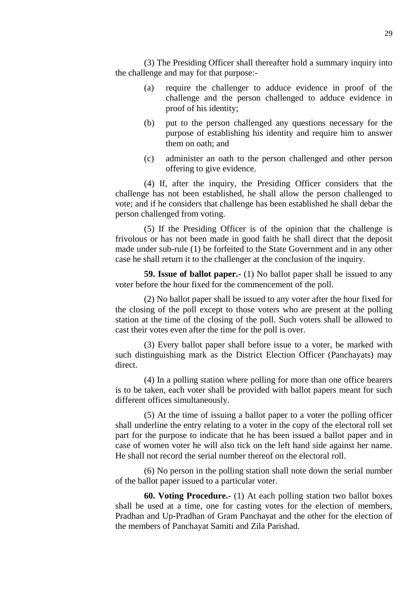(3) The Presiding Officer shall thereafter hold a summary inquiry into the challenge and may for that purpose:-

- (a) require the challenger to adduce evidence in proof of the challenge and the person challenged to adduce evidence in proof of his identity;
- (b) put to the person challenged any questions necessary for the purpose of establishing his identity and require him to answer them on oath; and
- (c) administer an oath to the person challenged and other person offering to give evidence.

(4) If, after the inquiry, the Presiding Officer considers that the challenge has not been established, he shall allow the person challenged to vote; and if he considers that challenge has been established he shall debar the person challenged from voting.

(5) If the Presiding Officer is of the opinion that the challenge is frivolous or has not been made in good faith he shall direct that the deposit made under sub-rule (1) be forfeited to the State Government and in any other case he shall return it to the challenger at the conclusion of the inquiry.

**59. Issue of ballot paper.-** (1) No ballot paper shall be issued to any voter before the hour fixed for the commencement of the poll.

(2) No ballot paper shall be issued to any voter after the hour fixed for the closing of the poll except to those voters who are present at the polling station at the time of the closing of the poll. Such voters shall be allowed to cast their votes even after the time for the poll is over.

(3) Every ballot paper shall before issue to a voter, be marked with such distinguishing mark as the District Election Officer (Panchayats) may direct.

(4) In a polling station where polling for more than one office bearers is to be taken, each voter shall be provided with ballot papers meant for such different offices simultaneously.

(5) At the time of issuing a ballot paper to a voter the polling officer shall underline the entry relating to a voter in the copy of the electoral roll set part for the purpose to indicate that he has been issued a ballot paper and in case of women voter he will also tick on the left hand side against her name. He shall not record the serial number thereof on the electoral roll.

(6) No person in the polling station shall note down the serial number of the ballot paper issued to a particular voter.

<span id="page-28-0"></span>**60. Voting Procedure.-** (1) At each polling station two ballot boxes shall be used at a time, one for casting votes for the election of members, Pradhan and Up-Pradhan of Gram Panchayat and the other for the election of the members of Panchayat Samiti and Zila Parishad.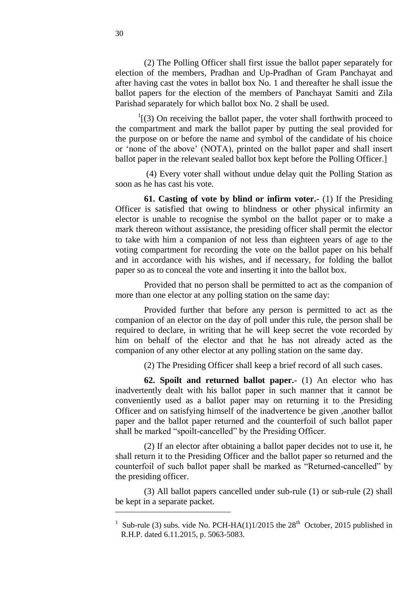(2) The Polling Officer shall first issue the ballot paper separately for election of the members, Pradhan and Up-Pradhan of Gram Panchayat and after having cast the votes in ballot box No. 1 and thereafter he shall issue the ballot papers for the election of the members of Panchayat Samiti and Zila Parishad separately for which ballot box No. 2 shall be used.

 $1(3)$  On receiving the ballot paper, the voter shall forthwith proceed to the compartment and mark the ballot paper by putting the seal provided for the purpose on or before the name and symbol of the candidate of his choice or ‗none of the above' (NOTA), printed on the ballot paper and shall insert ballot paper in the relevant sealed ballot box kept before the Polling Officer.]

(4) Every voter shall without undue delay quit the Polling Station as soon as he has cast his vote.

<span id="page-29-0"></span>**61. Casting of vote by blind or infirm voter.-** (1) If the Presiding Officer is satisfied that owing to blindness or other physical infirmity an elector is unable to recognise the symbol on the ballot paper or to make a mark thereon without assistance, the presiding officer shall permit the elector to take with him a companion of not less than eighteen years of age to the voting compartment for recording the vote on the ballot paper on his behalf and in accordance with his wishes, and if necessary, for folding the ballot paper so as to conceal the vote and inserting it into the ballot box.

Provided that no person shall be permitted to act as the companion of more than one elector at any polling station on the same day:

Provided further that before any person is permitted to act as the companion of an elector on the day of poll under this rule, the person shall be required to declare, in writing that he will keep secret the vote recorded by him on behalf of the elector and that he has not already acted as the companion of any other elector at any polling station on the same day.

<span id="page-29-1"></span>(2) The Presiding Officer shall keep a brief record of all such cases.

**62. Spoilt and returned ballot paper.-** (1) An elector who has inadvertently dealt with his ballot paper in such manner that it cannot be conveniently used as a ballot paper may on returning it to the Presiding Officer and on satisfying himself of the inadvertence be given ,another ballot paper and the ballot paper returned and the counterfoil of such ballot paper shall be marked "spoilt-cancelled" by the Presiding Officer.

(2) If an elector after obtaining a ballot paper decides not to use it, he shall return it to the Presiding Officer and the ballot paper so returned and the counterfoil of such ballot paper shall be marked as "Returned-cancelled" by the presiding officer.

(3) All ballot papers cancelled under sub-rule (1) or sub-rule (2) shall be kept in a separate packet.

l

<sup>&</sup>lt;sup>1</sup> Sub-rule (3) subs. vide No. PCH-HA(1)1/2015 the 28<sup>th</sup> October, 2015 published in R.H.P. dated 6.11.2015, p. 5063-5083.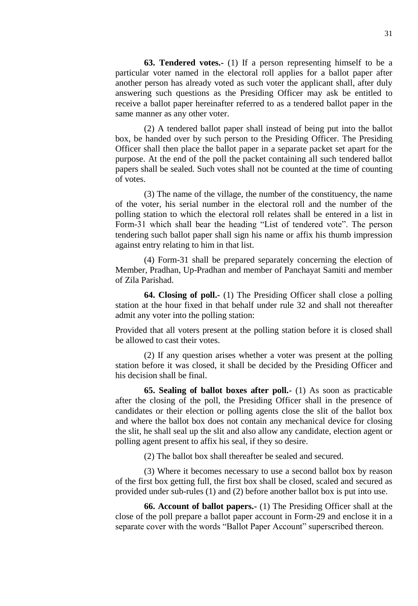<span id="page-30-0"></span>**63. Tendered votes.-** (1) If a person representing himself to be a particular voter named in the electoral roll applies for a ballot paper after another person has already voted as such voter the applicant shall, after duly answering such questions as the Presiding Officer may ask be entitled to receive a ballot paper hereinafter referred to as a tendered ballot paper in the same manner as any other voter.

(2) A tendered ballot paper shall instead of being put into the ballot box, be handed over by such person to the Presiding Officer. The Presiding Officer shall then place the ballot paper in a separate packet set apart for the purpose. At the end of the poll the packet containing all such tendered ballot papers shall be sealed. Such votes shall not be counted at the time of counting of votes.

(3) The name of the village, the number of the constituency, the name of the voter, his serial number in the electoral roll and the number of the polling station to which the electoral roll relates shall be entered in a list in Form-31 which shall bear the heading "List of tendered vote". The person tendering such ballot paper shall sign his name or affix his thumb impression against entry relating to him in that list.

(4) Form-31 shall be prepared separately concerning the election of Member, Pradhan, Up-Pradhan and member of Panchayat Samiti and member of Zila Parishad.

<span id="page-30-1"></span>**64. Closing of poll.-** (1) The Presiding Officer shall close a polling station at the hour fixed in that behalf under rule 32 and shall not thereafter admit any voter into the polling station:

Provided that all voters present at the polling station before it is closed shall be allowed to cast their votes.

(2) If any question arises whether a voter was present at the polling station before it was closed, it shall be decided by the Presiding Officer and his decision shall be final.

<span id="page-30-2"></span>**65. Sealing of ballot boxes after poll.-** (1) As soon as practicable after the closing of the poll, the Presiding Officer shall in the presence of candidates or their election or polling agents close the slit of the ballot box and where the ballot box does not contain any mechanical device for closing the slit, he shall seal up the slit and also allow any candidate, election agent or polling agent present to affix his seal, if they so desire.

(2) The ballot box shall thereafter be sealed and secured.

(3) Where it becomes necessary to use a second ballot box by reason of the first box getting full, the first box shall be closed, scaled and secured as provided under sub-rules (1) and (2) before another ballot box is put into use.

<span id="page-30-3"></span>**66. Account of ballot papers.-** (1) The Presiding Officer shall at the close of the poll prepare a ballot paper account in Form-29 and enclose it in a separate cover with the words "Ballot Paper Account" superscribed thereon.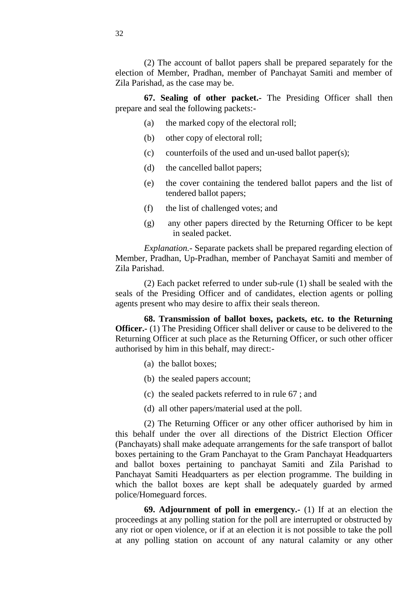(2) The account of ballot papers shall be prepared separately for the election of Member, Pradhan, member of Panchayat Samiti and member of Zila Parishad, as the case may be.

**67. Sealing of other packet.-** The Presiding Officer shall then prepare and seal the following packets:-

- <span id="page-31-0"></span>(a) the marked copy of the electoral roll;
- (b) other copy of electoral roll;
- (c) counterfoils of the used and un-used ballot paper(s);
- (d) the cancelled ballot papers;
- (e) the cover containing the tendered ballot papers and the list of tendered ballot papers;
- (f) the list of challenged votes; and
- (g) any other papers directed by the Returning Officer to be kept in sealed packet.

*Explanation.-* Separate packets shall be prepared regarding election of Member, Pradhan, Up-Pradhan, member of Panchayat Samiti and member of Zila Parishad.

(2) Each packet referred to under sub-rule (1) shall be sealed with the seals of the Presiding Officer and of candidates, election agents or polling agents present who may desire to affix their seals thereon.

<span id="page-31-1"></span>**68. Transmission of ballot boxes, packets, etc. to the Returning Officer.** (1) The Presiding Officer shall deliver or cause to be delivered to the Returning Officer at such place as the Returning Officer, or such other officer authorised by him in this behalf, may direct:-

- (a) the ballot boxes;
- (b) the sealed papers account;
- (c) the sealed packets referred to in rule 67 ; and
- (d) all other papers/material used at the poll.

(2) The Returning Officer or any other officer authorised by him in this behalf under the over all directions of the District Election Officer (Panchayats) shall make adequate arrangements for the safe transport of ballot boxes pertaining to the Gram Panchayat to the Gram Panchayat Headquarters and ballot boxes pertaining to panchayat Samiti and Zila Parishad to Panchayat Samiti Headquarters as per election programme. The building in which the ballot boxes are kept shall be adequately guarded by armed police/Homeguard forces.

<span id="page-31-2"></span>**69. Adjournment of poll in emergency.-** (1) If at an election the proceedings at any polling station for the poll are interrupted or obstructed by any riot or open violence, or if at an election it is not possible to take the poll at any polling station on account of any natural calamity or any other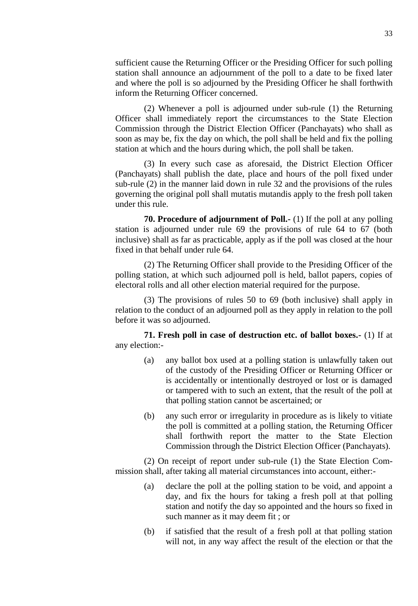sufficient cause the Returning Officer or the Presiding Officer for such polling station shall announce an adjournment of the poll to a date to be fixed later and where the poll is so adjourned by the Presiding Officer he shall forthwith inform the Returning Officer concerned.

(2) Whenever a poll is adjourned under sub-rule (1) the Returning Officer shall immediately report the circumstances to the State Election Commission through the District Election Officer (Panchayats) who shall as soon as may be, fix the day on which, the poll shall be held and fix the polling station at which and the hours during which, the poll shall be taken.

(3) In every such case as aforesaid, the District Election Officer (Panchayats) shall publish the date, place and hours of the poll fixed under sub-rule (2) in the manner laid down in rule 32 and the provisions of the rules governing the original poll shall mutatis mutandis apply to the fresh poll taken under this rule.

<span id="page-32-0"></span>**70. Procedure of adjournment of Poll.-** (1) If the poll at any polling station is adjourned under rule 69 the provisions of rule 64 to 67 (both inclusive) shall as far as practicable, apply as if the poll was closed at the hour fixed in that behalf under rule 64.

(2) The Returning Officer shall provide to the Presiding Officer of the polling station, at which such adjourned poll is held, ballot papers, copies of electoral rolls and all other election material required for the purpose.

(3) The provisions of rules 50 to 69 (both inclusive) shall apply in relation to the conduct of an adjourned poll as they apply in relation to the poll before it was so adjourned.

**71. Fresh poll in case of destruction etc. of ballot boxes.-** (1) If at any election:-

- <span id="page-32-1"></span>(a) any ballot box used at a polling station is unlawfully taken out of the custody of the Presiding Officer or Returning Officer or is accidentally or intentionally destroyed or lost or is damaged or tampered with to such an extent, that the result of the poll at that polling station cannot be ascertained; or
- (b) any such error or irregularity in procedure as is likely to vitiate the poll is committed at a polling station, the Returning Officer shall forthwith report the matter to the State Election Commission through the District Election Officer (Panchayats).

(2) On receipt of report under sub-rule (1) the State Election Commission shall, after taking all material circumstances into account, either:-

- (a) declare the poll at the polling station to be void, and appoint a day, and fix the hours for taking a fresh poll at that polling station and notify the day so appointed and the hours so fixed in such manner as it may deem fit ; or
- (b) if satisfied that the result of a fresh poll at that polling station will not, in any way affect the result of the election or that the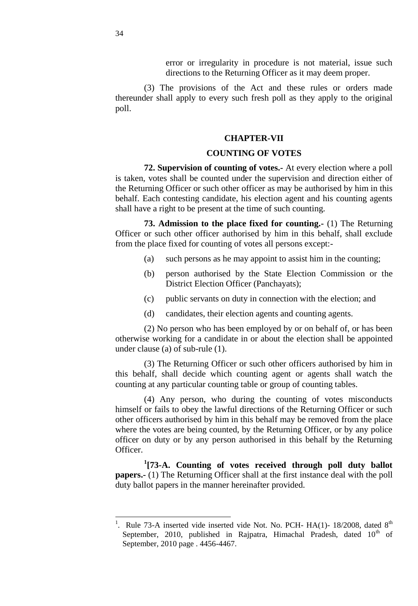error or irregularity in procedure is not material, issue such directions to the Returning Officer as it may deem proper.

(3) The provisions of the Act and these rules or orders made thereunder shall apply to every such fresh poll as they apply to the original poll.

#### **CHAPTER-VII**

# <span id="page-33-0"></span>**COUNTING OF VOTES**

**72. Supervision of counting of votes.-** At every election where a poll is taken, votes shall be counted under the supervision and direction either of the Returning Officer or such other officer as may be authorised by him in this behalf. Each contesting candidate, his election agent and his counting agents shall have a right to be present at the time of such counting.

**73. Admission to the place fixed for counting.-** (1) The Returning Officer or such other officer authorised by him in this behalf, shall exclude from the place fixed for counting of votes all persons except:-

- <span id="page-33-1"></span>(a) such persons as he may appoint to assist him in the counting;
- (b) person authorised by the State Election Commission or the District Election Officer (Panchayats);
- (c) public servants on duty in connection with the election; and
- (d) candidates, their election agents and counting agents.

(2) No person who has been employed by or on behalf of, or has been otherwise working for a candidate in or about the election shall be appointed under clause (a) of sub-rule (1).

(3) The Returning Officer or such other officers authorised by him in this behalf, shall decide which counting agent or agents shall watch the counting at any particular counting table or group of counting tables.

(4) Any person, who during the counting of votes misconducts himself or fails to obey the lawful directions of the Returning Officer or such other officers authorised by him in this behalf may be removed from the place where the votes are being counted, by the Returning Officer, or by any police officer on duty or by any person authorised in this behalf by the Returning Officer.

<span id="page-33-2"></span>**1 [73-A. Counting of votes received through poll duty ballot papers.-** (1) The Returning Officer shall at the first instance deal with the poll duty ballot papers in the manner hereinafter provided.

l

<sup>1</sup> . Rule 73-A inserted vide inserted vide Not. No. PCH-  $HA(1)$ - 18/2008, dated  $8<sup>th</sup>$ September, 2010, published in Rajpatra, Himachal Pradesh, dated  $10<sup>th</sup>$  of September, 2010 page . 4456-4467.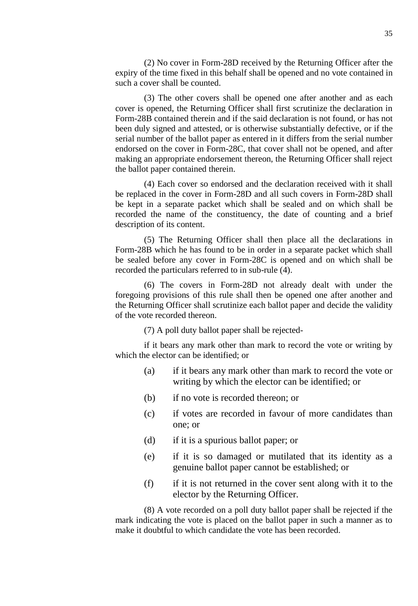(2) No cover in Form-28D received by the Returning Officer after the expiry of the time fixed in this behalf shall be opened and no vote contained in such a cover shall be counted.

(3) The other covers shall be opened one after another and as each cover is opened, the Returning Officer shall first scrutinize the declaration in Form-28B contained therein and if the said declaration is not found, or has not been duly signed and attested, or is otherwise substantially defective, or if the serial number of the ballot paper as entered in it differs from the serial number endorsed on the cover in Form-28C, that cover shall not be opened, and after making an appropriate endorsement thereon, the Returning Officer shall reject the ballot paper contained therein.

(4) Each cover so endorsed and the declaration received with it shall be replaced in the cover in Form-28D and all such covers in Form-28D shall be kept in a separate packet which shall be sealed and on which shall be recorded the name of the constituency, the date of counting and a brief description of its content.

(5) The Returning Officer shall then place all the declarations in Form-28B which he has found to be in order in a separate packet which shall be sealed before any cover in Form-28C is opened and on which shall be recorded the particulars referred to in sub-rule (4).

(6) The covers in Form-28D not already dealt with under the foregoing provisions of this rule shall then be opened one after another and the Returning Officer shall scrutinize each ballot paper and decide the validity of the vote recorded thereon.

(7) A poll duty ballot paper shall be rejected-

if it bears any mark other than mark to record the vote or writing by which the elector can be identified; or

- (a) if it bears any mark other than mark to record the vote or writing by which the elector can be identified; or
- (b) if no vote is recorded thereon; or
- (c) if votes are recorded in favour of more candidates than one; or
- (d) if it is a spurious ballot paper; or
- (e) if it is so damaged or mutilated that its identity as a genuine ballot paper cannot be established; or
- $(f)$  if it is not returned in the cover sent along with it to the elector by the Returning Officer.

(8) A vote recorded on a poll duty ballot paper shall be rejected if the mark indicating the vote is placed on the ballot paper in such a manner as to make it doubtful to which candidate the vote has been recorded.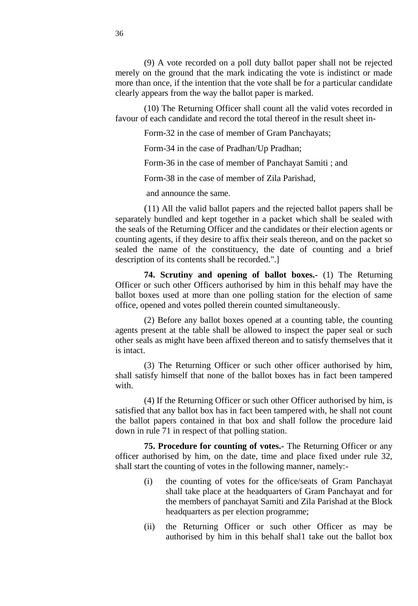(9) A vote recorded on a poll duty ballot paper shall not be rejected merely on the ground that the mark indicating the vote is indistinct or made more than once, if the intention that the vote shall be for a particular candidate clearly appears from the way the ballot paper is marked.

(10) The Returning Officer shall count all the valid votes recorded in favour of each candidate and record the total thereof in the result sheet in-

Form-32 in the case of member of Gram Panchayats;

Form-34 in the case of Pradhan/Up Pradhan;

Form-36 in the case of member of Panchayat Samiti ; and

Form-38 in the case of member of Zila Parishad,

and announce the same.

(11) All the valid ballot papers and the rejected ballot papers shall be separately bundled and kept together in a packet which shall be sealed with the seals of the Returning Officer and the candidates or their election agents or counting agents, if they desire to affix their seals thereon, and on the packet so sealed the name of the constituency, the date of counting and a brief description of its contents shall be recorded.".]

<span id="page-35-0"></span>**74. Scrutiny and opening of ballot boxes.-** (1) The Returning Officer or such other Officers authorised by him in this behalf may have the ballot boxes used at more than one polling station for the election of same office, opened and votes polled therein counted simultaneously.

(2) Before any ballot boxes opened at a counting table, the counting agents present at the table shall be allowed to inspect the paper seal or such other seals as might have been affixed thereon and to satisfy themselves that it is intact.

(3) The Returning Officer or such other officer authorised by him, shall satisfy himself that none of the ballot boxes has in fact been tampered with

(4) If the Returning Officer or such other Officer authorised by him, is satisfied that any ballot box has in fact been tampered with, he shall not count the ballot papers contained in that box and shall follow the procedure laid down in rule 71 in respect of that polling station.

<span id="page-35-1"></span>**75. Procedure for counting of votes.-** The Returning Officer or any officer authorised by him, on the date, time and place fixed under rule 32, shall start the counting of votes in the following manner, namely:-

- (i) the counting of votes for the office/seats of Gram Panchayat shall take place at the headquarters of Gram Panchayat and for the members of panchayat Samiti and Zila Parishad at the Block headquarters as per election programme;
- (ii) the Returning Officer or such other Officer as may be authorised by him in this behalf shal1 take out the ballot box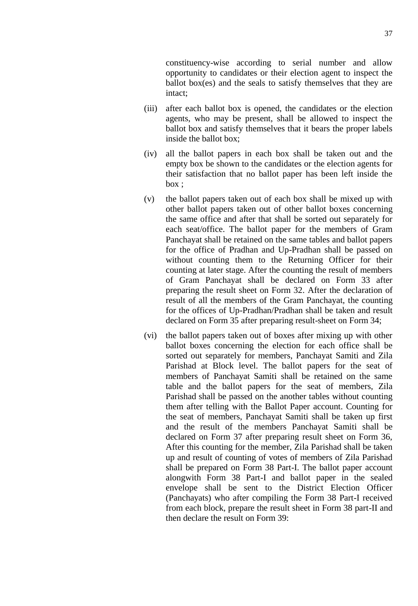constituency-wise according to serial number and allow opportunity to candidates or their election agent to inspect the ballot box(es) and the seals to satisfy themselves that they are intact;

- (iii) after each ballot box is opened, the candidates or the election agents, who may be present, shall be allowed to inspect the ballot box and satisfy themselves that it bears the proper labels inside the ballot box;
- (iv) all the ballot papers in each box shall be taken out and the empty box be shown to the candidates or the election agents for their satisfaction that no ballot paper has been left inside the box ;
- (v) the ballot papers taken out of each box shall be mixed up with other ballot papers taken out of other ballot boxes concerning the same office and after that shall be sorted out separately for each seat/office. The ballot paper for the members of Gram Panchayat shall be retained on the same tables and ballot papers for the office of Pradhan and Up-Pradhan shall be passed on without counting them to the Returning Officer for their counting at later stage. After the counting the result of members of Gram Panchayat shall be declared on Form 33 after preparing the result sheet on Form 32. After the declaration of result of all the members of the Gram Panchayat, the counting for the offices of Up-Pradhan/Pradhan shall be taken and result declared on Form 35 after preparing result-sheet on Form 34;
- (vi) the ballot papers taken out of boxes after mixing up with other ballot boxes concerning the election for each office shall be sorted out separately for members, Panchayat Samiti and Zila Parishad at Block level. The ballot papers for the seat of members of Panchayat Samiti shall be retained on the same table and the ballot papers for the seat of members, Zila Parishad shall be passed on the another tables without counting them after telling with the Ballot Paper account. Counting for the seat of members, Panchayat Samiti shall be taken up first and the result of the members Panchayat Samiti shall be declared on Form 37 after preparing result sheet on Form 36, After this counting for the member, Zila Parishad shall be taken up and result of counting of votes of members of Zila Parishad shall be prepared on Form 38 Part-I. The ballot paper account alongwith Form 38 Part-I and ballot paper in the sealed envelope shall be sent to the District Election Officer (Panchayats) who after compiling the Form 38 Part-I received from each block, prepare the result sheet in Form 38 part-II and then declare the result on Form 39: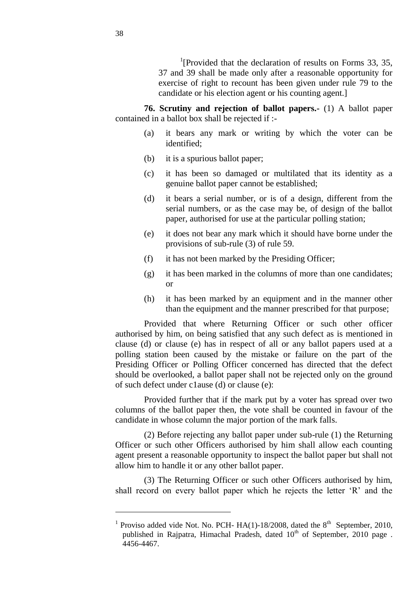<sup>1</sup>[Provided that the declaration of results on Forms 33, 35, 37 and 39 shall be made only after a reasonable opportunity for exercise of right to recount has been given under rule 79 to the candidate or his election agent or his counting agent.]

**76. Scrutiny and rejection of ballot papers.-** (1) A ballot paper contained in a ballot box shall be rejected if :-

- (a) it bears any mark or writing by which the voter can be identified;
- (b) it is a spurious ballot paper;
- (c) it has been so damaged or multilated that its identity as a genuine ballot paper cannot be established;
- (d) it bears a serial number, or is of a design, different from the serial numbers, or as the case may be, of design of the ballot paper, authorised for use at the particular polling station;
- (e) it does not bear any mark which it should have borne under the provisions of sub-rule (3) of rule 59.
- (f) it has not been marked by the Presiding Officer;
- (g) it has been marked in the columns of more than one candidates; or
- (h) it has been marked by an equipment and in the manner other than the equipment and the manner prescribed for that purpose;

Provided that where Returning Officer or such other officer authorised by him, on being satisfied that any such defect as is mentioned in clause (d) or clause (e) has in respect of all or any ballot papers used at a polling station been caused by the mistake or failure on the part of the Presiding Officer or Polling Officer concerned has directed that the defect should be overlooked, a ballot paper shall not be rejected only on the ground of such defect under c1ause (d) or clause (e):

Provided further that if the mark put by a voter has spread over two columns of the ballot paper then, the vote shall be counted in favour of the candidate in whose column the major portion of the mark falls.

(2) Before rejecting any ballot paper under sub-rule (1) the Returning Officer or such other Officers authorised by him shall allow each counting agent present a reasonable opportunity to inspect the ballot paper but shall not allow him to handle it or any other ballot paper.

(3) The Returning Officer or such other Officers authorised by him, shall record on every ballot paper which he rejects the letter 'R' and the

l

<sup>&</sup>lt;sup>1</sup> Proviso added vide Not. No. PCH- HA(1)-18/2008, dated the  $8<sup>th</sup>$  September, 2010, published in Rajpatra, Himachal Pradesh, dated 10<sup>th</sup> of September, 2010 page. 4456-4467.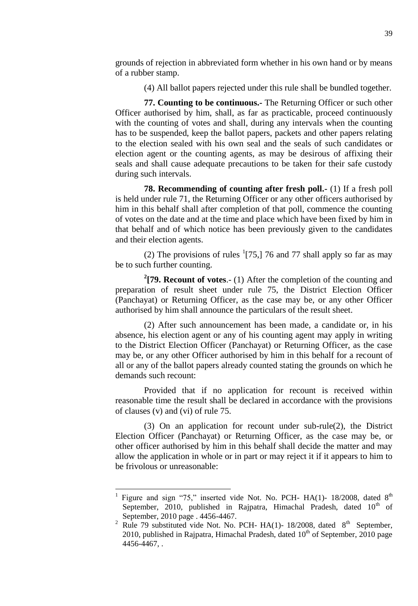grounds of rejection in abbreviated form whether in his own hand or by means of a rubber stamp.

(4) All ballot papers rejected under this rule shall be bundled together.

**77. Counting to be continuous.-** The Returning Officer or such other Officer authorised by him, shall, as far as practicable, proceed continuously with the counting of votes and shall, during any intervals when the counting has to be suspended, keep the ballot papers, packets and other papers relating to the election sealed with his own seal and the seals of such candidates or election agent or the counting agents, as may be desirous of affixing their seals and shall cause adequate precautions to be taken for their safe custody during such intervals.

**78. Recommending of counting after fresh poll.-** (1) If a fresh poll is held under rule 71, the Returning Officer or any other officers authorised by him in this behalf shall after completion of that poll, commence the counting of votes on the date and at the time and place which have been fixed by him in that behalf and of which notice has been previously given to the candidates and their election agents.

(2) The provisions of rules  $(175)$ , 76 and 77 shall apply so far as may be to such further counting.

**2 [79. Recount of votes**.- (1) After the completion of the counting and preparation of result sheet under rule 75, the District Election Officer (Panchayat) or Returning Officer, as the case may be, or any other Officer authorised by him shall announce the particulars of the result sheet.

(2) After such announcement has been made, a candidate or, in his absence, his election agent or any of his counting agent may apply in writing to the District Election Officer (Panchayat) or Returning Officer, as the case may be, or any other Officer authorised by him in this behalf for a recount of all or any of the ballot papers already counted stating the grounds on which he demands such recount:

Provided that if no application for recount is received within reasonable time the result shall be declared in accordance with the provisions of clauses (v) and (vi) of rule 75.

(3) On an application for recount under sub-rule(2), the District Election Officer (Panchayat) or Returning Officer, as the case may be, or other officer authorised by him in this behalf shall decide the matter and may allow the application in whole or in part or may reject it if it appears to him to be frivolous or unreasonable:

<sup>&</sup>lt;sup>1</sup> Figure and sign "75," inserted vide Not. No. PCH- HA(1)- 18/2008, dated 8<sup>th</sup> September, 2010, published in Rajpatra, Himachal Pradesh, dated  $10<sup>th</sup>$  of September, 2010 page . 4456-4467.

<sup>&</sup>lt;sup>2</sup> Rule 79 substituted vide Not. No. PCH- HA(1)- 18/2008, dated  $8<sup>th</sup>$  September, 2010, published in Rajpatra, Himachal Pradesh, dated  $10<sup>th</sup>$  of September, 2010 page 4456-4467, .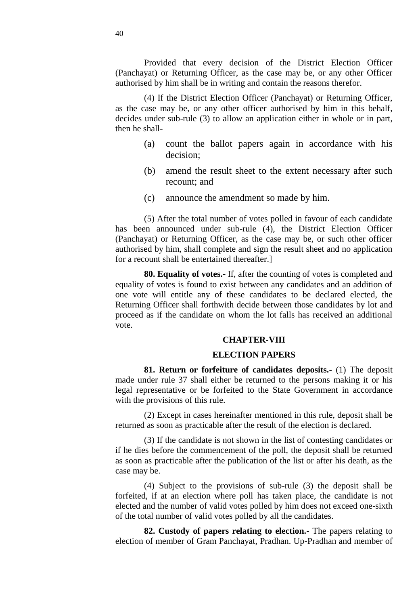Provided that every decision of the District Election Officer (Panchayat) or Returning Officer, as the case may be, or any other Officer authorised by him shall be in writing and contain the reasons therefor.

(4) If the District Election Officer (Panchayat) or Returning Officer, as the case may be, or any other officer authorised by him in this behalf, decides under sub-rule (3) to allow an application either in whole or in part, then he shall-

- (a) count the ballot papers again in accordance with his decision;
- (b) amend the result sheet to the extent necessary after such recount; and
- (c) announce the amendment so made by him.

(5) After the total number of votes polled in favour of each candidate has been announced under sub-rule (4), the District Election Officer (Panchayat) or Returning Officer, as the case may be, or such other officer authorised by him, shall complete and sign the result sheet and no application for a recount shall be entertained thereafter.]

**80. Equality of votes.-** If, after the counting of votes is completed and equality of votes is found to exist between any candidates and an addition of one vote will entitle any of these candidates to be declared elected, the Returning Officer shall forthwith decide between those candidates by lot and proceed as if the candidate on whom the lot falls has received an additional vote.

#### **CHAPTER-VIII**

### **ELECTION PAPERS**

**81. Return or forfeiture of candidates deposits.-** (1) The deposit made under rule 37 shall either be returned to the persons making it or his legal representative or be forfeited to the State Government in accordance with the provisions of this rule.

(2) Except in cases hereinafter mentioned in this rule, deposit shall be returned as soon as practicable after the result of the election is declared.

(3) If the candidate is not shown in the list of contesting candidates or if he dies before the commencement of the poll, the deposit shall be returned as soon as practicable after the publication of the list or after his death, as the case may be.

(4) Subject to the provisions of sub-rule (3) the deposit shall be forfeited, if at an election where poll has taken place, the candidate is not elected and the number of valid votes polled by him does not exceed one-sixth of the total number of valid votes polled by all the candidates.

**82. Custody of papers relating to election.-** The papers relating to election of member of Gram Panchayat, Pradhan. Up-Pradhan and member of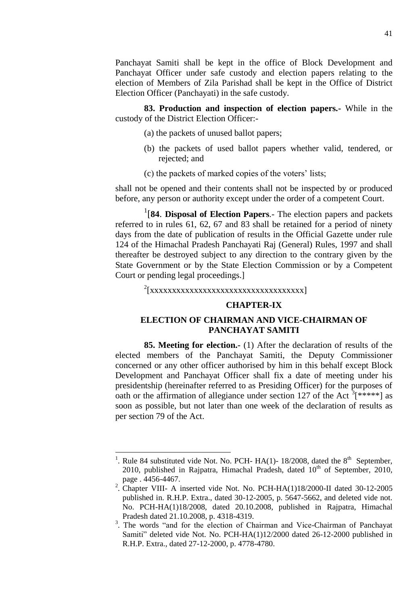Panchayat Samiti shall be kept in the office of Block Development and Panchayat Officer under safe custody and election papers relating to the election of Members of Zila Parishad shall be kept in the Office of District Election Officer (Panchayati) in the safe custody.

**83. Production and inspection of election papers.-** While in the custody of the District Election Officer:-

- (a) the packets of unused ballot papers;
- (b) the packets of used ballot papers whether valid, tendered, or rejected; and
- (c) the packets of marked copies of the voters' lists;

shall not be opened and their contents shall not be inspected by or produced before, any person or authority except under the order of a competent Court.

1 [**84**. **Disposal of Election Papers***.-* The election papers and packets referred to in rules 61, 62, 67 and 83 shall be retained for a period of ninety days from the date of publication of results in the Official Gazette under rule 124 of the Himachal Pradesh Panchayati Raj (General) Rules, 1997 and shall thereafter be destroyed subject to any direction to the contrary given by the State Government or by the State Election Commission or by a Competent Court or pending legal proceedings.]

2 [xxxxxxxxxxxxxxxxxxxxxxxxxxxxxxxxxxx]

### **CHAPTER-IX**

## **ELECTION OF CHAIRMAN AND VICE-CHAIRMAN OF PANCHAYAT SAMITI**

**85. Meeting for election.-** (1) After the declaration of results of the elected members of the Panchayat Samiti, the Deputy Commissioner concerned or any other officer authorised by him in this behalf except Block Development and Panchayat Officer shall fix a date of meeting under his presidentship (hereinafter referred to as Presiding Officer) for the purposes of oath or the affirmation of allegiance under section 127 of the Act  $\frac{3}{5}$ <sup>\*\*\*\*\*</sup>] as soon as possible, but not later than one week of the declaration of results as per section 79 of the Act.

 $\overline{a}$ 

<sup>1</sup> . Rule 84 substituted vide Not. No. PCH-  $HA(1)$ - 18/2008, dated the 8<sup>th</sup> September, 2010, published in Rajpatra, Himachal Pradesh, dated  $10<sup>th</sup>$  of September, 2010, page . 4456-4467.

<sup>&</sup>lt;sup>2</sup>. Chapter VIII- A inserted vide Not. No. PCH-HA(1)18/2000-II dated 30-12-2005 published in. R.H.P. Extra., dated 30-12-2005, p. 5647-5662, and deleted vide not. No. PCH-HA(1)18/2008, dated 20.10.2008, published in Rajpatra, Himachal Pradesh dated 21.10.2008, p. 4318-4319.

<sup>&</sup>lt;sup>3</sup>. The words "and for the election of Chairman and Vice-Chairman of Panchayat Samiti" deleted vide Not. No. PCH-HA(1)12/2000 dated 26-12-2000 published in R.H.P. Extra., dated 27-12-2000, p. 4778-4780.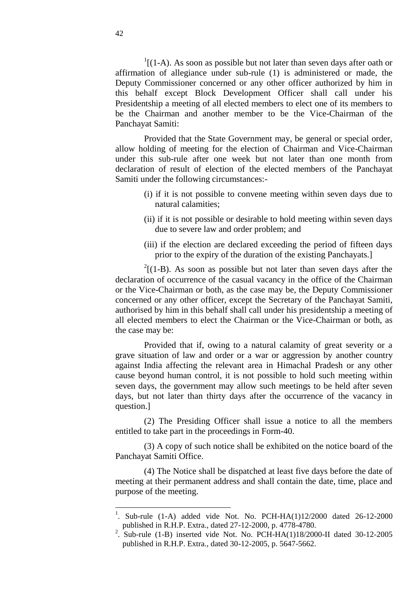$1[(1-A)$ . As soon as possible but not later than seven days after oath or affirmation of allegiance under sub-rule (1) is administered or made, the Deputy Commissioner concerned or any other officer authorized by him in this behalf except Block Development Officer shall call under his Presidentship a meeting of all elected members to elect one of its members to be the Chairman and another member to be the Vice-Chairman of the Panchayat Samiti:

Provided that the State Government may, be general or special order, allow holding of meeting for the election of Chairman and Vice-Chairman under this sub-rule after one week but not later than one month from declaration of result of election of the elected members of the Panchayat Samiti under the following circumstances:-

- (i) if it is not possible to convene meeting within seven days due to natural calamities;
- (ii) if it is not possible or desirable to hold meeting within seven days due to severe law and order problem; and
- (iii) if the election are declared exceeding the period of fifteen days prior to the expiry of the duration of the existing Panchayats.]

 $2(1-B)$ . As soon as possible but not later than seven days after the declaration of occurrence of the casual vacancy in the office of the Chairman or the Vice-Chairman or both, as the case may be, the Deputy Commissioner concerned or any other officer, except the Secretary of the Panchayat Samiti, authorised by him in this behalf shall call under his presidentship a meeting of all elected members to elect the Chairman or the Vice-Chairman or both, as the case may be:

Provided that if, owing to a natural calamity of great severity or a grave situation of law and order or a war or aggression by another country against India affecting the relevant area in Himachal Pradesh or any other cause beyond human control, it is not possible to hold such meeting within seven days, the government may allow such meetings to be held after seven days, but not later than thirty days after the occurrence of the vacancy in question.]

(2) The Presiding Officer shall issue a notice to all the members entitled to take part in the proceedings in Form-40.

(3) A copy of such notice shall be exhibited on the notice board of the Panchayat Samiti Office.

(4) The Notice shall be dispatched at least five days before the date of meeting at their permanent address and shall contain the date, time, place and purpose of the meeting.

 $\overline{a}$ 

<sup>&</sup>lt;sup>1</sup>. Sub-rule (1-A) added vide Not. No. PCH-HA(1)12/2000 dated 26-12-2000 published in R.H.P. Extra., dated 27-12-2000, p. 4778-4780.

<sup>&</sup>lt;sup>2</sup>. Sub-rule (1-B) inserted vide Not. No. PCH-HA(1)18/2000-II dated 30-12-2005 published in R.H.P. Extra., dated 30-12-2005, p. 5647-5662.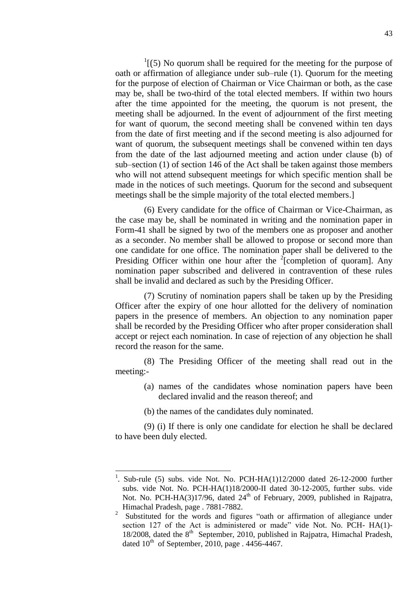$1$ [(5) No quorum shall be required for the meeting for the purpose of oath or affirmation of allegiance under sub–rule (1). Quorum for the meeting for the purpose of election of Chairman or Vice Chairman or both, as the case may be, shall be two-third of the total elected members. If within two hours after the time appointed for the meeting, the quorum is not present, the meeting shall be adjourned. In the event of adjournment of the first meeting for want of quorum, the second meeting shall be convened within ten days from the date of first meeting and if the second meeting is also adjourned for want of quorum, the subsequent meetings shall be convened within ten days from the date of the last adjourned meeting and action under clause (b) of sub–section (1) of section 146 of the Act shall be taken against those members who will not attend subsequent meetings for which specific mention shall be made in the notices of such meetings. Quorum for the second and subsequent meetings shall be the simple majority of the total elected members.]

(6) Every candidate for the office of Chairman or Vice-Chairman, as the case may be, shall be nominated in writing and the nomination paper in Form-41 shall be signed by two of the members one as proposer and another as a seconder. No member shall be allowed to propose or second more than one candidate for one office. The nomination paper shall be delivered to the Presiding Officer within one hour after the  $2$ [completion of quoram]. Any nomination paper subscribed and delivered in contravention of these rules shall be invalid and declared as such by the Presiding Officer.

(7) Scrutiny of nomination papers shall be taken up by the Presiding Officer after the expiry of one hour allotted for the delivery of nomination papers in the presence of members. An objection to any nomination paper shall be recorded by the Presiding Officer who after proper consideration shall accept or reject each nomination. In case of rejection of any objection he shall record the reason for the same.

(8) The Presiding Officer of the meeting shall read out in the meeting:-

- (a) names of the candidates whose nomination papers have been declared invalid and the reason thereof; and
- (b) the names of the candidates duly nominated.

(9) (i) If there is only one candidate for election he shall be declared to have been duly elected.

 1 . Sub-rule (5) subs. vide Not. No. PCH-HA(1)12/2000 dated 26-12-2000 further subs. vide Not. No. PCH-HA(1)18/2000-II dated 30-12-2005, further subs. vide Not. No. PCH-HA(3)17/96, dated  $24<sup>th</sup>$  of February, 2009, published in Rajpatra, Himachal Pradesh, page . 7881-7882.

<sup>2</sup> Substituted for the words and figures "oath or affirmation of allegiance under section 127 of the Act is administered or made" vide Not. No. PCH- HA(1)-18/2008, dated the  $8<sup>th</sup>$  September, 2010, published in Rajpatra, Himachal Pradesh, dated  $10^{th}$  of September, 2010, page . 4456-4467.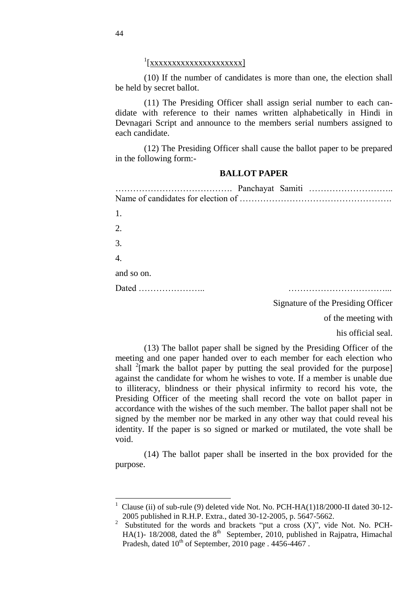# 1 [xxxxxxxxxxxxxxxxxxxxx]

(10) If the number of candidates is more than one, the election shall be held by secret ballot.

(11) The Presiding Officer shall assign serial number to each candidate with reference to their names written alphabetically in Hindi in Devnagari Script and announce to the members serial numbers assigned to each candidate.

(12) The Presiding Officer shall cause the ballot paper to be prepared in the following form:-

#### **BALLOT PAPER**

| 1.               |  |                                    |
|------------------|--|------------------------------------|
| 2.               |  |                                    |
| $\overline{3}$ . |  |                                    |
| $\overline{4}$ . |  |                                    |
| and so on.       |  |                                    |
|                  |  |                                    |
|                  |  | Signature of the Presiding Officer |

Signature of the Presiding Officer

of the meeting with

his official seal.

(13) The ballot paper shall be signed by the Presiding Officer of the meeting and one paper handed over to each member for each election who shall  $^{2}$ [mark the ballot paper by putting the seal provided for the purpose] against the candidate for whom he wishes to vote. If a member is unable due to illiteracy, blindness or their physical infirmity to record his vote, the Presiding Officer of the meeting shall record the vote on ballot paper in accordance with the wishes of the such member. The ballot paper shall not be signed by the member nor be marked in any other way that could reveal his identity. If the paper is so signed or marked or mutilated, the vote shall be void.

(14) The ballot paper shall be inserted in the box provided for the purpose.

<sup>&</sup>lt;sup>1</sup> Clause (ii) of sub-rule (9) deleted vide Not. No. PCH-HA(1)18/2000-II dated 30-12-2005 published in R.H.P. Extra., dated 30-12-2005, p. 5647-5662.

<sup>&</sup>lt;sup>2</sup> Substituted for the words and brackets "put a cross  $(X)$ ", vide Not. No. PCH-HA(1)- 18/2008, dated the  $8<sup>th</sup>$  September, 2010, published in Rajpatra, Himachal Pradesh, dated  $10^{th}$  of September, 2010 page . 4456-4467.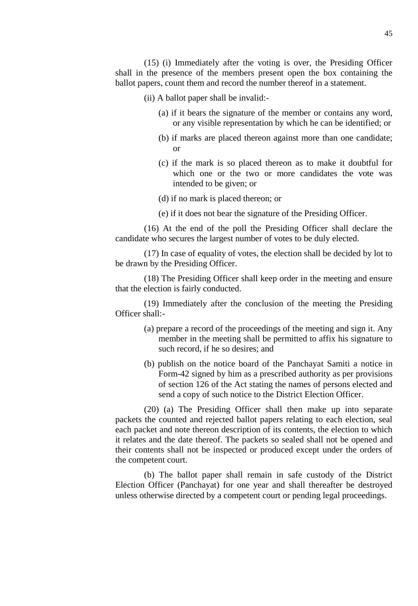(15) (i) Immediately after the voting is over, the Presiding Officer shall in the presence of the members present open the box containing the ballot papers, count them and record the number thereof in a statement.

(ii) A ballot paper shall be invalid:-

- (a) if it bears the signature of the member or contains any word, or any visible representation by which he can be identified; or
- (b) if marks are placed thereon against more than one candidate; or
- (c) if the mark is so placed thereon as to make it doubtful for which one or the two or more candidates the vote was intended to be given; or
- (d) if no mark is placed thereon; or
- (e) if it does not bear the signature of the Presiding Officer.

(16) At the end of the poll the Presiding Officer shall declare the candidate who secures the largest number of votes to be duly elected.

(17) In case of equality of votes, the election shall be decided by lot to be drawn by the Presiding Officer.

(18) The Presiding Officer shall keep order in the meeting and ensure that the election is fairly conducted.

(19) Immediately after the conclusion of the meeting the Presiding Officer shall:-

- (a) prepare a record of the proceedings of the meeting and sign it. Any member in the meeting shall be permitted to affix his signature to such record, if he so desires; and
- (b) publish on the notice board of the Panchayat Samiti a notice in Form-42 signed by him as a prescribed authority as per provisions of section 126 of the Act stating the names of persons elected and send a copy of such notice to the District Election Officer.

(20) (a) The Presiding Officer shall then make up into separate packets the counted and rejected ballot papers relating to each election, seal each packet and note thereon description of its contents, the election to which it relates and the date thereof. The packets so sealed shall not be opened and their contents shall not be inspected or produced except under the orders of the competent court.

(b) The ballot paper shall remain in safe custody of the District Election Officer (Panchayat) for one year and shall thereafter be destroyed unless otherwise directed by a competent court or pending legal proceedings.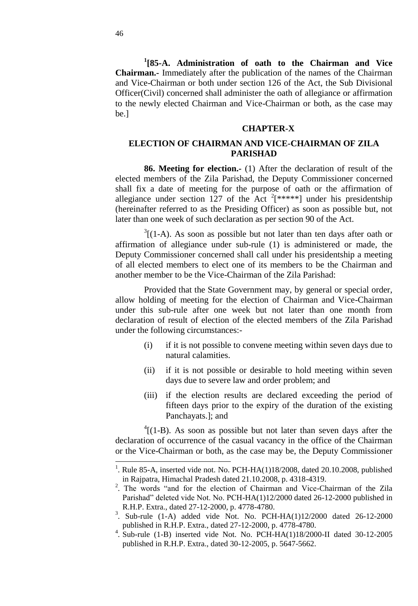**1 [85-A. Administration of oath to the Chairman and Vice Chairman.**- Immediately after the publication of the names of the Chairman and Vice-Chairman or both under section 126 of the Act, the Sub Divisional Officer(Civil) concerned shall administer the oath of allegiance or affirmation to the newly elected Chairman and Vice-Chairman or both, as the case may be.]

### **CHAPTER-X**

### **ELECTION OF CHAIRMAN AND VICE-CHAIRMAN OF ZILA PARISHAD**

**86. Meeting for election.-** (1) After the declaration of result of the elected members of the Zila Parishad, the Deputy Commissioner concerned shall fix a date of meeting for the purpose of oath or the affirmation of allegiance under section 127 of the Act  $2$ [\*\*\*\*\*] under his presidentship (hereinafter referred to as the Presiding Officer) as soon as possible but, not later than one week of such declaration as per section 90 of the Act.

 $3(1-A)$ . As soon as possible but not later than ten days after oath or affirmation of allegiance under sub-rule (1) is administered or made, the Deputy Commissioner concerned shall call under his presidentship a meeting of all elected members to elect one of its members to be the Chairman and another member to be the Vice-Chairman of the Zila Parishad:

Provided that the State Government may, by general or special order, allow holding of meeting for the election of Chairman and Vice-Chairman under this sub-rule after one week but not later than one month from declaration of result of election of the elected members of the Zila Parishad under the following circumstances:-

- (i) if it is not possible to convene meeting within seven days due to natural calamities.
- (ii) if it is not possible or desirable to hold meeting within seven days due to severe law and order problem; and
- (iii) if the election results are declared exceeding the period of fifteen days prior to the expiry of the duration of the existing Panchayats.]; and

 $4(1-B)$ . As soon as possible but not later than seven days after the declaration of occurrence of the casual vacancy in the office of the Chairman or the Vice-Chairman or both, as the case may be, the Deputy Commissioner

l

<sup>&</sup>lt;sup>1</sup>. Rule 85-A, inserted vide not. No. PCH-HA $(1)18/2008$ , dated 20.10.2008, published in Rajpatra, Himachal Pradesh dated 21.10.2008, p. 4318-4319.

 $2^2$ . The words "and for the election of Chairman and Vice-Chairman of the Zila Parishad" deleted vide Not. No. PCH-HA(1)12/2000 dated 26-12-2000 published in R.H.P. Extra., dated 27-12-2000, p. 4778-4780.

<sup>&</sup>lt;sup>3</sup>. Sub-rule (1-A) added vide Not. No. PCH-HA(1)12/2000 dated 26-12-2000 published in R.H.P. Extra., dated 27-12-2000, p. 4778-4780.

<sup>4</sup> . Sub-rule (1-B) inserted vide Not. No. PCH-HA(1)18/2000-II dated 30-12-2005 published in R.H.P. Extra., dated 30-12-2005, p. 5647-5662.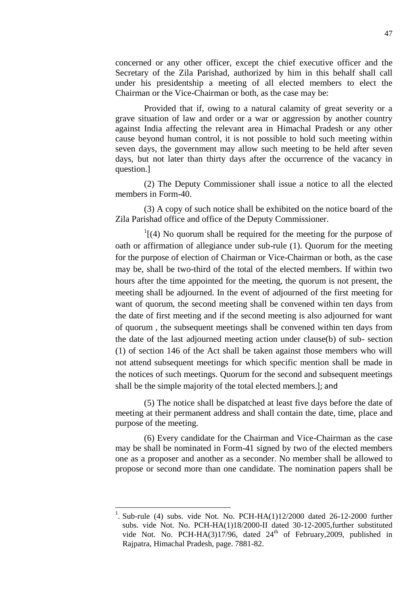concerned or any other officer, except the chief executive officer and the Secretary of the Zila Parishad, authorized by him in this behalf shall call under his presidentship a meeting of all elected members to elect the Chairman or the Vice-Chairman or both, as the case may be:

Provided that if, owing to a natural calamity of great severity or a grave situation of law and order or a war or aggression by another country against India affecting the relevant area in Himachal Pradesh or any other cause beyond human control, it is not possible to hold such meeting within seven days, the government may allow such meeting to be held after seven days, but not later than thirty days after the occurrence of the vacancy in question.]

(2) The Deputy Commissioner shall issue a notice to all the elected members in Form-40.

(3) A copy of such notice shall be exhibited on the notice board of the Zila Parishad office and office of the Deputy Commissioner.

 $1$ [(4) No quorum shall be required for the meeting for the purpose of oath or affirmation of allegiance under sub-rule (1). Quorum for the meeting for the purpose of election of Chairman or Vice-Chairman or both, as the case may be, shall be two-third of the total of the elected members. If within two hours after the time appointed for the meeting, the quorum is not present, the meeting shall be adjourned. In the event of adjourned of the first meeting for want of quorum, the second meeting shall be convened within ten days from the date of first meeting and if the second meeting is also adjourned for want of quorum , the subsequent meetings shall be convened within ten days from the date of the last adjourned meeting action under clause(b) of sub- section (1) of section 146 of the Act shall be taken against those members who will not attend subsequent meetings for which specific mention shall be made in the notices of such meetings. Quorum for the second and subsequent meetings shall be the simple majority of the total elected members.]; and

(5) The notice shall be dispatched at least five days before the date of meeting at their permanent address and shall contain the date, time, place and purpose of the meeting.

(6) Every candidate for the Chairman and Vice-Chairman as the case may be shall be nominated in Form-41 signed by two of the elected members one as a proposer and another as a seconder. No member shall be allowed to propose or second more than one candidate. The nomination papers shall be

 $\overline{a}$ 

<sup>1</sup> . Sub-rule (4) subs. vide Not. No. PCH-HA(1)12/2000 dated 26-12-2000 further subs. vide Not. No. PCH-HA(1)18/2000-II dated 30-12-2005,further substituted vide Not. No. PCH-HA(3)17/96, dated  $24<sup>th</sup>$  of February, 2009, published in Rajpatra, Himachal Pradesh, page. 7881-82.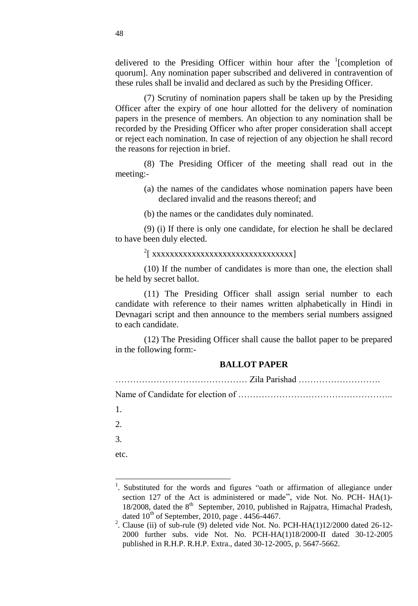delivered to the Presiding Officer within hour after the  $\frac{1}{2}$  [completion of quorum]. Any nomination paper subscribed and delivered in contravention of these rules shall be invalid and declared as such by the Presiding Officer.

(7) Scrutiny of nomination papers shall be taken up by the Presiding Officer after the expiry of one hour allotted for the delivery of nomination papers in the presence of members. An objection to any nomination shall be recorded by the Presiding Officer who after proper consideration shall accept or reject each nomination. In case of rejection of any objection he shall record the reasons for rejection in brief.

(8) The Presiding Officer of the meeting shall read out in the meeting:-

- (a) the names of the candidates whose nomination papers have been declared invalid and the reasons thereof; and
- (b) the names or the candidates duly nominated.

(9) (i) If there is only one candidate, for election he shall be declared to have been duly elected.

2 [ xxxxxxxxxxxxxxxxxxxxxxxxxxxxxxxx]

(10) If the number of candidates is more than one, the election shall be held by secret ballot.

(11) The Presiding Officer shall assign serial number to each candidate with reference to their names written alphabetically in Hindi in Devnagari script and then announce to the members serial numbers assigned to each candidate.

(12) The Presiding Officer shall cause the ballot paper to be prepared in the following form:-

### **BALLOT PAPER**

……………………………………… Zila Parishad ……………………….

Name of Candidate for election of ……………………………………………..

1.

 $2<sup>2</sup>$ 

3.

 $\overline{a}$ 

etc.

<sup>&</sup>lt;sup>1</sup>. Substituted for the words and figures "oath or affirmation of allegiance under section 127 of the Act is administered or made", vide Not. No. PCH- HA(1)-18/2008, dated the 8<sup>th</sup> September, 2010, published in Rajpatra, Himachal Pradesh, dated  $10^{th}$  of September, 2010, page . 4456-4467.

<sup>&</sup>lt;sup>2</sup>. Clause (ii) of sub-rule (9) deleted vide Not. No. PCH-HA(1)12/2000 dated 26-12-2000 further subs. vide Not. No. PCH-HA(1)18/2000-II dated 30-12-2005 published in R.H.P. R.H.P. Extra., dated 30-12-2005, p. 5647-5662.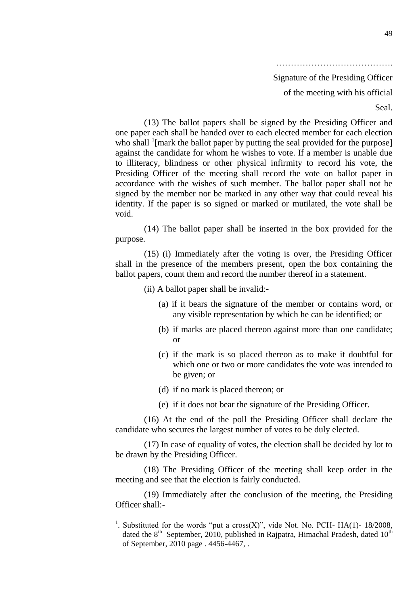Signature of the Presiding Officer of the meeting with his official

Seal.

(13) The ballot papers shall be signed by the Presiding Officer and one paper each shall be handed over to each elected member for each election who shall <sup>1</sup>[mark the ballot paper by putting the seal provided for the purpose] against the candidate for whom he wishes to vote. If a member is unable due to illiteracy, blindness or other physical infirmity to record his vote, the Presiding Officer of the meeting shall record the vote on ballot paper in accordance with the wishes of such member. The ballot paper shall not be signed by the member nor be marked in any other way that could reveal his identity. If the paper is so signed or marked or mutilated, the vote shall be void.

(14) The ballot paper shall be inserted in the box provided for the purpose.

(15) (i) Immediately after the voting is over, the Presiding Officer shall in the presence of the members present, open the box containing the ballot papers, count them and record the number thereof in a statement.

(ii) A ballot paper shall be invalid:-

- (a) if it bears the signature of the member or contains word, or any visible representation by which he can be identified; or
- (b) if marks are placed thereon against more than one candidate; or
- (c) if the mark is so placed thereon as to make it doubtful for which one or two or more candidates the vote was intended to be given; or
- (d) if no mark is placed thereon; or

l

(e) if it does not bear the signature of the Presiding Officer.

(16) At the end of the poll the Presiding Officer shall declare the candidate who secures the largest number of votes to be duly elected.

(17) In case of equality of votes, the election shall be decided by lot to be drawn by the Presiding Officer.

(18) The Presiding Officer of the meeting shall keep order in the meeting and see that the election is fairly conducted.

(19) Immediately after the conclusion of the meeting, the Presiding Officer shall:-

<sup>1</sup> Substituted for the words "put a cross(X)", vide Not. No. PCH-  $HA(1)$ - 18/2008, dated the  $8<sup>th</sup>$  September, 2010, published in Rajpatra, Himachal Pradesh, dated 10<sup>th</sup> of September, 2010 page . 4456-4467, .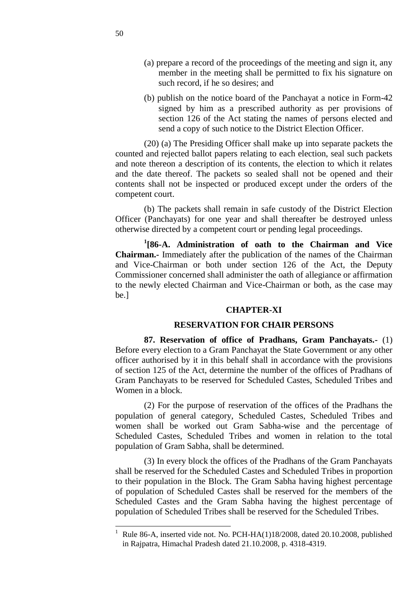- (a) prepare a record of the proceedings of the meeting and sign it, any member in the meeting shall be permitted to fix his signature on such record, if he so desires; and
- (b) publish on the notice board of the Panchayat a notice in Form-42 signed by him as a prescribed authority as per provisions of section 126 of the Act stating the names of persons elected and send a copy of such notice to the District Election Officer.

(20) (a) The Presiding Officer shall make up into separate packets the counted and rejected ballot papers relating to each election, seal such packets and note thereon a description of its contents, the election to which it relates and the date thereof. The packets so sealed shall not be opened and their contents shall not be inspected or produced except under the orders of the competent court.

(b) The packets shall remain in safe custody of the District Election Officer (Panchayats) for one year and shall thereafter be destroyed unless otherwise directed by a competent court or pending legal proceedings.

**1 [86-A. Administration of oath to the Chairman and Vice Chairman.-** Immediately after the publication of the names of the Chairman and Vice-Chairman or both under section 126 of the Act, the Deputy Commissioner concerned shall administer the oath of allegiance or affirmation to the newly elected Chairman and Vice-Chairman or both, as the case may be.]

### **CHAPTER-XI**

#### **RESERVATION FOR CHAIR PERSONS**

**87. Reservation of office of Pradhans, Gram Panchayats.-** (1) Before every election to a Gram Panchayat the State Government or any other officer authorised by it in this behalf shall in accordance with the provisions of section 125 of the Act, determine the number of the offices of Pradhans of Gram Panchayats to be reserved for Scheduled Castes, Scheduled Tribes and Women in a block.

(2) For the purpose of reservation of the offices of the Pradhans the population of general category, Scheduled Castes, Scheduled Tribes and women shall be worked out Gram Sabha-wise and the percentage of Scheduled Castes, Scheduled Tribes and women in relation to the total population of Gram Sabha, shall be determined.

(3) In every block the offices of the Pradhans of the Gram Panchayats shall be reserved for the Scheduled Castes and Scheduled Tribes in proportion to their population in the Block. The Gram Sabha having highest percentage of population of Scheduled Castes shall be reserved for the members of the Scheduled Castes and the Gram Sabha having the highest percentage of population of Scheduled Tribes shall be reserved for the Scheduled Tribes.

 $\overline{a}$ 

Rule 86-A, inserted vide not. No. PCH-HA(1)18/2008, dated 20.10.2008, published in Rajpatra, Himachal Pradesh dated 21.10.2008, p. 4318-4319.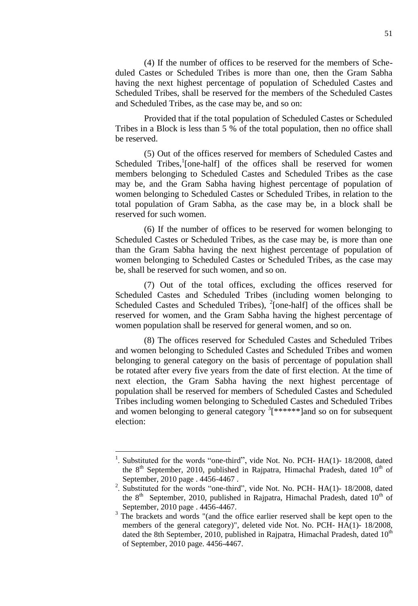(4) If the number of offices to be reserved for the members of Scheduled Castes or Scheduled Tribes is more than one, then the Gram Sabha having the next highest percentage of population of Scheduled Castes and Scheduled Tribes, shall be reserved for the members of the Scheduled Castes and Scheduled Tribes, as the case may be, and so on:

Provided that if the total population of Scheduled Castes or Scheduled Tribes in a Block is less than 5 % of the total population, then no office shall be reserved.

(5) Out of the offices reserved for members of Scheduled Castes and Scheduled Tribes,<sup>1</sup>[one-half] of the offices shall be reserved for women members belonging to Scheduled Castes and Scheduled Tribes as the case may be, and the Gram Sabha having highest percentage of population of women belonging to Scheduled Castes or Scheduled Tribes, in relation to the total population of Gram Sabha, as the case may be, in a block shall be reserved for such women.

(6) If the number of offices to be reserved for women belonging to Scheduled Castes or Scheduled Tribes, as the case may be, is more than one than the Gram Sabha having the next highest percentage of population of women belonging to Scheduled Castes or Scheduled Tribes, as the case may be, shall be reserved for such women, and so on.

(7) Out of the total offices, excluding the offices reserved for Scheduled Castes and Scheduled Tribes (including women belonging to Scheduled Castes and Scheduled Tribes),  $^{2}$ [one-half] of the offices shall be reserved for women, and the Gram Sabha having the highest percentage of women population shall be reserved for general women, and so on.

(8) The offices reserved for Scheduled Castes and Scheduled Tribes and women belonging to Scheduled Castes and Scheduled Tribes and women belonging to general category on the basis of percentage of population shall be rotated after every five years from the date of first election. At the time of next election, the Gram Sabha having the next highest percentage of population shall be reserved for members of Scheduled Castes and Scheduled Tribes including women belonging to Scheduled Castes and Scheduled Tribes and women belonging to general category  ${}^{3}$ [\*\*\*\*\*\*]and so on for subsequent election:

l

<sup>1</sup> Substituted for the words "one-third", vide Not. No. PCH- HA(1)- 18/2008, dated the  $8<sup>th</sup>$  September, 2010, published in Rajpatra, Himachal Pradesh, dated  $10<sup>th</sup>$  of September, 2010 page . 4456-4467 .

<sup>&</sup>lt;sup>2</sup>. Substituted for the words "one-third", vide Not. No. PCH- HA(1)- 18/2008, dated the  $8<sup>th</sup>$  September, 2010, published in Rajpatra, Himachal Pradesh, dated  $10<sup>th</sup>$  of September, 2010 page . 4456-4467.

<sup>&</sup>lt;sup>3</sup> The brackets and words "(and the office earlier reserved shall be kept open to the members of the general category)", deleted vide Not. No. PCH- HA(1)- 18/2008, dated the 8th September, 2010, published in Rajpatra, Himachal Pradesh, dated  $10<sup>th</sup>$ of September, 2010 page. 4456-4467.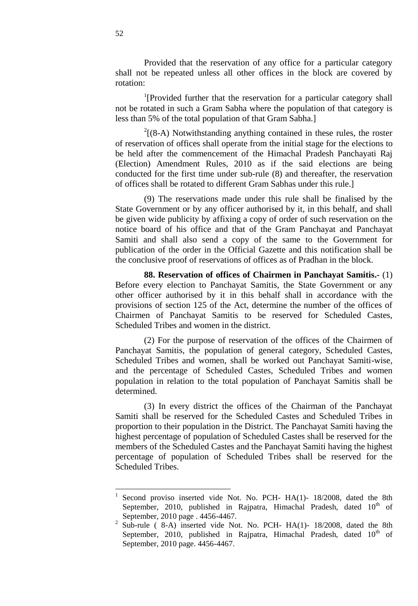Provided that the reservation of any office for a particular category shall not be repeated unless all other offices in the block are covered by rotation:

<sup>1</sup>[Provided further that the reservation for a particular category shall not be rotated in such a Gram Sabha where the population of that category is less than 5% of the total population of that Gram Sabha.]

 $2(8-A)$  Notwithstanding anything contained in these rules, the roster of reservation of offices shall operate from the initial stage for the elections to be held after the commencement of the Himachal Pradesh Panchayati Raj (Election) Amendment Rules, 2010 as if the said elections are being conducted for the first time under sub-rule (8) and thereafter, the reservation of offices shall be rotated to different Gram Sabhas under this rule.]

(9) The reservations made under this rule shall be finalised by the State Government or by any officer authorised by it, in this behalf, and shall be given wide publicity by affixing a copy of order of such reservation on the notice board of his office and that of the Gram Panchayat and Panchayat Samiti and shall also send a copy of the same to the Government for publication of the order in the Official Gazette and this notification shall be the conclusive proof of reservations of offices as of Pradhan in the block.

**88. Reservation of offices of Chairmen in Panchayat Samitis.-** (1) Before every election to Panchayat Samitis, the State Government or any other officer authorised by it in this behalf shall in accordance with the provisions of section 125 of the Act, determine the number of the offices of Chairmen of Panchayat Samitis to be reserved for Scheduled Castes, Scheduled Tribes and women in the district.

(2) For the purpose of reservation of the offices of the Chairmen of Panchayat Samitis, the population of general category, Scheduled Castes, Scheduled Tribes and women, shall be worked out Panchayat Samiti-wise, and the percentage of Scheduled Castes, Scheduled Tribes and women population in relation to the total population of Panchayat Samitis shall be determined.

(3) In every district the offices of the Chairman of the Panchayat Samiti shall be reserved for the Scheduled Castes and Scheduled Tribes in proportion to their population in the District. The Panchayat Samiti having the highest percentage of population of Scheduled Castes shall be reserved for the members of the Scheduled Castes and the Panchayat Samiti having the highest percentage of population of Scheduled Tribes shall be reserved for the Scheduled Tribes.

<sup>|&</sup>lt;br>|<br>| Second proviso inserted vide Not. No. PCH- HA(1)- 18/2008, dated the 8th September, 2010, published in Rajpatra, Himachal Pradesh, dated  $10<sup>th</sup>$  of September, 2010 page . 4456-4467.

<sup>&</sup>lt;sup>2</sup> Sub-rule (8-A) inserted vide Not. No. PCH- HA(1)- 18/2008, dated the 8th September, 2010, published in Rajpatra, Himachal Pradesh, dated  $10<sup>th</sup>$  of September, 2010 page. 4456-4467.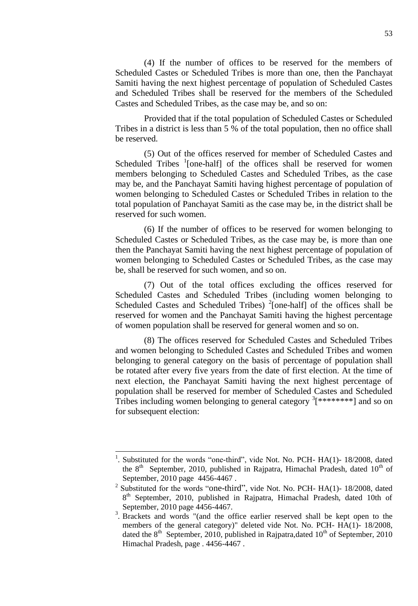(4) If the number of offices to be reserved for the members of Scheduled Castes or Scheduled Tribes is more than one, then the Panchayat Samiti having the next highest percentage of population of Scheduled Castes and Scheduled Tribes shall be reserved for the members of the Scheduled Castes and Scheduled Tribes, as the case may be, and so on:

Provided that if the total population of Scheduled Castes or Scheduled Tribes in a district is less than 5 % of the total population, then no office shall be reserved.

(5) Out of the offices reserved for member of Scheduled Castes and Scheduled Tribes <sup>1</sup>[one-half] of the offices shall be reserved for women members belonging to Scheduled Castes and Scheduled Tribes, as the case may be, and the Panchayat Samiti having highest percentage of population of women belonging to Scheduled Castes or Scheduled Tribes in relation to the total population of Panchayat Samiti as the case may be, in the district shall be reserved for such women.

(6) If the number of offices to be reserved for women belonging to Scheduled Castes or Scheduled Tribes, as the case may be, is more than one then the Panchayat Samiti having the next highest percentage of population of women belonging to Scheduled Castes or Scheduled Tribes, as the case may be, shall be reserved for such women, and so on.

(7) Out of the total offices excluding the offices reserved for Scheduled Castes and Scheduled Tribes (including women belonging to Scheduled Castes and Scheduled Tribes)  $^{2}$ [one-half] of the offices shall be reserved for women and the Panchayat Samiti having the highest percentage of women population shall be reserved for general women and so on.

(8) The offices reserved for Scheduled Castes and Scheduled Tribes and women belonging to Scheduled Castes and Scheduled Tribes and women belonging to general category on the basis of percentage of population shall be rotated after every five years from the date of first election. At the time of next election, the Panchayat Samiti having the next highest percentage of population shall be reserved for member of Scheduled Castes and Scheduled Tribes including women belonging to general category  $\frac{3}{5}$ <sup>\*</sup>\*\*\*\*\*\*\*\*\* ] and so on for subsequent election:

l

<sup>1</sup> Substituted for the words "one-third", vide Not. No. PCH- HA(1)- 18/2008, dated the  $8<sup>th</sup>$  September, 2010, published in Rajpatra, Himachal Pradesh, dated  $10<sup>th</sup>$  of September, 2010 page 4456-4467 .

<sup>&</sup>lt;sup>2</sup> Substituted for the words "one-third", vide Not. No. PCH- HA(1)- 18/2008, dated 8<sup>th</sup> September, 2010, published in Rajpatra, Himachal Pradesh, dated 10th of September, 2010 page 4456-4467.

<sup>&</sup>lt;sup>3</sup>. Brackets and words "(and the office earlier reserved shall be kept open to the members of the general category)" deleted vide Not. No. PCH- HA(1)- 18/2008, dated the  $8<sup>th</sup>$  September, 2010, published in Rajpatra,dated 10<sup>th</sup> of September, 2010 Himachal Pradesh, page . 4456-4467 .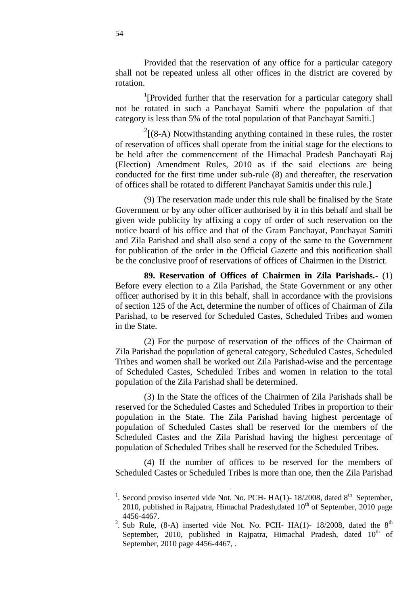Provided that the reservation of any office for a particular category shall not be repeated unless all other offices in the district are covered by rotation.

<sup>1</sup>[Provided further that the reservation for a particular category shall not be rotated in such a Panchayat Samiti where the population of that category is less than 5% of the total population of that Panchayat Samiti.]

 $2[(8-A)$  Notwithstanding anything contained in these rules, the roster of reservation of offices shall operate from the initial stage for the elections to be held after the commencement of the Himachal Pradesh Panchayati Raj (Election) Amendment Rules, 2010 as if the said elections are being conducted for the first time under sub-rule (8) and thereafter, the reservation of offices shall be rotated to different Panchayat Samitis under this rule.]

(9) The reservation made under this rule shall be finalised by the State Government or by any other officer authorised by it in this behalf and shall be given wide publicity by affixing a copy of order of such reservation on the notice board of his office and that of the Gram Panchayat, Panchayat Samiti and Zila Parishad and shall also send a copy of the same to the Government for publication of the order in the Official Gazette and this notification shall be the conclusive proof of reservations of offices of Chairmen in the District.

**89. Reservation of Offices of Chairmen in Zila Parishads.-** (1) Before every election to a Zila Parishad, the State Government or any other officer authorised by it in this behalf, shall in accordance with the provisions of section 125 of the Act, determine the number of offices of Chairman of Zila Parishad, to be reserved for Scheduled Castes, Scheduled Tribes and women in the State.

(2) For the purpose of reservation of the offices of the Chairman of Zila Parishad the population of general category, Scheduled Castes, Scheduled Tribes and women shall be worked out Zila Parishad-wise and the percentage of Scheduled Castes, Scheduled Tribes and women in relation to the total population of the Zila Parishad shall be determined.

(3) In the State the offices of the Chairmen of Zila Parishads shall be reserved for the Scheduled Castes and Scheduled Tribes in proportion to their population in the State. The Zila Parishad having highest percentage of population of Scheduled Castes shall be reserved for the members of the Scheduled Castes and the Zila Parishad having the highest percentage of population of Scheduled Tribes shall be reserved for the Scheduled Tribes.

(4) If the number of offices to be reserved for the members of Scheduled Castes or Scheduled Tribes is more than one, then the Zila Parishad

<sup>&</sup>lt;sup>1</sup>. Second proviso inserted vide Not. No. PCH- HA(1)- 18/2008, dated 8<sup>th</sup> September, 2010, published in Rajpatra, Himachal Pradesh, dated  $10<sup>th</sup>$  of September, 2010 page 4456-4467.

<sup>&</sup>lt;sup>2</sup>. Sub Rule, (8-A) inserted vide Not. No. PCH- HA(1)- 18/2008, dated the  $8<sup>th</sup>$ September, 2010, published in Rajpatra, Himachal Pradesh, dated  $10<sup>th</sup>$  of September, 2010 page 4456-4467, .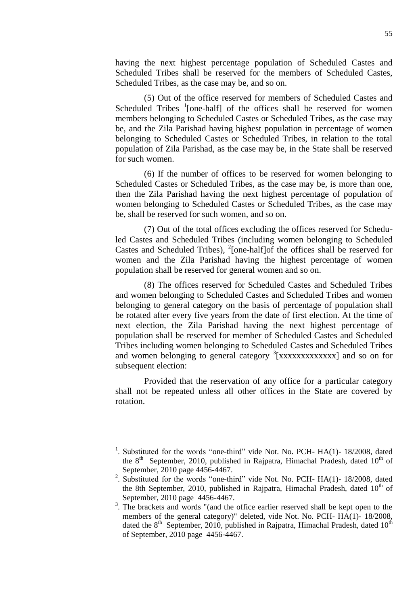having the next highest percentage population of Scheduled Castes and Scheduled Tribes shall be reserved for the members of Scheduled Castes, Scheduled Tribes, as the case may be, and so on.

(5) Out of the office reserved for members of Scheduled Castes and Scheduled Tribes  $\frac{1}{2}$  [one-half] of the offices shall be reserved for women members belonging to Scheduled Castes or Scheduled Tribes, as the case may be, and the Zila Parishad having highest population in percentage of women belonging to Scheduled Castes or Scheduled Tribes, in relation to the total population of Zila Parishad, as the case may be, in the State shall be reserved for such women.

(6) If the number of offices to be reserved for women belonging to Scheduled Castes or Scheduled Tribes, as the case may be, is more than one, then the Zila Parishad having the next highest percentage of population of women belonging to Scheduled Castes or Scheduled Tribes, as the case may be, shall be reserved for such women, and so on.

(7) Out of the total offices excluding the offices reserved for Scheduled Castes and Scheduled Tribes (including women belonging to Scheduled Castes and Scheduled Tribes),  $^{2}$ [one-half]of the offices shall be reserved for women and the Zila Parishad having the highest percentage of women population shall be reserved for general women and so on.

(8) The offices reserved for Scheduled Castes and Scheduled Tribes and women belonging to Scheduled Castes and Scheduled Tribes and women belonging to general category on the basis of percentage of population shall be rotated after every five years from the date of first election. At the time of next election, the Zila Parishad having the next highest percentage of population shall be reserved for member of Scheduled Castes and Scheduled Tribes including women belonging to Scheduled Castes and Scheduled Tribes and women belonging to general category <sup>3</sup> [xxxxxxxxxxxxx] and so on for subsequent election:

Provided that the reservation of any office for a particular category shall not be repeated unless all other offices in the State are covered by rotation.

 $\overline{a}$ 

<sup>1</sup> Substituted for the words "one-third" vide Not. No. PCH- HA(1)- 18/2008, dated the  $8<sup>th</sup>$  September, 2010, published in Rajpatra, Himachal Pradesh, dated  $10<sup>th</sup>$  of September, 2010 page 4456-4467.

<sup>&</sup>lt;sup>2</sup>. Substituted for the words "one-third" vide Not. No. PCH- HA(1)- 18/2008, dated the 8th September, 2010, published in Rajpatra, Himachal Pradesh, dated  $10<sup>th</sup>$  of September, 2010 page 4456-4467.

<sup>&</sup>lt;sup>3</sup>. The brackets and words "(and the office earlier reserved shall be kept open to the members of the general category)" deleted, vide Not. No. PCH- HA(1)- 18/2008, dated the  $8<sup>th</sup>$  September, 2010, published in Rajpatra, Himachal Pradesh, dated  $10<sup>th</sup>$ of September, 2010 page 4456-4467.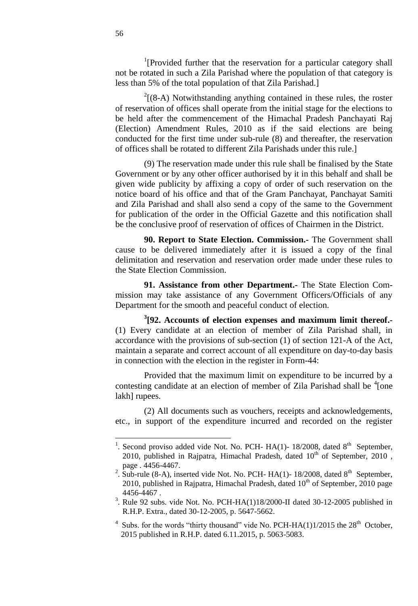<sup>1</sup>[Provided further that the reservation for a particular category shall not be rotated in such a Zila Parishad where the population of that category is less than 5% of the total population of that Zila Parishad.]

 $2(8-A)$  Notwithstanding anything contained in these rules, the roster of reservation of offices shall operate from the initial stage for the elections to be held after the commencement of the Himachal Pradesh Panchayati Raj (Election) Amendment Rules, 2010 as if the said elections are being conducted for the first time under sub-rule (8) and thereafter, the reservation of offices shall be rotated to different Zila Parishads under this rule.]

(9) The reservation made under this rule shall be finalised by the State Government or by any other officer authorised by it in this behalf and shall be given wide publicity by affixing a copy of order of such reservation on the notice board of his office and that of the Gram Panchayat, Panchayat Samiti and Zila Parishad and shall also send a copy of the same to the Government for publication of the order in the Official Gazette and this notification shall be the conclusive proof of reservation of offices of Chairmen in the District.

**90. Report to State Election. Commission.-** The Government shall cause to be delivered immediately after it is issued a copy of the final delimitation and reservation and reservation order made under these rules to the State Election Commission.

**91. Assistance from other Department.-** The State Election Commission may take assistance of any Government Officers/Officials of any Department for the smooth and peaceful conduct of election.

**3 [92. Accounts of election expenses and maximum limit thereof.-** (1) Every candidate at an election of member of Zila Parishad shall, in accordance with the provisions of sub-section (1) of section 121-A of the Act, maintain a separate and correct account of all expenditure on day-to-day basis in connection with the election in the register in Form-44:

Provided that the maximum limit on expenditure to be incurred by a contesting candidate at an election of member of Zila Parishad shall be  $\frac{4}{1}$  one lakh] rupees.

(2) All documents such as vouchers, receipts and acknowledgements, etc., in support of the expenditure incurred and recorded on the register

 $\overline{a}$ 

<sup>&</sup>lt;sup>1</sup>. Second proviso added vide Not. No. PCH- HA(1)- 18/2008, dated  $8<sup>th</sup>$  September, 2010, published in Rajpatra, Himachal Pradesh, dated  $10<sup>th</sup>$  of September, 2010, page . 4456-4467.

<sup>&</sup>lt;sup>2</sup>. Sub-rule (8-A), inserted vide Not. No. PCH- HA(1)-18/2008, dated  $8<sup>th</sup>$  September, 2010, published in Rajpatra, Himachal Pradesh, dated  $10<sup>th</sup>$  of September, 2010 page 4456-4467 .

<sup>&</sup>lt;sup>3</sup>. Rule 92 subs. vide Not. No. PCH-HA(1)18/2000-II dated 30-12-2005 published in R.H.P. Extra., dated 30-12-2005, p. 5647-5662.

<sup>&</sup>lt;sup>4</sup> Subs. for the words "thirty thousand" vide No. PCH-HA(1)1/2015 the  $28<sup>th</sup>$  October, 2015 published in R.H.P. dated 6.11.2015, p. 5063-5083.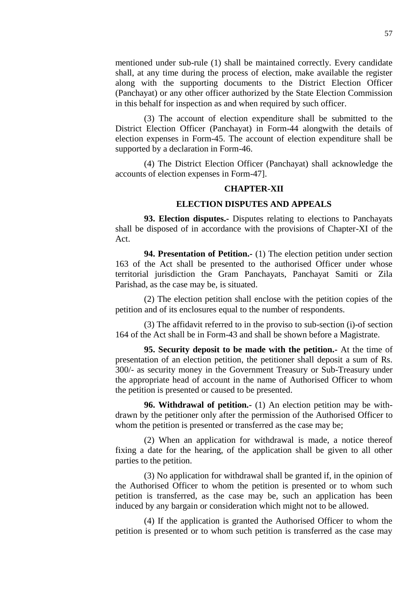mentioned under sub-rule (1) shall be maintained correctly. Every candidate shall, at any time during the process of election, make available the register along with the supporting documents to the District Election Officer (Panchayat) or any other officer authorized by the State Election Commission in this behalf for inspection as and when required by such officer.

(3) The account of election expenditure shall be submitted to the District Election Officer (Panchayat) in Form-44 alongwith the details of election expenses in Form-45. The account of election expenditure shall be supported by a declaration in Form-46.

(4) The District Election Officer (Panchayat) shall acknowledge the accounts of election expenses in Form-47].

### **CHAPTER-XII**

### **ELECTION DISPUTES AND APPEALS**

**93. Election disputes.-** Disputes relating to elections to Panchayats shall be disposed of in accordance with the provisions of Chapter-XI of the Act.

**94. Presentation of Petition.-** (1) The election petition under section 163 of the Act shall be presented to the authorised Officer under whose territorial jurisdiction the Gram Panchayats, Panchayat Samiti or Zila Parishad, as the case may be, is situated.

(2) The election petition shall enclose with the petition copies of the petition and of its enclosures equal to the number of respondents.

(3) The affidavit referred to in the proviso to sub-section (i)-of section 164 of the Act shall be in Form-43 and shall be shown before a Magistrate.

**95. Security deposit to be made with the petition.-** At the time of presentation of an election petition, the petitioner shall deposit a sum of Rs. 300/- as security money in the Government Treasury or Sub-Treasury under the appropriate head of account in the name of Authorised Officer to whom the petition is presented or caused to be presented.

**96. Withdrawal of petition.-** (1) An election petition may be withdrawn by the petitioner only after the permission of the Authorised Officer to whom the petition is presented or transferred as the case may be;

(2) When an application for withdrawal is made, a notice thereof fixing a date for the hearing, of the application shall be given to all other parties to the petition.

(3) No application for withdrawal shall be granted if, in the opinion of the Authorised Officer to whom the petition is presented or to whom such petition is transferred, as the case may be, such an application has been induced by any bargain or consideration which might not to be allowed.

(4) If the application is granted the Authorised Officer to whom the petition is presented or to whom such petition is transferred as the case may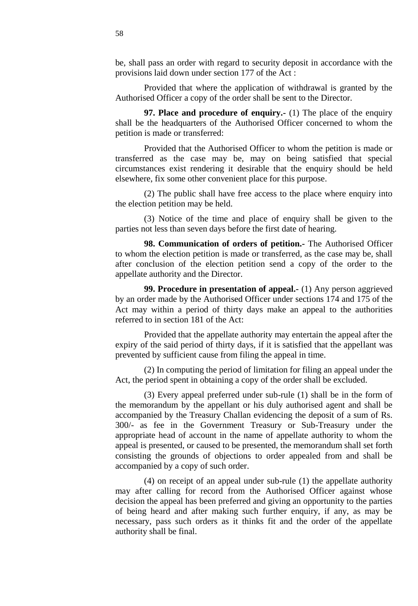be, shall pass an order with regard to security deposit in accordance with the provisions laid down under section 177 of the Act :

Provided that where the application of withdrawal is granted by the Authorised Officer a copy of the order shall be sent to the Director.

**97. Place and procedure of enquiry.-** (1) The place of the enquiry shall be the headquarters of the Authorised Officer concerned to whom the petition is made or transferred:

Provided that the Authorised Officer to whom the petition is made or transferred as the case may be, may on being satisfied that special circumstances exist rendering it desirable that the enquiry should be held elsewhere, fix some other convenient place for this purpose.

(2) The public shall have free access to the place where enquiry into the election petition may be held.

(3) Notice of the time and place of enquiry shall be given to the parties not less than seven days before the first date of hearing.

**98. Communication of orders of petition.-** The Authorised Officer to whom the election petition is made or transferred, as the case may be, shall after conclusion of the election petition send a copy of the order to the appellate authority and the Director.

**99. Procedure in presentation of appeal.-** (1) Any person aggrieved by an order made by the Authorised Officer under sections 174 and 175 of the Act may within a period of thirty days make an appeal to the authorities referred to in section 181 of the Act:

Provided that the appellate authority may entertain the appeal after the expiry of the said period of thirty days, if it is satisfied that the appellant was prevented by sufficient cause from filing the appeal in time.

(2) In computing the period of limitation for filing an appeal under the Act, the period spent in obtaining a copy of the order shall be excluded.

(3) Every appeal preferred under sub-rule (1) shall be in the form of the memorandum by the appellant or his duly authorised agent and shall be accompanied by the Treasury Challan evidencing the deposit of a sum of Rs. 300/- as fee in the Government Treasury or Sub-Treasury under the appropriate head of account in the name of appellate authority to whom the appeal is presented, or caused to be presented, the memorandum shall set forth consisting the grounds of objections to order appealed from and shall be accompanied by a copy of such order.

(4) on receipt of an appeal under sub-rule (1) the appellate authority may after calling for record from the Authorised Officer against whose decision the appeal has been preferred and giving an opportunity to the parties of being heard and after making such further enquiry, if any, as may be necessary, pass such orders as it thinks fit and the order of the appellate authority shall be final.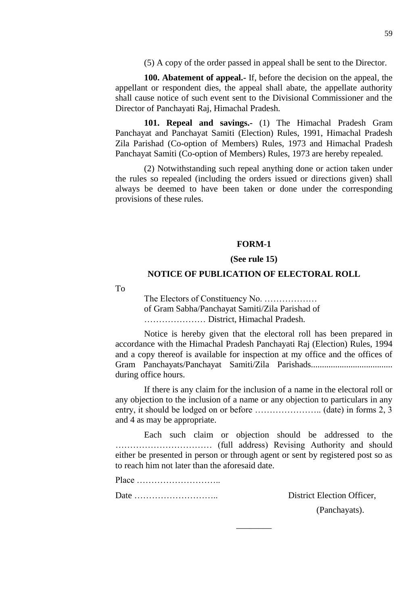(5) A copy of the order passed in appeal shall be sent to the Director.

**100. Abatement of appeal.-** If, before the decision on the appeal, the appellant or respondent dies, the appeal shall abate, the appellate authority shall cause notice of such event sent to the Divisional Commissioner and the Director of Panchayati Raj, Himachal Pradesh.

**101. Repeal and savings.-** (1) The Himachal Pradesh Gram Panchayat and Panchayat Samiti (Election) Rules, 1991, Himachal Pradesh Zila Parishad (Co-option of Members) Rules, 1973 and Himachal Pradesh Panchayat Samiti (Co-option of Members) Rules, 1973 are hereby repealed.

(2) Notwithstanding such repeal anything done or action taken under the rules so repealed (including the orders issued or directions given) shall always be deemed to have been taken or done under the corresponding provisions of these rules.

### **FORM-1**

### **(See rule 15)**

### **NOTICE OF PUBLICATION OF ELECTORAL ROLL**

To

The Electors of Constituency No. ……………… of Gram Sabha/Panchayat Samiti/Zila Parishad of ………………… District, Himachal Pradesh.

Notice is hereby given that the electoral roll has been prepared in accordance with the Himachal Pradesh Panchayati Raj (Election) Rules, 1994 and a copy thereof is available for inspection at my office and the offices of Gram Panchayats/Panchayat Samiti/Zila Parishads..................................... during office hours.

If there is any claim for the inclusion of a name in the electoral roll or any objection to the inclusion of a name or any objection to particulars in any entry, it should be lodged on or before ………………….. (date) in forms 2, 3 and 4 as may be appropriate.

Each such claim or objection should be addressed to the …………………………… (full address) Revising Authority and should either be presented in person or through agent or sent by registered post so as to reach him not later than the aforesaid date.

 $\overline{\phantom{a}}$ 

Place ………………………..

Date ……………………….. District Election Officer,

(Panchayats).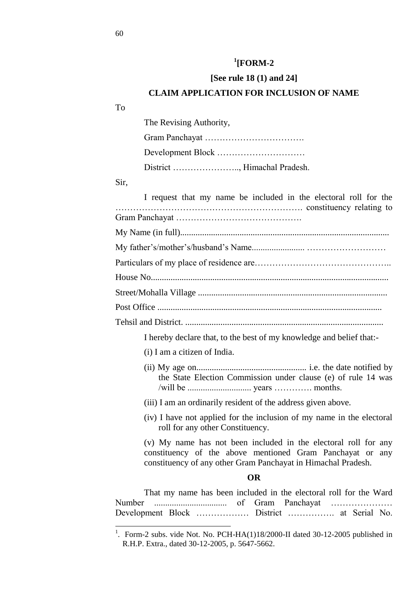# **1 [FORM-2**

### **[See rule 18 (1) and 24]**

### **CLAIM APPLICATION FOR INCLUSION OF NAME**

To

The Revising Authority,

Gram Panchayat ……………………………. Development Block ………………………… District ………………….., Himachal Pradesh.

Sir,

 $\overline{a}$ 

I request that my name be included in the electoral roll for the ………………………………………………………. constituency relating to Gram Panchayat ……………………………………. My Name (in full)............................................................................................... My father's/mother's/husband's Name........................ ……………………… Particulars of my place of residence are……………………………………….. House No............................................................................................................ Street/Mohalla Village ...................................................................................... Post Office ...................................................................................................... Tehsil and District. ..........................................................................................

I hereby declare that, to the best of my knowledge and belief that:-

- (i) I am a citizen of India.
- (ii) My age on.................................................. i.e. the date notified by the State Election Commission under clause (e) of rule 14 was /will be ............................. years …………. months.
- (iii) I am an ordinarily resident of the address given above.
- (iv) I have not applied for the inclusion of my name in the electoral roll for any other Constituency.

(v) My name has not been included in the electoral roll for any constituency of the above mentioned Gram Panchayat or any constituency of any other Gram Panchayat in Himachal Pradesh.

#### **OR**

That my name has been included in the electoral roll for the Ward Number ................................. of Gram Panchayat ………………… Development Block ……………… District ……………. at Serial No.

<sup>&</sup>lt;sup>1</sup>. Form-2 subs. vide Not. No. PCH-HA(1)18/2000-II dated 30-12-2005 published in R.H.P. Extra., dated 30-12-2005, p. 5647-5662.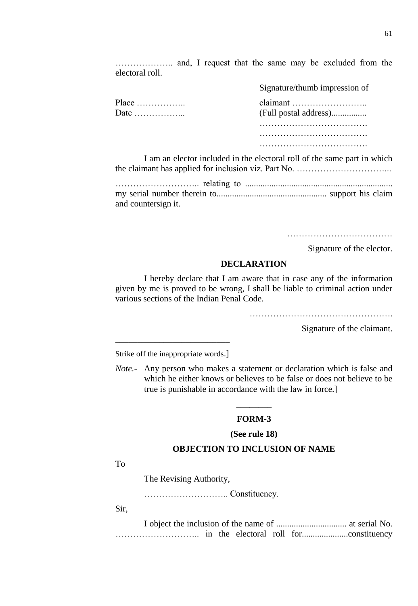……………….. and, I request that the same may be excluded from the electoral roll.

|                                                                            | Signature/thumb impression of |
|----------------------------------------------------------------------------|-------------------------------|
| Place $\dots\dots\dots\dots\dots$<br>Date $\dots\dots\dots\dots\dots\dots$ | (Full postal address)         |
|                                                                            |                               |
|                                                                            |                               |
|                                                                            |                               |

I am an elector included in the electoral roll of the same part in which the claimant has applied for inclusion viz. Part No. …………………………...

| and countersign it. |  |
|---------------------|--|

Signature of the elector.

### **DECLARATION**

I hereby declare that I am aware that in case any of the information given by me is proved to be wrong, I shall be liable to criminal action under various sections of the Indian Penal Code.

………………………………………………………………

Signature of the claimant.

\_\_\_\_\_\_\_\_\_\_\_\_\_\_\_\_\_\_\_\_\_\_\_\_\_\_ Strike off the inappropriate words.]

*Note.*- Any person who makes a statement or declaration which is false and which he either knows or believes to be false or does not believe to be true is punishable in accordance with the law in force.]

# **\_\_\_\_\_\_\_\_ FORM-3**

### **(See rule 18)**

### **OBJECTION TO INCLUSION OF NAME**

To

The Revising Authority,

……………………….. Constituency.

Sir,

I object the inclusion of the name of ................................ at serial No. ……………………….. in the electoral roll for.....................constituency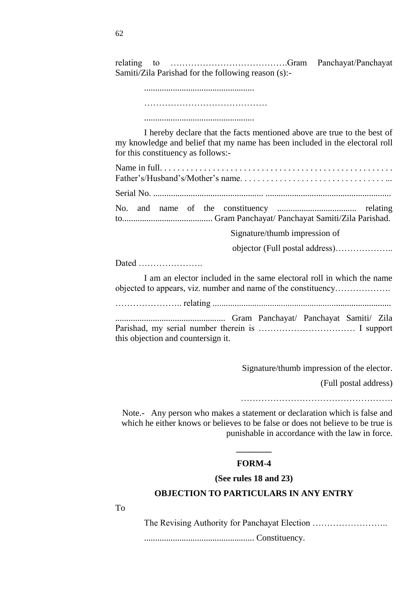relating to ………………………………….Gram Panchayat/Panchayat Samiti/Zila Parishad for the following reason (s):-

> .................................................. ..................................................

I hereby declare that the facts mentioned above are true to the best of my knowledge and belief that my name has been included in the electoral roll for this constituency as follows:-

Signature/thumb impression of

objector (Full postal address)………………..

Dated ………………….

I am an elector included in the same electoral roll in which the name objected to appears, viz. number and name of the constituency……………….

………………….. relating .................................................................................

.................................................. Gram Panchayat/ Panchayat Samiti/ Zila Parishad, my serial number therein is …………………………… I support this objection and countersign it.

Signature/thumb impression of the elector.

(Full postal address)

…………………………………………….

Note.- Any person who makes a statement or declaration which is false and which he either knows or believes to be false or does not believe to be true is punishable in accordance with the law in force.

# **\_\_\_\_\_\_\_\_ FORM-4**

### **(See rules 18 and 23)**

### **OBJECTION TO PARTICULARS IN ANY ENTRY**

To

The Revising Authority for Panchayat Election ……………………..

.................................................. Constituency.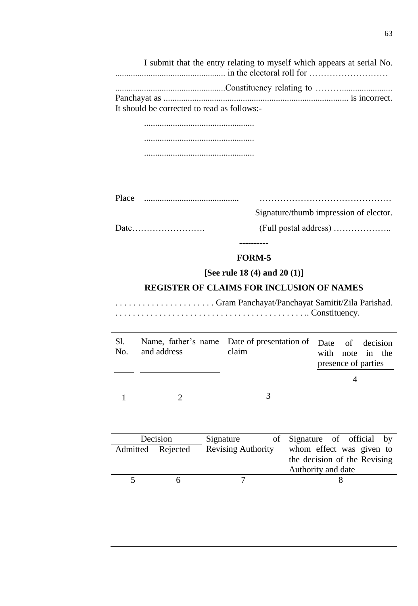I submit that the entry relating to myself which appears at serial No. .................................................. in the electoral roll for ………………………

..................................................Constituency relating to ………....................... Panchayat as .................................................................................... is incorrect. It should be corrected to read as follows:-

> .................................................. .................................................. ..................................................

| $\mathbf{L}$<br><b>Place</b> |  |
|------------------------------|--|
|                              |  |

Signature/thumb impression of elector.

Date……………………. (Full postal address) ………………..

**----------**

# **FORM-5**

# **[See rule 18 (4) and 20 (1)]**

# **REGISTER OF CLAIMS FOR INCLUSION OF NAMES**

. . . . . . . . . . . . . . . . . . . . . . Gram Panchayat/Panchayat Samitit/Zila Parishad. . . . . . . . . . . . . . . . . . . . . . . . . . . . . . . . . . . . . . . . . . . . .. Constituency.

| SI.<br>No. | and address | Name, father's name Date of presentation of Date of decision<br>claim | with note in the<br>presence of parties |  |
|------------|-------------|-----------------------------------------------------------------------|-----------------------------------------|--|
|            |             |                                                                       |                                         |  |

| Decision          |  | Signature                 | of Signature of official by  |
|-------------------|--|---------------------------|------------------------------|
| Admitted Rejected |  | <b>Revising Authority</b> | whom effect was given to     |
|                   |  |                           | the decision of the Revising |
|                   |  |                           | Authority and date           |
|                   |  |                           |                              |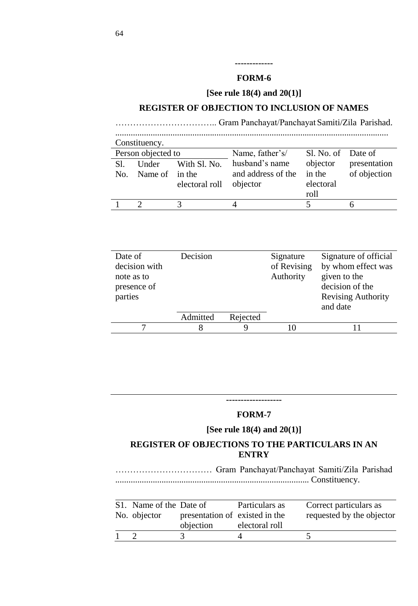# **-------------**

### **FORM-6**

**[See rule 18(4) and 20(1)]**

### **REGISTER OF OBJECTION TO INCLUSION OF NAMES**

…………………………….. Gram Panchayat/Panchayat Samiti/Zila Parishad. ............................................................................................................................ Constituency. Person objected to Name, father's/ husband's name and address of the objector Sl. No. of objector in the electoral roll Date of presentation of objection Sl. No. Under Name of in the With Sl. No. electoral roll 1 2 3 4 5 6

| Date of       | Decision |          | Signature   | Signature of official     |
|---------------|----------|----------|-------------|---------------------------|
| decision with |          |          | of Revising | by whom effect was        |
| note as to    |          |          | Authority   | given to the              |
| presence of   |          |          |             | decision of the           |
| parties       |          |          |             | <b>Revising Authority</b> |
|               |          |          |             | and date                  |
|               | Admitted | Rejected |             |                           |
|               |          |          |             |                           |
|               |          |          |             |                           |

### **-------------------**

### **FORM-7**

### **[See rule 18(4) and 20(1)]**

# **REGISTER OF OBJECTIONS TO THE PARTICULARS IN AN ENTRY**

…………………………… Gram Panchayat/Panchayat Samiti/Zila Parishad ........................................................................................ Constituency.

| S1. Name of the Date of |                                | Particulars as | Correct particulars as    |
|-------------------------|--------------------------------|----------------|---------------------------|
| No. objector            | presentation of existed in the |                | requested by the objector |
|                         | objection                      | electoral roll |                           |
|                         |                                |                |                           |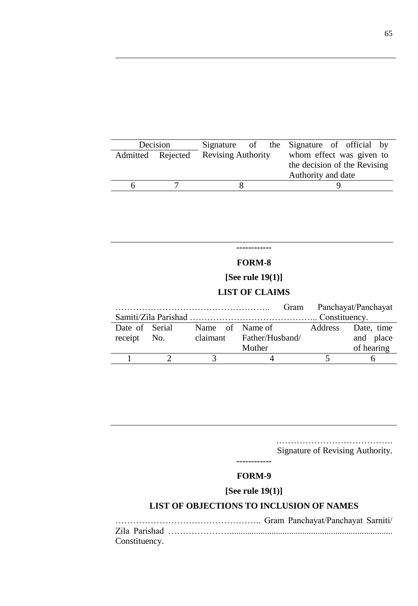|                   | Decision |                           |  | Signature of the Signature of official by |
|-------------------|----------|---------------------------|--|-------------------------------------------|
| Admitted Rejected |          | <b>Revising Authority</b> |  | whom effect was given to                  |
|                   |          |                           |  | the decision of the Revising              |
|                   |          |                           |  | Authority and date                        |
| h                 |          |                           |  |                                           |

# **------------**

# **FORM-8**

# **[See rule 19(1)]**

# **LIST OF CLAIMS**

|                |                 |                          |         | Gram Panchayat/Panchayat |
|----------------|-----------------|--------------------------|---------|--------------------------|
|                |                 |                          |         |                          |
| Date of Serial | Name of Name of |                          | Address | Date, time               |
| receipt No.    |                 | claimant Father/Husband/ |         | and place                |
|                |                 | Mother                   |         | of hearing               |
|                | 3               |                          |         |                          |

…………………………………. Signature of Revising Authority.

### **------------**

# **FORM-9**

# **[See rule 19(1)]**

### **LIST OF OBJECTIONS TO INCLUSION OF NAMES**

| Constituency. |  |  |  |
|---------------|--|--|--|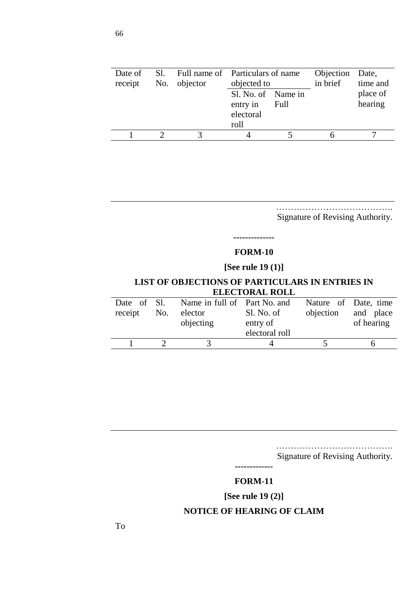| Date of<br>receipt | No. objector | Sl. Full name of Particulars of name<br>objected to         |  | Objection Date,<br>in brief | time and            |
|--------------------|--------------|-------------------------------------------------------------|--|-----------------------------|---------------------|
|                    |              | Sl. No. of Name in<br>entry in<br>Full<br>electoral<br>roll |  |                             | place of<br>hearing |
|                    |              |                                                             |  |                             |                     |
|                    |              |                                                             |  |                             |                     |

……………………………………… Signature of Revising Authority.

# **-------------- FORM-10**

# **[See rule 19 (1)]**

### **LIST OF OBJECTIONS OF PARTICULARS IN ENTRIES IN ELECTORAL ROLL**

| Date of Sl.<br>receipt No. | Name in full of Part No. and<br>elector<br>objecting | Sl. No. of<br>entry of<br>electoral roll | Nature of Date, time<br>objection | and place<br>of hearing |
|----------------------------|------------------------------------------------------|------------------------------------------|-----------------------------------|-------------------------|
|                            |                                                      |                                          |                                   |                         |
|                            |                                                      |                                          |                                   |                         |

……………………………………… Signature of Revising Authority.

**-------------**

### **FORM-11**

# **[See rule 19 (2)]**

### **NOTICE OF HEARING OF CLAIM**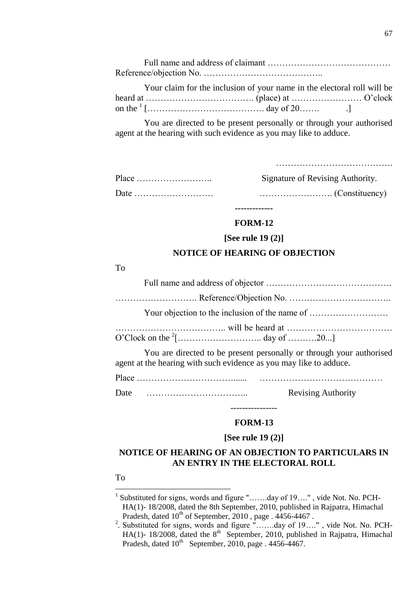Your claim for the inclusion of your name in the electoral roll will be heard at ………………………………. (place) at …………………… O'clock on the <sup>1</sup> […………………………………. day of 20……. .]

You are directed to be present personally or through your authorised agent at the hearing with such evidence as you may like to adduce.

| Signature of Revising Authority. |
|----------------------------------|
|                                  |

# **------------- FORM-12**

#### **[See rule 19 (2)]**

### **NOTICE OF HEARING OF OBJECTION**

### To

|                                                                    | Your objection to the inclusion of the name of                       |
|--------------------------------------------------------------------|----------------------------------------------------------------------|
|                                                                    |                                                                      |
| agent at the hearing with such evidence as you may like to adduce. | You are directed to be present personally or through your authorised |
|                                                                    |                                                                      |
| Date                                                               | <b>Revising Authority</b>                                            |

# ---------------- **FORM-13**

### **[See rule 19 (2)]**

# **NOTICE OF HEARING OF AN OBJECTION TO PARTICULARS IN AN ENTRY IN THE ELECTORAL ROLL**

### To

 1 Substituted for signs, words and figure "…….day of 19…." , vide Not. No. PCH-HA(1)- 18/2008, dated the 8th September, 2010, published in Rajpatra, Himachal Pradesh, dated  $10^{th}$  of September, 2010, page .  $4456-4467$ .<br>
<sup>2</sup>. Substituted for signs, words and figure "…….day of 19….", vide Not. No. PCH-

HA(1)- 18/2008, dated the  $8<sup>th</sup>$  September, 2010, published in Rajpatra, Himachal Pradesh, dated  $10^{th}$  September, 2010, page . 4456-4467.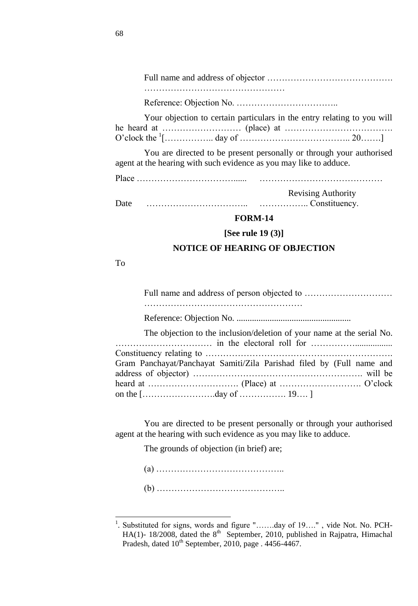Full name and address of objector ……………………………………. …………………………………………

Reference: Objection No. ……………………………..

| Your objection to certain particulars in the entry relating to you will |  |  |
|-------------------------------------------------------------------------|--|--|
|                                                                         |  |  |
|                                                                         |  |  |

You are directed to be present personally or through your authorised agent at the hearing with such evidence as you may like to adduce.

Place ……………………………...... ……………………………………

Revising Authority

Date …………………………….. …………….. Constituency.

### **FORM-14**

### **[See rule 19 (3)]**

#### **NOTICE OF HEARING OF OBJECTION**

To

l

Full name and address of person objected to ………………………… ……………………………………………… Reference: Objection No. .................................................... The objection to the inclusion/deletion of your name at the serial No. …………………………… in the electoral roll for ……………................. Constituency relating to ………………………………………………………. Gram Panchayat/Panchayat Samiti/Zila Parishad filed by (Full name and address of objector) …………………………………………………. will be heard at …………………………. (Place) at ………………………. O'clock on the […………………….day of ……………. 19…. ]

You are directed to be present personally or through your authorised agent at the hearing with such evidence as you may like to adduce.

The grounds of objection (in brief) are;

(a) …………………………………….. (b) ……………………………………..

<sup>1</sup> . Substituted for signs, words and figure "…….day of 19…." , vide Not. No. PCH-HA(1)- 18/2008, dated the  $8<sup>th</sup>$  September, 2010, published in Rajpatra, Himachal Pradesh, dated  $10^{th}$  September, 2010, page . 4456-4467.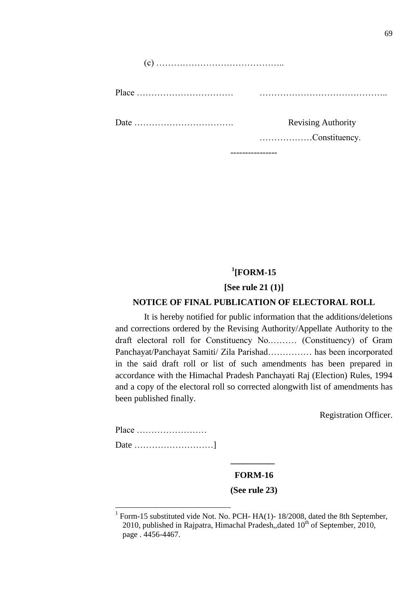| <b>Revising Authority</b><br>Constituency. |
|--------------------------------------------|
|                                            |
|                                            |

----------------

# **1 [FORM-15**

### **[See rule 21 (1)]**

### **NOTICE OF FINAL PUBLICATION OF ELECTORAL ROLL**

It is hereby notified for public information that the additions/deletions and corrections ordered by the Revising Authority/Appellate Authority to the draft electoral roll for Constituency No.……… (Constituency) of Gram Panchayat/Panchayat Samiti/ Zila Parishad…………… has been incorporated in the said draft roll or list of such amendments has been prepared in accordance with the Himachal Pradesh Panchayati Raj (Election) Rules, 1994 and a copy of the electoral roll so corrected alongwith list of amendments has been published finally.

Registration Officer.

 $\overline{a}$ 

# **FORM-16**

**\_\_\_\_\_\_\_\_\_\_**

### **(See rule 23)**

<sup>1</sup> Form-15 substituted vide Not. No. PCH- HA(1)- 18/2008, dated the 8th September, 2010, published in Rajpatra, Himachal Pradesh,,dated  $10<sup>th</sup>$  of September, 2010, page . 4456-4467.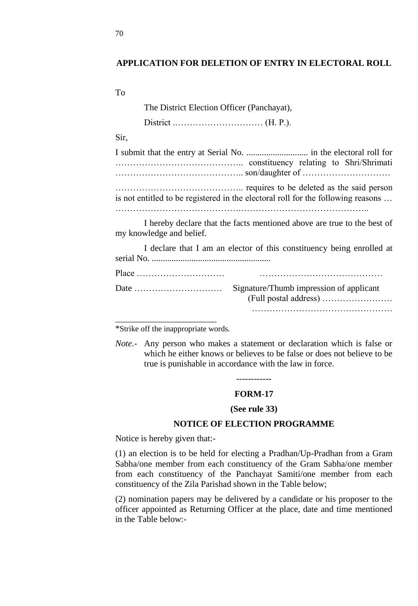### **APPLICATION FOR DELETION OF ENTRY IN ELECTORAL ROLL**

To

| The District Election Officer (Panchayat),                                                                |
|-----------------------------------------------------------------------------------------------------------|
|                                                                                                           |
| Sir,                                                                                                      |
|                                                                                                           |
| is not entitled to be registered in the electoral roll for the following reasons                          |
| I hereby declare that the facts mentioned above are true to the best of<br>my knowledge and belief.       |
| I declare that I am an elector of this constituency being enrolled at                                     |
|                                                                                                           |
| Signature/Thumb impression of applicant<br>Date $\dots\dots\dots\dots\dots\dots\dots\dots\dots\dots\dots$ |
|                                                                                                           |

\*Strike off the inappropriate words.

*Note.-* Any person who makes a statement or declaration which is false or which he either knows or believes to be false or does not believe to be true is punishable in accordance with the law in force.

### **FORM-17**

### **(See rule 33)**

### **NOTICE OF ELECTION PROGRAMME**

Notice is hereby given that:-

(1) an election is to be held for electing a Pradhan/Up-Pradhan from a Gram Sabha/one member from each constituency of the Gram Sabha/one member from each constituency of the Panchayat Samiti/one member from each constituency of the Zila Parishad shown in the Table below;

(2) nomination papers may be delivered by a candidate or his proposer to the officer appointed as Returning Officer at the place, date and time mentioned in the Table below:-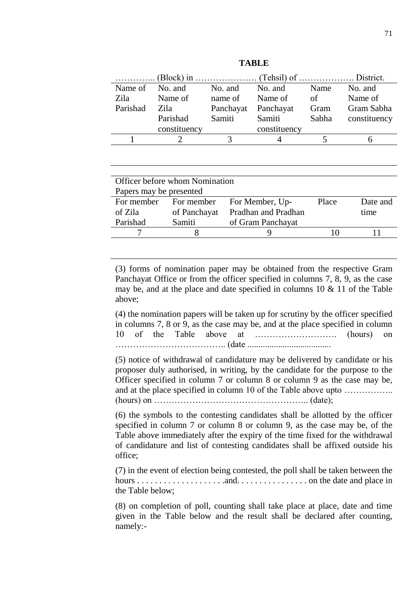| Name of  | No. and                        | No. and   | No. and      | Name  | No. and      |
|----------|--------------------------------|-----------|--------------|-------|--------------|
| Zila     | Name of                        | name of   | Name of      | of    | Name of      |
| Parishad | Zila-                          | Panchayat | Panchayat    | Gram  | Gram Sabha   |
|          | Parishad                       | Samiti    | Samiti       | Sabha | constituency |
|          | constituency                   |           | constituency |       |              |
|          | $\mathcal{D}$                  | 3         |              | 5     | 6            |
|          |                                |           |              |       |              |
|          |                                |           |              |       |              |
|          |                                |           |              |       |              |
|          | Officer before whom Nomination |           |              |       |              |
|          | Papers may be presented        |           |              |       |              |

**TABLE**

| Officer before whom Nomination |              |                     |       |          |  |  |  |
|--------------------------------|--------------|---------------------|-------|----------|--|--|--|
| Papers may be presented        |              |                     |       |          |  |  |  |
| For member                     | For member   | For Member, Up-     | Place | Date and |  |  |  |
| of Zila                        | of Panchayat | Pradhan and Pradhan |       | time     |  |  |  |
| Parishad                       | Samiti       | of Gram Panchayat   |       |          |  |  |  |
|                                |              |                     | 10    |          |  |  |  |
|                                |              |                     |       |          |  |  |  |

(3) forms of nomination paper may be obtained from the respective Gram Panchayat Office or from the officer specified in columns 7, 8, 9, as the case may be, and at the place and date specified in columns  $10 \& 11$  of the Table above;

(4) the nomination papers will be taken up for scrutiny by the officer specified in columns 7, 8 or 9, as the case may be, and at the place specified in column 10 of the Table above at ………………………. (hours) on ……………………………….. (date ......................................

(5) notice of withdrawal of candidature may be delivered by candidate or his proposer duly authorised, in writing, by the candidate for the purpose to the Officer specified in column 7 or column 8 or column 9 as the case may be, and at the place specified in column 10 of the Table above upto ................. (hours) on …………………………………………….. (date);

(6) the symbols to the contesting candidates shall be allotted by the officer specified in column 7 or column 8 or column 9, as the case may be, of the Table above immediately after the expiry of the time fixed for the withdrawal of candidature and list of contesting candidates shall be affixed outside his office;

(7) in the event of election being contested, the poll shall be taken between the hours . . . . . . . . . . . . . . . . . . . .and. . . . . . . . . . . . . . . . on the date and place in the Table below;

(8) on completion of poll, counting shall take place at place, date and time given in the Table below and the result shall be declared after counting, namely:-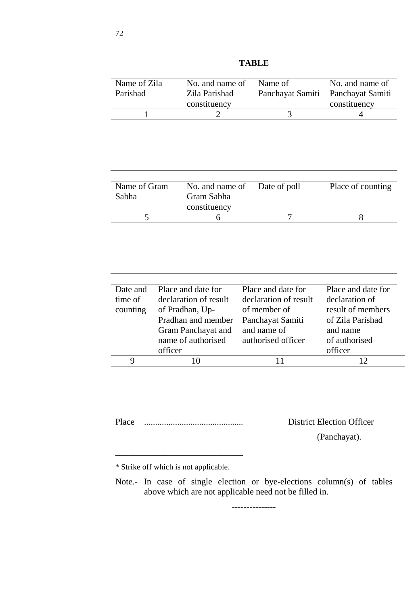| Name of Zila | No. and name of       |               | Name of               | No. and name of    |
|--------------|-----------------------|---------------|-----------------------|--------------------|
| Parishad     |                       | Zila Parishad |                       | Panchayat Samiti   |
|              | constituency          |               |                       | constituency       |
| 1            | 2                     |               | 3                     | 4                  |
|              |                       |               |                       |                    |
|              |                       |               |                       |                    |
|              |                       |               |                       |                    |
|              |                       |               |                       |                    |
|              |                       |               |                       |                    |
|              |                       |               |                       |                    |
| Name of Gram | No. and name of       |               | Date of poll          | Place of counting  |
| Sabha        | Gram Sabha            |               |                       |                    |
|              | constituency          |               |                       |                    |
| 5            | 6                     |               | 7                     | 8                  |
|              |                       |               |                       |                    |
|              |                       |               |                       |                    |
|              |                       |               |                       |                    |
|              |                       |               |                       |                    |
|              |                       |               |                       |                    |
|              |                       |               |                       |                    |
| Date and     | Place and date for    |               | Place and date for    | Place and date for |
| time of      | declaration of result |               | declaration of result | declaration of     |
| counting     | of Pradhan, Up-       |               | of member of          | result of members  |
|              | Pradhan and member    |               | Panchayat Samiti      | of Zila Parishad   |
|              | Gram Panchayat and    |               | and name of           | and name           |
|              | name of authorised    |               | authorised officer    | of authorised      |
|              | officer               |               |                       | officer            |
| 9            | 10                    |               | 11                    | 12                 |
|              |                       |               |                       |                    |

**TABLE**

Place ............................................. District Election Officer

\_\_\_\_\_\_\_\_\_\_\_\_\_\_\_\_\_\_\_\_\_\_\_\_\_\_\_\_\_

(Panchayat).

\* Strike off which is not applicable.

Note.- In case of single election or bye-elections column(s) of tables above which are not applicable need not be filled in.

---------------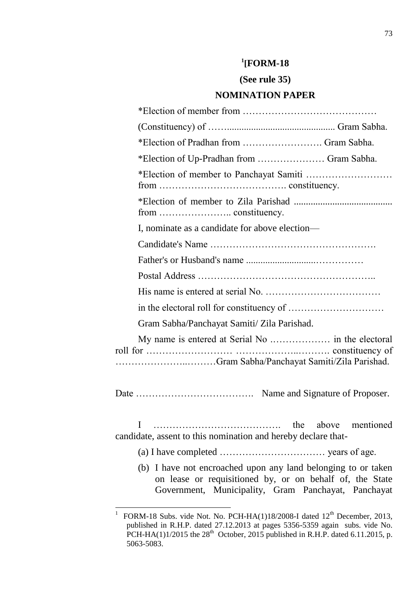# **1 [FORM-18**

# **(See rule 35)**

### **NOMINATION PAPER**

| *Election of Pradhan from  Gram Sabha.         |
|------------------------------------------------|
| *Election of Up-Pradhan from  Gram Sabha.      |
|                                                |
|                                                |
| I, nominate as a candidate for above election— |
|                                                |
|                                                |
|                                                |
|                                                |
|                                                |
| Gram Sabha/Panchayat Samiti/ Zila Parishad.    |
|                                                |
|                                                |
|                                                |

I …………………………………. the above mentioned candidate, assent to this nomination and hereby declare that-

(a) I have completed …………………………… years of age.

(b) I have not encroached upon any land belonging to or taken on lease or requisitioned by, or on behalf of, the State Government, Municipality, Gram Panchayat, Panchayat

 $\overline{a}$ 

<sup>1</sup> FORM-18 Subs. vide Not. No. PCH-HA(1)18/2008-I dated 12<sup>th</sup> December, 2013, published in R.H.P. dated 27.12.2013 at pages 5356-5359 again subs. vide No. PCH-HA(1)1/2015 the  $28<sup>th</sup>$  October, 2015 published in R.H.P. dated 6.11.2015, p. 5063-5083.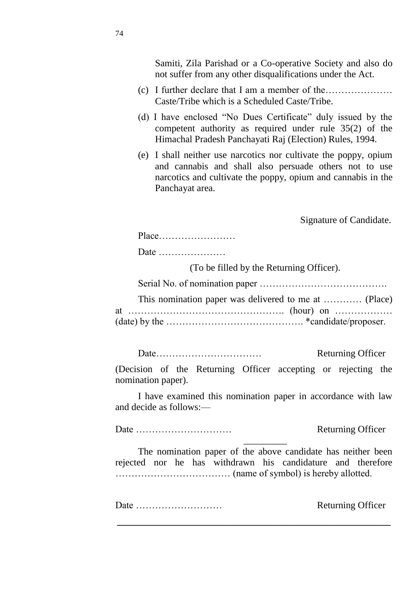Samiti, Zila Parishad or a Co-operative Society and also do not suffer from any other disqualifications under the Act.

- (c) I further declare that I am a member of the………………… Caste/Tribe which is a Scheduled Caste/Tribe.
- (d) I have enclosed "No Dues Certificate" duly issued by the competent authority as required under rule 35(2) of the Himachal Pradesh Panchayati Raj (Election) Rules, 1994.
- (e) I shall neither use narcotics nor cultivate the poppy, opium and cannabis and shall also persuade others not to use narcotics and cultivate the poppy, opium and cannabis in the Panchayat area.

Signature of Candidate.

| $Place \dots \dots \dots \dots \dots \dots \dots \dots$ |  |  |  |  |  |  |  |  |  |  |  |
|---------------------------------------------------------|--|--|--|--|--|--|--|--|--|--|--|
|                                                         |  |  |  |  |  |  |  |  |  |  |  |

Date …………………

(To be filled by the Returning Officer).

Serial No. of nomination paper ………………………………….

| $(date)$ by the $\dots\dots\dots\dots\dots\dots\dots\dots\dots\dots\dots$ *candidate/proposer. |  |  |
|------------------------------------------------------------------------------------------------|--|--|

Date…………………………… Returning Officer

(Decision of the Returning Officer accepting or rejecting the nomination paper).

I have examined this nomination paper in accordance with law and decide as follows:—

Date ………………………… Returning Officer \_\_\_\_\_\_\_\_\_

The nomination paper of the above candidate has neither been rejected nor he has withdrawn his candidature and therefore ……………………………… (name of symbol) is hereby allotted.

**\_\_\_\_\_\_\_\_\_\_\_\_\_\_\_\_\_\_\_\_\_\_\_\_\_\_\_\_\_\_\_\_\_\_\_\_\_\_\_\_\_\_\_\_\_\_\_\_\_\_\_\_\_\_\_\_\_**

Date ……………………… Returning Officer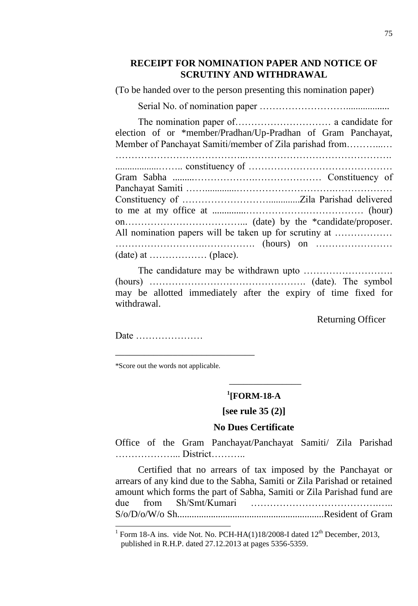# **RECEIPT FOR NOMINATION PAPER AND NOTICE OF SCRUTINY AND WITHDRAWAL**

(To be handed over to the person presenting this nomination paper)

Serial No. of nomination paper ………………………..................

The nomination paper of………………………… a candidate for election of or \*member/Pradhan/Up-Pradhan of Gram Panchayat, Member of Panchayat Samiti/member of Zila parishad from………...… …………………………………..………………………………………. ..................…….. constituency of ……………………………………… Gram Sabha .........……………….………………… Constituency of Panchayat Samiti …….............………………………….……………… Constituency of ……………………….............Zila Parishad delivered to me at my office at ..............……………….……………… (hour) on………………………………... (date) by the \*candidate/proposer. All nomination papers will be taken up for scrutiny at .......................... ……………………….……………. (hours) on ……………………

(date) at ……………… (place).

The candidature may be withdrawn upto ………………………. (hours) …………………………………………. (date). The symbol may be allotted immediately after the expiry of time fixed for withdrawal.

Returning Officer

Date …………………

 $\overline{a}$ 

\*Score out the words not applicable.

\_\_\_\_\_\_\_\_\_\_\_\_\_\_\_\_\_\_\_\_\_\_\_\_\_\_\_\_\_

# **1 [FORM-18-A**

\_\_\_\_\_\_\_\_\_\_\_\_\_\_\_

**[see rule 35 (2)]**

### **No Dues Certificate**

Office of the Gram Panchayat/Panchayat Samiti/ Zila Parishad ………………... District………..

Certified that no arrears of tax imposed by the Panchayat or arrears of any kind due to the Sabha, Samiti or Zila Parishad or retained amount which forms the part of Sabha, Samiti or Zila Parishad fund are due from Sh/Smt/Kumari ………………………………….….. S/o/D/o/W/o Sh.............................................................Resident of Gram

<sup>1</sup> Form 18-A ins. vide Not. No. PCH-HA $(1)18/2008$ -I dated  $12<sup>th</sup>$  December, 2013, published in R.H.P. dated 27.12.2013 at pages 5356-5359.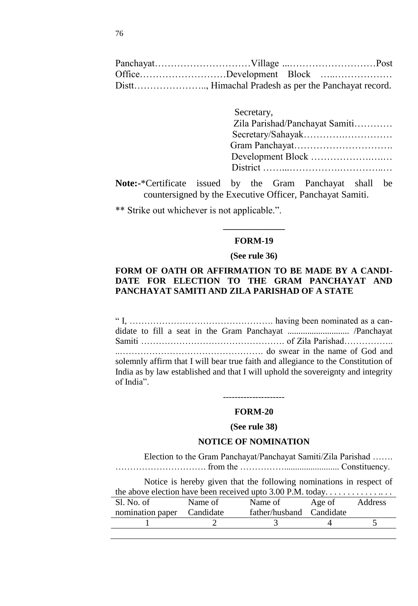|  | OfficeDevelopment Block                              |  |
|--|------------------------------------------------------|--|
|  | Distt, Himachal Pradesh as per the Panchayat record. |  |

| Secretary,                     |
|--------------------------------|
| Zila Parishad/Panchayat Samiti |
|                                |
|                                |
|                                |
|                                |
|                                |

**Note:-**\*Certificate issued by the Gram Panchayat shall be countersigned by the Executive Officer, Panchayat Samiti.

\*\* Strike out whichever is not applicable.".

# **\_\_\_\_\_\_\_\_\_\_\_\_\_\_ FORM-19**

#### **(See rule 36)**

### **FORM OF OATH OR AFFIRMATION TO BE MADE BY A CANDI-DATE FOR ELECTION TO THE GRAM PANCHAYAT AND PANCHAYAT SAMITI AND ZILA PARISHAD OF A STATE**

― I, …………………………………………. having been nominated as a candidate to fill a seat in the Gram Panchayat ............................ /Panchayat Samiti …………………………………………. of Zila Parishad…………….. ..…………………………………………. do swear in the name of God and solemnly affirm that I will bear true faith and allegiance to the Constitution of India as by law established and that I will uphold the sovereignty and integrity of India".

# ---------------------

#### **FORM-20**

### **(See rule 38)**

#### **NOTICE OF NOMINATION**

Election to the Gram Panchayat/Panchayat Samiti/Zila Parishad ……. …………………………. from the ……………......................... Constituency.

Notice is hereby given that the following nominations in respect of the above election have been received upto 3.00 P.M. today. . . . . . . . . . . . . . . . . . Sl. No. of nomination paper Name of Candidate Name of father/husband Age of Candidate Address 1 2 3 4 5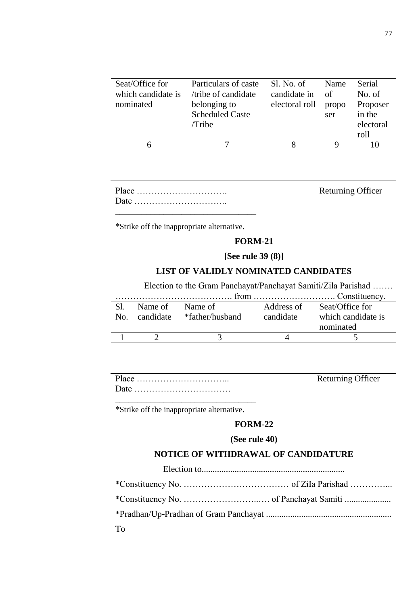| Seat/Office for    | Particulars of caste   | Sl. No. of     | Name  | Serial    |
|--------------------|------------------------|----------------|-------|-----------|
| which candidate is | /tribe of candidate    | candidate in   | of    | No. of    |
| nominated          | belonging to           | electoral roll | propo | Proposer  |
|                    | <b>Scheduled Caste</b> |                | ser   | in the    |
|                    | /Tribe                 |                |       | electoral |
|                    |                        |                |       | roll      |
|                    |                        |                | Q     |           |
|                    |                        |                |       |           |

Returning Officer

\*Strike off the inappropriate alternative.

### **FORM-21**

#### **[See rule 39 (8)]**

### **LIST OF VALIDLY NOMINATED CANDIDATES**

Election to the Gram Panchayat/Panchayat Samiti/Zila Parishad …….

|              |           | from            |            | $\ldots, \ldots, \ldots, \ldots, \ldots, \ldots$ Constituency. |
|--------------|-----------|-----------------|------------|----------------------------------------------------------------|
|              | Name of   | Name of         | Address of | Seat/Office for                                                |
| $N_{\Omega}$ | candidate | *father/husband | candidate  | which candidate is                                             |
|              |           |                 |            | nominated                                                      |
|              |           |                 |            |                                                                |

Returning Officer

\*Strike off the inappropriate alternative.

### **FORM-22**

#### **(See rule 40)**

# **NOTICE OF WITHDRAWAL OF CANDIDATURE**

Election to.................................................................

| To |  |
|----|--|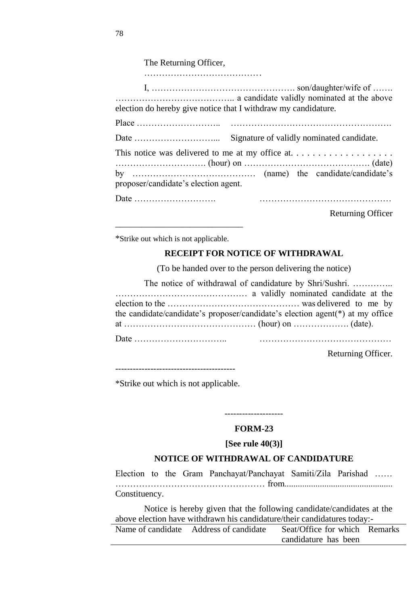The Returning Officer,

| election do hereby give notice that I withdraw my candidature. |                                           |
|----------------------------------------------------------------|-------------------------------------------|
|                                                                |                                           |
|                                                                |                                           |
|                                                                | Signature of validly nominated candidate. |
|                                                                |                                           |
|                                                                |                                           |
| proposer/candidate's election agent.                           |                                           |
| Date                                                           |                                           |
|                                                                | <b>Returning Officer</b>                  |

\*Strike out which is not applicable.

\_\_\_\_\_\_\_\_\_\_\_\_\_\_\_\_\_\_\_\_\_\_\_\_\_\_\_\_\_

# **RECEIPT FOR NOTICE OF WITHDRAWAL**

(To be handed over to the person delivering the notice)

| The notice of withdrawal of candidature by Shri/Sushri.                       |  |
|-------------------------------------------------------------------------------|--|
|                                                                               |  |
|                                                                               |  |
| the candidate/candidate's proposer/candidate's election agent(*) at my office |  |
|                                                                               |  |
|                                                                               |  |

Returning Officer.

\*Strike out which is not applicable.

-------------------- **FORM-23**

# **[See rule 40(3)]**

### **NOTICE OF WITHDRAWAL OF CANDIDATURE**

Election to the Gram Panchayat/Panchayat Samiti/Zila Parishad …… …………………………………………… from................................................. Constituency.

Notice is hereby given that the following candidate/candidates at the above election have withdrawn his candidature/their candidatures today:-

| Name of candidate Address of candidate | Seat/Office for which Remarks |  |
|----------------------------------------|-------------------------------|--|
|                                        | candidature has been          |  |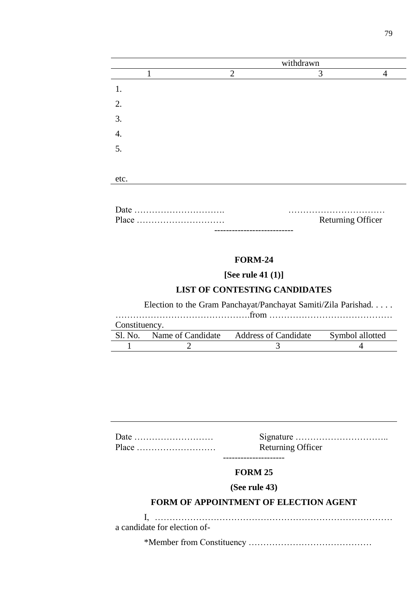|      | withdrawn      |   |   |
|------|----------------|---|---|
|      | $\overline{2}$ | 3 | 4 |
| 1.   |                |   |   |
| 2.   |                |   |   |
| 3.   |                |   |   |
| 4.   |                |   |   |
| 5.   |                |   |   |
|      |                |   |   |
| etc. |                |   |   |

| Place | <b>Returning Officer</b> |  |
|-------|--------------------------|--|
|       |                          |  |

#### **FORM-24**

**[See rule 41 (1)]**

# **LIST OF CONTESTING CANDIDATES**

Election to the Gram Panchayat/Panchayat Samiti/Zila Parishad. . . . .

……………………………………….from ……………………………………

| Constituency. |                   |                             |                 |
|---------------|-------------------|-----------------------------|-----------------|
| Sl. No.       | Name of Candidate | <b>Address of Candidate</b> | Symbol allotted |
|               |                   |                             |                 |

| $Place \dots \dots \dots \dots \dots \dots \dots \dots$ | <b>Returning Officer</b> |  |
|---------------------------------------------------------|--------------------------|--|
|                                                         |                          |  |

# **FORM 25**

# **(See rule 43)**

### **FORM OF APPOINTMENT OF ELECTION AGENT**

I, ……………………………………………………………………… a candidate for election of-

\*Member from Constituency ……………………………………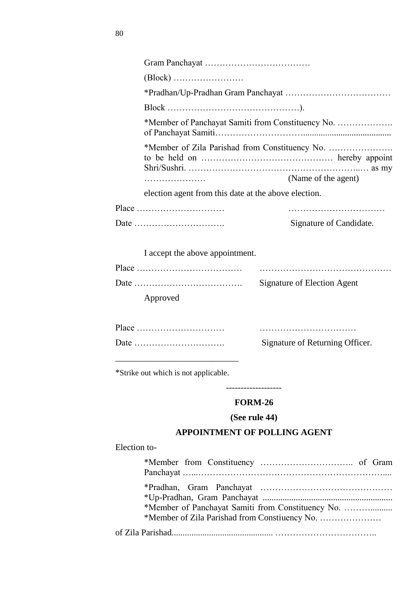|              |                                                                                 | *Member of Panchayat Samiti from Constituency No.                                                  |
|--------------|---------------------------------------------------------------------------------|----------------------------------------------------------------------------------------------------|
|              |                                                                                 |                                                                                                    |
|              |                                                                                 | (Name of the agent)                                                                                |
|              | election agent from this date at the above election.                            |                                                                                                    |
|              | $Place \dots \dots \dots \dots \dots \dots \dots \dots \dots \dots \dots \dots$ |                                                                                                    |
|              |                                                                                 | Signature of Candidate.                                                                            |
|              |                                                                                 |                                                                                                    |
|              | I accept the above appointment.                                                 |                                                                                                    |
|              | $Place \dots \dots \dots \dots \dots \dots \dots \dots \dots \dots$             |                                                                                                    |
|              |                                                                                 | <b>Signature of Election Agent</b>                                                                 |
|              | Approved                                                                        |                                                                                                    |
|              |                                                                                 |                                                                                                    |
|              | Place                                                                           |                                                                                                    |
|              |                                                                                 | Signature of Returning Officer.                                                                    |
|              | *Strike out which is not applicable.                                            |                                                                                                    |
|              |                                                                                 | <b>FORM-26</b>                                                                                     |
|              |                                                                                 | (See rule 44)                                                                                      |
|              |                                                                                 | <b>APPOINTMENT OF POLLING AGENT</b>                                                                |
| Election to- |                                                                                 |                                                                                                    |
|              |                                                                                 |                                                                                                    |
|              |                                                                                 | *Member of Panchayat Samiti from Constituency No.<br>*Member of Zila Parishad from Constiuency No. |
|              |                                                                                 |                                                                                                    |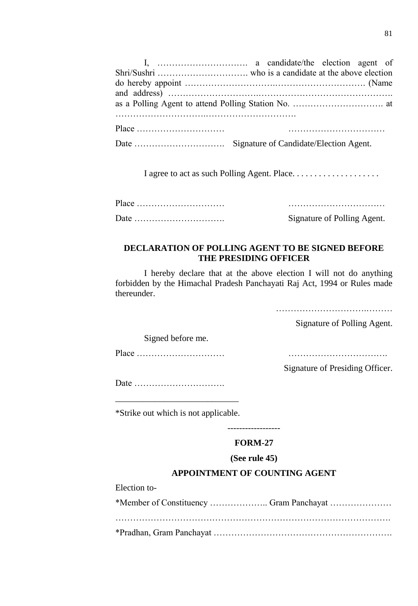I agree to act as such Polling Agent. Place. . . . . . . . . . . . . . . . . . . .

Place ………………………… …………………………… Date …………………………. Signature of Polling Agent.

# **DECLARATION OF POLLING AGENT TO BE SIGNED BEFORE THE PRESIDING OFFICER**

I hereby declare that at the above election I will not do anything forbidden by the Himachal Pradesh Panchayati Raj Act, 1994 or Rules made thereunder.

………………………….………

Signature of Polling Agent.

Signed before me.

Place ………………………… …………………………….

Signature of Presiding Officer.

Date ………………………….

\_\_\_\_\_\_\_\_\_\_\_\_\_\_\_\_\_\_\_\_\_\_\_\_\_\_\_\_ \*Strike out which is not applicable.

------------------

# **FORM-27**

### **(See rule 45)**

### **APPOINTMENT OF COUNTING AGENT**

Election to-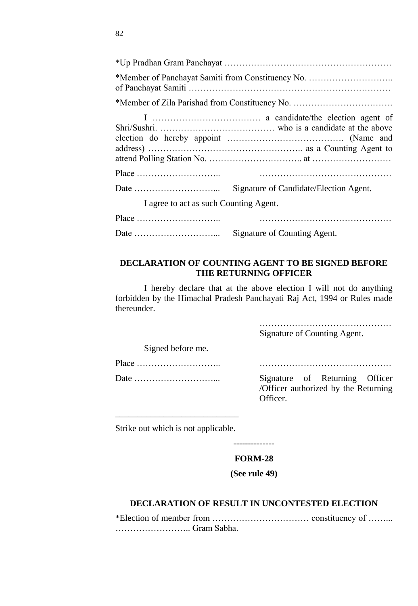| Signature of Candidate/Election Agent.<br>I agree to act as such Counting Agent. |
|----------------------------------------------------------------------------------|
|                                                                                  |
| Signature of Counting Agent.                                                     |

### **DECLARATION OF COUNTING AGENT TO BE SIGNED BEFORE THE RETURNING OFFICER**

I hereby declare that at the above election I will not do anything forbidden by the Himachal Pradesh Panchayati Raj Act, 1994 or Rules made thereunder.

> ……………………………………… Signature of Counting Agent.

Signed before me.

Place ……………………….. ………………………………………

Date ………………………... Signature of Returning Officer /Officer authorized by the Returning Officer.

\_\_\_\_\_\_\_\_\_\_\_\_\_\_\_\_\_\_\_\_\_\_\_\_\_\_\_\_ Strike out which is not applicable.

# --------------

# **FORM-28**

#### **(See rule 49)**

### **DECLARATION OF RESULT IN UNCONTESTED ELECTION**

\*Election of member from …………………………… constituency of ……... …………………….. Gram Sabha.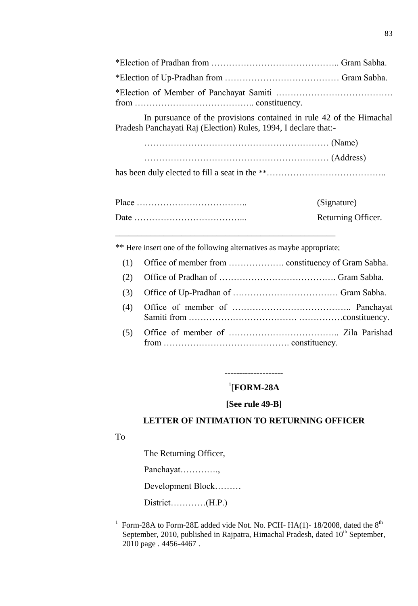In pursuance of the provisions contained in rule 42 of the Himachal Pradesh Panchayati Raj (Election) Rules, 1994, I declare that:-

has been duly elected to fill a seat in the \*\*…………………………………………………………………………………………

| (Signature)        |
|--------------------|
| Returning Officer. |

\_\_\_\_\_\_\_\_\_\_\_\_\_\_\_\_\_\_\_\_\_\_\_\_\_\_\_\_\_\_\_\_\_\_\_\_\_\_\_\_\_\_\_\_\_\_\_\_\_\_ \*\* Here insert one of the following alternatives as maybe appropriate;

(4) Office of member of ………………………………….. Panchayat Samiti from ………………………………. ……………constituency. (5) Office of member of ……………………………….. Zila Parishad

--------------------

from ……………………………………. constituency.

# 1 [**FORM-28A**

### **[See rule 49-B]**

### **LETTER OF INTIMATION TO RETURNING OFFICER**

To

l

The Returning Officer,

Panchayat………….,

Development Block………

District…………(H.P.)

<sup>1</sup> Form-28A to Form-28E added vide Not. No. PCH-  $HA(1)$ - 18/2008, dated the  $8<sup>th</sup>$ September, 2010, published in Rajpatra, Himachal Pradesh, dated  $10<sup>th</sup>$  September, 2010 page . 4456-4467 .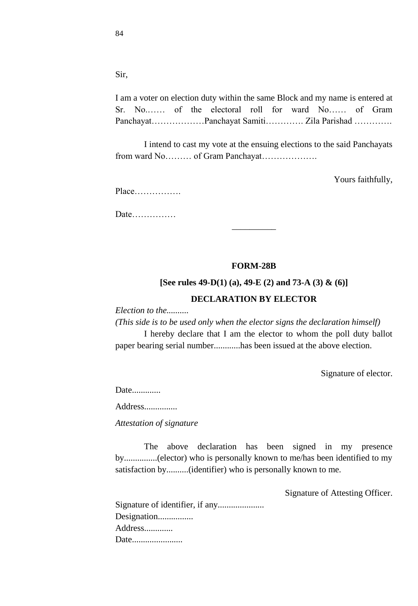Sir,

I am a voter on election duty within the same Block and my name is entered at Sr. No.…… of the electoral roll for ward No…… of Gram Panchayat………………Panchayat Samiti…………. Zila Parishad ………….

I intend to cast my vote at the ensuing elections to the said Panchayats from ward No……… of Gram Panchayat……………….

Yours faithfully,

Place…………….

Date……………

#### **FORM-28B**

\_\_\_\_\_\_\_\_\_\_

**[See rules 49-D(1) (a), 49-E (2) and 73-A (3) & (6)]**

### **DECLARATION BY ELECTOR**

*Election to the..........*

*(This side is to be used only when the elector signs the declaration himself)*

I hereby declare that I am the elector to whom the poll duty ballot paper bearing serial number............has been issued at the above election.

Signature of elector.

Date.............

Address...............

*Attestation of signature*

The above declaration has been signed in my presence by...............(elector) who is personally known to me/has been identified to my satisfaction by..........(identifier) who is personally known to me.

Signature of Attesting Officer.

| Designation |
|-------------|
| Address     |
| Date        |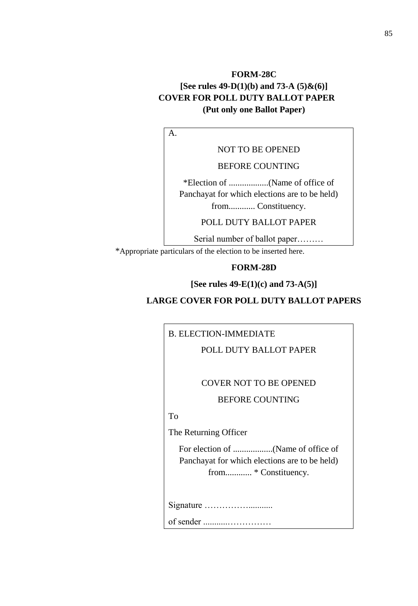# **FORM-28C [See rules 49-D(1)(b) and 73-A (5)&(6)] COVER FOR POLL DUTY BALLOT PAPER (Put only one Ballot Paper)**

A.

NOT TO BE OPENED

BEFORE COUNTING

\*Election of ..................(Name of office of Panchayat for which elections are to be held) from............ Constituency.

POLL DUTY BALLOT PAPER

Serial number of ballot paper……… \*Appropriate particulars of the election to be inserted here.

#### **FORM-28D**

**[See rules 49-E(1)(c) and 73-A(5)]**

# **LARGE COVER FOR POLL DUTY BALLOT PAPERS**

B. ELECTION-IMMEDIATE

POLL DUTY BALLOT PAPER

### COVER NOT TO BE OPENED

#### BEFORE COUNTING

To

The Returning Officer

For election of ..................(Name of office of Panchayat for which elections are to be held) from............ \* Constituency.

Signature ……………...........

of sender ...........……………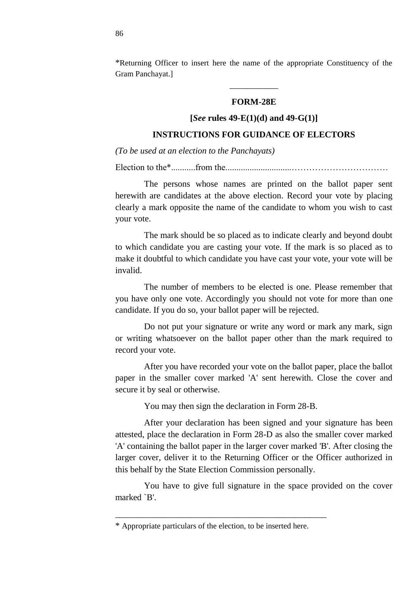\*Returning Officer to insert here the name of the appropriate Constituency of the Gram Panchayat.]

#### **FORM-28E**

\_\_\_\_\_\_\_\_\_\_\_

### **[***See* **rules 49-E(1)(d) and 49-G(1)]**

### **INSTRUCTIONS FOR GUIDANCE OF ELECTORS**

*(To be used at an election to the Panchayats)*

Election to the\*...........from the..............................……………………………

The persons whose names are printed on the ballot paper sent herewith are candidates at the above election. Record your vote by placing clearly a mark opposite the name of the candidate to whom you wish to cast your vote.

The mark should be so placed as to indicate clearly and beyond doubt to which candidate you are casting your vote. If the mark is so placed as to make it doubtful to which candidate you have cast your vote, your vote will be invalid.

The number of members to be elected is one. Please remember that you have only one vote. Accordingly you should not vote for more than one candidate. If you do so, your ballot paper will be rejected.

Do not put your signature or write any word or mark any mark, sign or writing whatsoever on the ballot paper other than the mark required to record your vote.

After you have recorded your vote on the ballot paper, place the ballot paper in the smaller cover marked 'A' sent herewith. Close the cover and secure it by seal or otherwise.

You may then sign the declaration in Form 28-B.

After your declaration has been signed and your signature has been attested, place the declaration in Form 28-D as also the smaller cover marked 'A' containing the ballot paper in the larger cover marked 'B'. After closing the larger cover, deliver it to the Returning Officer or the Officer authorized in this behalf by the State Election Commission personally.

You have to give full signature in the space provided on the cover marked `B'.

\_\_\_\_\_\_\_\_\_\_\_\_\_\_\_\_\_\_\_\_\_\_\_\_\_\_\_\_\_\_\_\_\_\_\_\_\_\_\_\_\_\_\_\_\_\_\_\_

<sup>\*</sup> Appropriate particulars of the election, to be inserted here.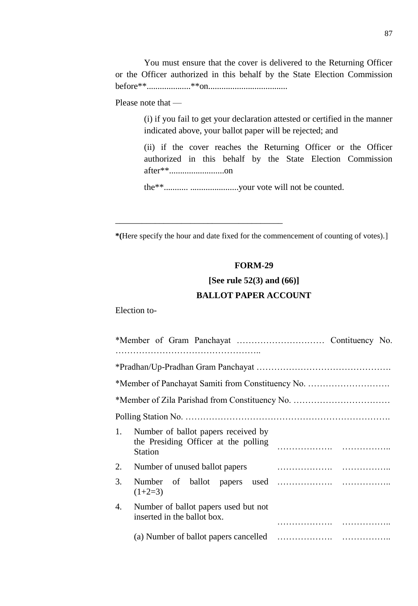You must ensure that the cover is delivered to the Returning Officer or the Officer authorized in this behalf by the State Election Commission before\*\*....................\*\*on....................................

Please note that —

(i) if you fail to get your declaration attested or certified in the manner indicated above, your ballot paper will be rejected; and

(ii) if the cover reaches the Returning Officer or the Officer authorized in this behalf by the State Election Commission after\*\*.........................on

the\*\*........... ......................your vote will not be counted.

\_\_\_\_\_\_\_\_\_\_\_\_\_\_\_\_\_\_\_\_\_\_\_\_\_\_\_\_\_\_\_\_\_\_\_\_\_\_

**\*(**Here specify the hour and date fixed for the commencement of counting of votes).]

## **FORM-29**

# **[See rule 52(3) and (66)] BALLOT PAPER ACCOUNT**

Election to-

| *Member of Panchayat Samiti from Constituency No.                                                   |  |  |  |  |  |  |
|-----------------------------------------------------------------------------------------------------|--|--|--|--|--|--|
|                                                                                                     |  |  |  |  |  |  |
|                                                                                                     |  |  |  |  |  |  |
| 1.<br>Number of ballot papers received by<br>the Presiding Officer at the polling<br><b>Station</b> |  |  |  |  |  |  |
| Number of unused ballot papers<br>2.                                                                |  |  |  |  |  |  |
| 3.<br>$(1+2=3)$                                                                                     |  |  |  |  |  |  |
| Number of ballot papers used but not<br>4.<br>inserted in the ballot box.                           |  |  |  |  |  |  |
|                                                                                                     |  |  |  |  |  |  |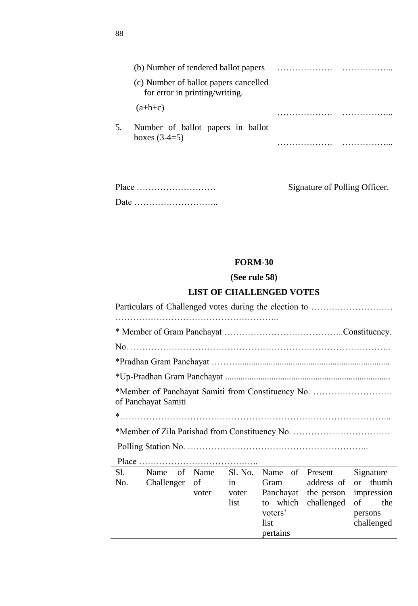|    | (b) Number of tendered ballot papers                                    |  |
|----|-------------------------------------------------------------------------|--|
|    | (c) Number of ballot papers cancelled<br>for error in printing/writing. |  |
|    | $(a+b+c)$                                                               |  |
| 5. | Number of ballot papers in ballot<br>boxes $(3-4=5)$                    |  |
|    |                                                                         |  |

| $Place \dots \dots \dots \dots \dots \dots \dots \dots \dots \dots$ |  |
|---------------------------------------------------------------------|--|
|                                                                     |  |

Signature of Polling Officer.

# **FORM-30**

# **(See rule 58)**

# **LIST OF CHALLENGED VOTES**

| Particulars of Challenged votes during the election to |       |       |                         |                      |                                |  |  |
|--------------------------------------------------------|-------|-------|-------------------------|----------------------|--------------------------------|--|--|
|                                                        |       |       |                         |                      |                                |  |  |
|                                                        |       |       |                         |                      |                                |  |  |
|                                                        |       |       |                         |                      |                                |  |  |
|                                                        |       |       |                         |                      |                                |  |  |
| of Panchayat Samiti                                    |       |       |                         |                      |                                |  |  |
|                                                        |       |       |                         |                      |                                |  |  |
|                                                        |       |       |                         |                      |                                |  |  |
| Sl. Name of Name Sl. No.<br>No.<br>Challenger          | of    | in    | Name of Present<br>Gram | address of           | Signature<br>thumb<br>$\alpha$ |  |  |
|                                                        | voter | voter |                         | Panchayat the person | impression                     |  |  |
|                                                        |       | list  |                         | to which challenged  | the<br>of                      |  |  |
|                                                        |       |       | voters'                 |                      | persons                        |  |  |
|                                                        |       |       | list<br>pertains        |                      | challenged                     |  |  |
|                                                        |       |       |                         |                      |                                |  |  |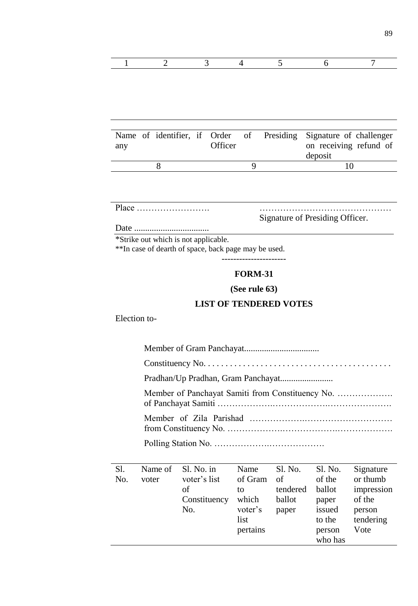|--|

| any |  | Officer |  | Name of identifier, if Order of Presiding Signature of challenger<br>on receiving refund of<br>deposit |
|-----|--|---------|--|--------------------------------------------------------------------------------------------------------|
|     |  |         |  |                                                                                                        |
|     |  |         |  |                                                                                                        |

Place ……………………. ………………………………………

Signature of Presiding Officer.

person who has Vote

Date ..................................

\*Strike out which is not applicable.

\*\*In case of dearth of space, back page may be used.

----------------------

# **FORM-31**

**(See rule 63)**

## **LIST OF TENDERED VOTES**

Election to-

| S1.<br>No. | Name of<br>voter | Sl. No. in<br>voter's list<br>οf<br>Constituency<br>No. | Name<br>of Gram<br>to<br>which<br>voter's<br>list | Sl. No.<br>of<br>tendered<br>ballot<br>paper | S1. No.<br>of the<br>ballot<br>paper<br>issued<br>to the | Signature<br>or thumb<br>impression<br>of the<br>person<br>tendering |  |
|------------|------------------|---------------------------------------------------------|---------------------------------------------------|----------------------------------------------|----------------------------------------------------------|----------------------------------------------------------------------|--|

pertains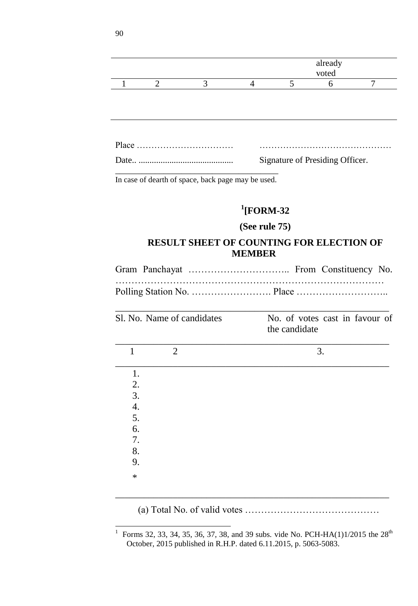|              |                            |                                                    |                                                 |               | already                         |                |
|--------------|----------------------------|----------------------------------------------------|-------------------------------------------------|---------------|---------------------------------|----------------|
|              |                            |                                                    |                                                 |               | voted                           |                |
| 1            | 2                          | 3                                                  | $\overline{4}$                                  | 5             | 6                               | $\overline{7}$ |
|              |                            |                                                    |                                                 |               |                                 |                |
|              |                            |                                                    |                                                 |               |                                 |                |
|              |                            |                                                    |                                                 |               | Signature of Presiding Officer. |                |
|              |                            | In case of dearth of space, back page may be used. |                                                 |               |                                 |                |
|              |                            |                                                    |                                                 |               |                                 |                |
|              |                            |                                                    | $\rm ^1$ [FORM-32                               |               |                                 |                |
|              |                            |                                                    | (See rule 75)                                   |               |                                 |                |
|              |                            |                                                    |                                                 |               |                                 |                |
|              |                            |                                                    | <b>RESULT SHEET OF COUNTING FOR ELECTION OF</b> |               |                                 |                |
|              |                            |                                                    | <b>MEMBER</b>                                   |               |                                 |                |
|              |                            |                                                    |                                                 |               |                                 |                |
|              |                            |                                                    |                                                 |               |                                 |                |
|              |                            |                                                    |                                                 |               |                                 |                |
|              |                            |                                                    |                                                 |               |                                 |                |
|              | Sl. No. Name of candidates |                                                    |                                                 |               | No. of votes cast in favour of  |                |
|              |                            |                                                    |                                                 | the candidate |                                 |                |
|              |                            |                                                    |                                                 |               |                                 |                |
| $\mathbf{1}$ | $\overline{2}$             |                                                    |                                                 |               | 3.                              |                |
| 1.           |                            |                                                    |                                                 |               |                                 |                |
| 2.           |                            |                                                    |                                                 |               |                                 |                |
| 3.           |                            |                                                    |                                                 |               |                                 |                |
| 4.           |                            |                                                    |                                                 |               |                                 |                |
| 5.           |                            |                                                    |                                                 |               |                                 |                |
| 6.           |                            |                                                    |                                                 |               |                                 |                |
| 7.           |                            |                                                    |                                                 |               |                                 |                |
| 8.           |                            |                                                    |                                                 |               |                                 |                |
| 9.<br>$\ast$ |                            |                                                    |                                                 |               |                                 |                |

(a) Total No. of valid votes ……………………………………

<sup>|&</sup>lt;br>|<br>| Forms 32, 33, 34, 35, 36, 37, 38, and 39 subs. vide No. PCH-HA(1)1/2015 the  $28<sup>th</sup>$ October, 2015 published in R.H.P. dated 6.11.2015, p. 5063-5083.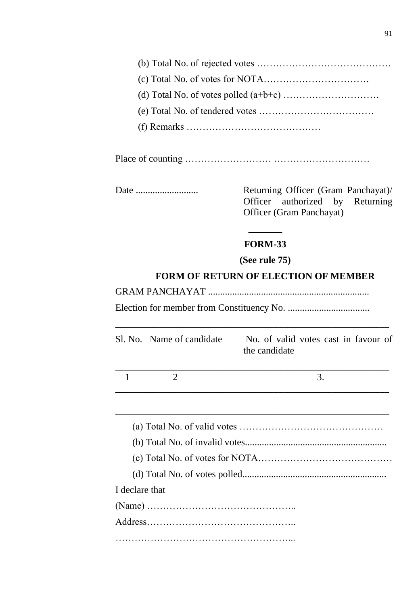Place of counting ……………………… …………………………

Date .......................... Returning Officer (Gram Panchayat)/ Officer authorized by Returning Officer (Gram Panchayat)

# **FORM-33**

**(See rule 75)**

# **FORM OF RETURN OF ELECTION OF MEMBER**

GRAM PANCHAYAT ...................................................................

Election for member from Constituency No. ..................................

\_\_\_\_\_\_\_\_\_\_\_\_\_\_\_\_\_\_\_\_\_\_\_\_\_\_\_\_\_\_\_\_\_\_\_\_\_\_\_\_\_\_\_\_\_\_\_\_\_\_\_\_\_\_\_\_\_

|                | Sl. No. Name of candidate | No. of valid votes cast in favour of<br>the candidate |
|----------------|---------------------------|-------------------------------------------------------|
| 1              | 2                         | 3.                                                    |
|                |                           |                                                       |
|                |                           |                                                       |
|                |                           |                                                       |
|                |                           |                                                       |
|                |                           |                                                       |
| I declare that |                           |                                                       |
|                |                           |                                                       |
|                |                           |                                                       |
|                |                           |                                                       |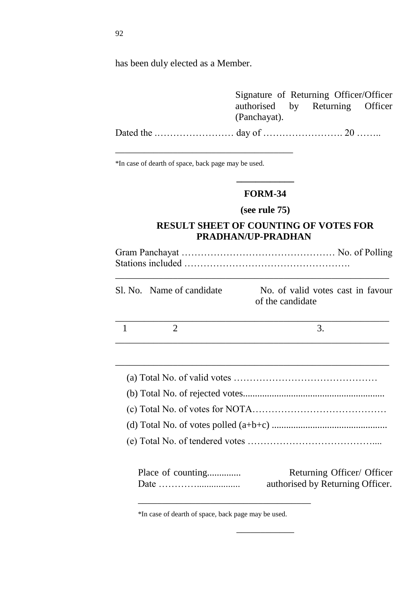has been duly elected as a Member.

|              | Signature of Returning Officer/Officer |
|--------------|----------------------------------------|
| (Panchayat). | authorised by Returning Officer        |
|              |                                        |

\*In case of dearth of space, back page may be used.

\_\_\_\_\_\_\_\_\_\_\_\_\_\_\_\_\_\_\_\_\_\_\_\_\_\_\_\_\_\_\_\_\_\_\_\_\_

### **FORM-34**

**\_\_\_\_\_\_\_\_\_\_\_\_**

# **(see rule 75)**

# **RESULT SHEET OF COUNTING OF VOTES FOR PRADHAN/UP-PRADHAN**

Gram Panchayat ………………………………………… No. of Polling Stations included ……………………………………………. \_\_\_\_\_\_\_\_\_\_\_\_\_\_\_\_\_\_\_\_\_\_\_\_\_\_\_\_\_\_\_\_\_\_\_\_\_\_\_\_\_\_\_\_\_\_\_\_\_\_\_\_\_\_\_\_\_

| Sl. No. Name of candidate | No. of valid votes cast in favour |
|---------------------------|-----------------------------------|
|                           | of the candidate                  |

\_\_\_\_\_\_\_\_\_\_\_\_\_\_\_\_\_\_\_\_\_\_\_\_\_\_\_\_\_\_\_\_\_\_\_\_\_\_\_\_\_\_\_\_\_\_\_\_\_\_\_\_\_\_\_\_\_

| Place of counting                                              | Returning Officer/ Officer       |
|----------------------------------------------------------------|----------------------------------|
| Date $\dots\dots\dots\dots\dots\dots\dots\dots\dots\dots\dots$ | authorised by Returning Officer. |

\_\_\_\_\_\_\_\_\_\_\_\_

\*In case of dearth of space, back page may be used.

\_\_\_\_\_\_\_\_\_\_\_\_\_\_\_\_\_\_\_\_\_\_\_\_\_\_\_\_\_\_\_\_\_\_\_\_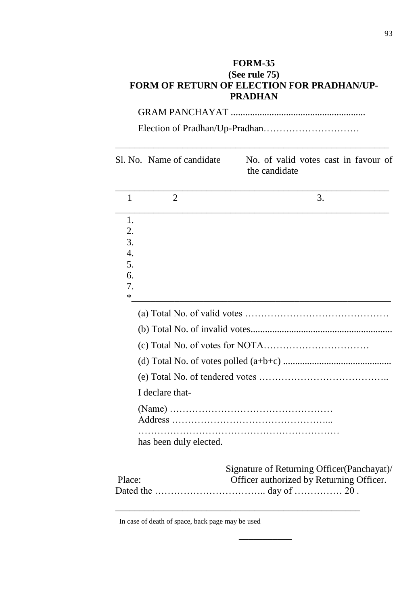# **FORM-35 (See rule 75) FORM OF RETURN OF ELECTION FOR PRADHAN/UP-PRADHAN**

GRAM PANCHAYAT ........................................................

Election of Pradhan/Up-Pradhan…………………………

\_\_\_\_\_\_\_\_\_\_\_\_\_\_\_\_\_\_\_\_\_\_\_\_\_\_\_\_\_\_\_\_\_\_\_\_\_\_\_\_\_\_\_\_\_\_\_\_\_\_\_\_\_\_\_\_\_

|                  | Sl. No. Name of candidate | No. of valid votes cast in favour of<br>the candidate |
|------------------|---------------------------|-------------------------------------------------------|
| 1                | $\overline{2}$            | 3.                                                    |
| 1.               |                           |                                                       |
| 2.<br>3.         |                           |                                                       |
| $\overline{4}$ . |                           |                                                       |
| 5.               |                           |                                                       |
| 6.               |                           |                                                       |
| 7.<br>*          |                           |                                                       |
|                  |                           |                                                       |
|                  |                           |                                                       |
|                  |                           |                                                       |
|                  |                           |                                                       |
|                  |                           |                                                       |
|                  | I declare that-           |                                                       |
|                  |                           |                                                       |
|                  |                           |                                                       |
|                  | has been duly elected.    |                                                       |
|                  |                           | Signature of Returning Officer (Panchayat)/           |
| Place:           |                           | Officer authorized by Returning Officer.              |
|                  |                           |                                                       |

 $\overline{\phantom{a}}$ 

In case of death of space, back page may be used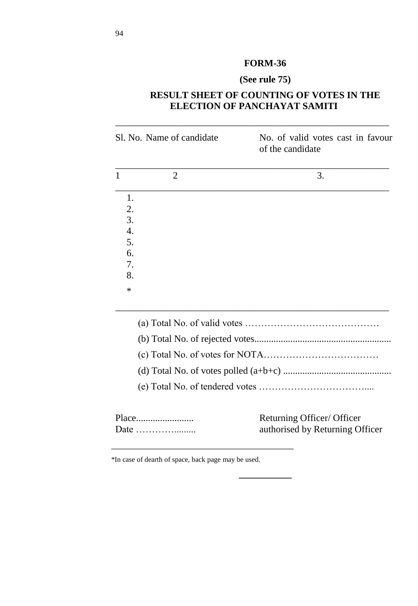# **FORM-36**

# **(See rule 75)**

# **RESULT SHEET OF COUNTING OF VOTES IN THE ELECTION OF PANCHAYAT SAMITI**

| Sl. No. Name of candidate |                | No. of valid votes cast in favour<br>of the candidate |  |  |
|---------------------------|----------------|-------------------------------------------------------|--|--|
|                           | $\overline{2}$ | 3.                                                    |  |  |
| 1.                        |                |                                                       |  |  |
| 2.                        |                |                                                       |  |  |
| 3.                        |                |                                                       |  |  |
| $\overline{4}$ .          |                |                                                       |  |  |
| 5.                        |                |                                                       |  |  |
| 6.                        |                |                                                       |  |  |
| 7.                        |                |                                                       |  |  |
| 8.                        |                |                                                       |  |  |
| $\ast$                    |                |                                                       |  |  |

| Returning Officer/ Officer |
|----------------------------|

**\_\_\_\_\_\_\_\_\_\_\_**

Date …………......... authorised by Returning Officer

\*In case of dearth of space, back page may be used.

\_\_\_\_\_\_\_\_\_\_\_\_\_\_\_\_\_\_\_\_\_\_\_\_\_\_\_\_\_\_\_\_\_\_\_\_\_\_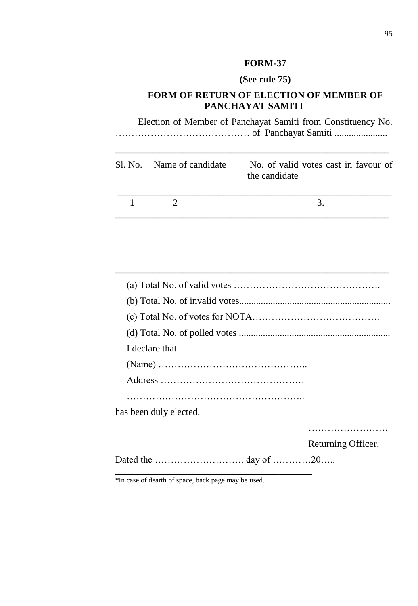# **FORM-37**

# **(See rule 75)**

# **FORM OF RETURN OF ELECTION OF MEMBER OF PANCHAYAT SAMITI**

Election of Member of Panchayat Samiti from Constituency No. …………………………………… of Panchayat Samiti ......................

\_\_\_\_\_\_\_\_\_\_\_\_\_\_\_\_\_\_\_\_\_\_\_\_\_\_\_\_\_\_\_\_\_\_\_\_\_\_\_\_\_\_\_\_\_\_\_\_\_\_\_\_\_\_\_\_\_

| Sl. No. Name of candidate | No. of valid votes cast in favour of<br>the candidate |
|---------------------------|-------------------------------------------------------|
|                           |                                                       |

\_\_\_\_\_\_\_\_\_\_\_\_\_\_\_\_\_\_\_\_\_\_\_\_\_\_\_\_\_\_\_\_\_\_\_\_\_\_\_\_\_\_\_\_\_\_\_\_\_\_\_\_\_\_\_\_\_

| I declare that—        |                    |
|------------------------|--------------------|
|                        |                    |
|                        |                    |
|                        |                    |
| has been duly elected. |                    |
|                        |                    |
|                        | Returning Officer. |
|                        |                    |

\*In case of dearth of space, back page may be used.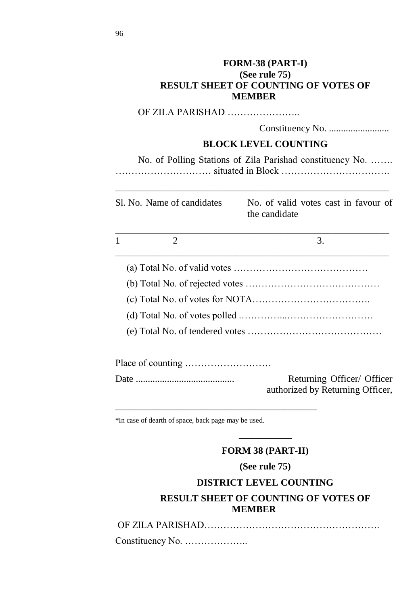|                                                     | FORM-38 (PART-I)<br>(See rule 75)<br><b>RESULT SHEET OF COUNTING OF VOTES OF</b><br><b>MEMBER</b> |
|-----------------------------------------------------|---------------------------------------------------------------------------------------------------|
|                                                     | OF ZILA PARISHAD                                                                                  |
|                                                     |                                                                                                   |
|                                                     | <b>BLOCK LEVEL COUNTING</b>                                                                       |
|                                                     | No. of Polling Stations of Zila Parishad constituency No.                                         |
| Sl. No. Name of candidates                          | No. of valid votes cast in favour of<br>the candidate                                             |
| $\overline{2}$<br>1                                 | 3.                                                                                                |
|                                                     |                                                                                                   |
|                                                     |                                                                                                   |
|                                                     |                                                                                                   |
|                                                     |                                                                                                   |
|                                                     |                                                                                                   |
|                                                     |                                                                                                   |
|                                                     | Returning Officer/ Officer<br>authorized by Returning Officer,                                    |
| *In case of dearth of space, back page may be used. |                                                                                                   |

# **FORM 38 (PART-II)**

 $\overline{\phantom{a}}$ 

# **(See rule 75)**

# **DISTRICT LEVEL COUNTING RESULT SHEET OF COUNTING OF VOTES OF MEMBER**

OF ZlLA PARISHAD……………………………………………….

Constituency No. ………………..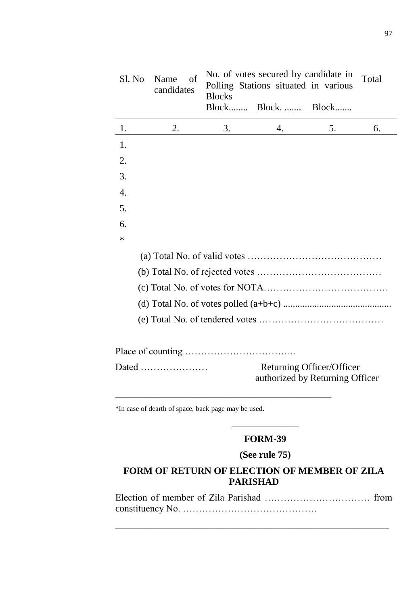| Sl. No | Name<br>οf<br>candidates | <b>Blocks</b> | No. of votes secured by candidate in<br>Polling Stations situated in various<br>Block Block Block |                           | Total |
|--------|--------------------------|---------------|---------------------------------------------------------------------------------------------------|---------------------------|-------|
| 1.     | 2.                       | 3.            | 4.                                                                                                | 5.                        | 6.    |
| 1.     |                          |               |                                                                                                   |                           |       |
| 2.     |                          |               |                                                                                                   |                           |       |
| 3.     |                          |               |                                                                                                   |                           |       |
| 4.     |                          |               |                                                                                                   |                           |       |
| 5.     |                          |               |                                                                                                   |                           |       |
| 6.     |                          |               |                                                                                                   |                           |       |
| ∗      |                          |               |                                                                                                   |                           |       |
|        |                          |               |                                                                                                   |                           |       |
|        |                          |               |                                                                                                   |                           |       |
|        |                          |               |                                                                                                   |                           |       |
|        |                          |               |                                                                                                   |                           |       |
|        |                          |               |                                                                                                   |                           |       |
|        |                          |               |                                                                                                   |                           |       |
|        | Dated                    |               | authorized by Returning Officer                                                                   | Returning Officer/Officer |       |

\*In case of dearth of space, back page may be used.

# \_\_\_\_\_\_\_\_\_\_\_\_\_\_ **FORM-39**

# **(See rule 75)**

# **FORM OF RETURN OF ELECTION OF MEMBER OF ZILA PARISHAD**

Election of member of Zila Parishad …………………………… from constituency No. ……………………………………

\_\_\_\_\_\_\_\_\_\_\_\_\_\_\_\_\_\_\_\_\_\_\_\_\_\_\_\_\_\_\_\_\_\_\_\_\_\_\_\_\_\_\_\_\_\_\_\_\_\_\_\_\_\_\_\_\_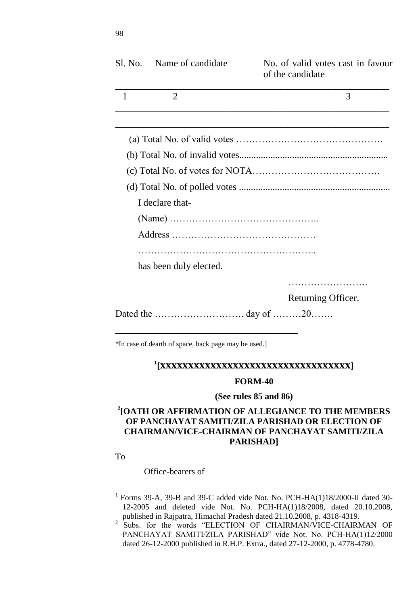| Sl. No.      | Name of candidate                                   | No. of valid votes cast in favour<br>of the candidate |
|--------------|-----------------------------------------------------|-------------------------------------------------------|
| $\mathbf{1}$ | $\overline{2}$                                      | 3                                                     |
|              |                                                     |                                                       |
|              |                                                     |                                                       |
|              |                                                     |                                                       |
|              |                                                     |                                                       |
|              |                                                     |                                                       |
|              | I declare that-                                     |                                                       |
|              |                                                     |                                                       |
|              |                                                     |                                                       |
|              |                                                     |                                                       |
|              | has been duly elected.                              |                                                       |
|              |                                                     |                                                       |
|              |                                                     | Returning Officer.                                    |
|              |                                                     |                                                       |
|              | *In case of dearth of space, back page may be used. |                                                       |

# **1 [xxxxxxxxxxxxxxxxxxxxxxxxxxxxxxxxxx]**

#### **FORM-40**

#### **(See rules 85 and 86)**

# **2 [OATH OR AFFIRMATION OF ALLEGIANCE TO THE MEMBERS OF PANCHAYAT SAMITI/ZILA PARISHAD OR ELECTION OF CHAIRMAN/VICE-CHAIRMAN OF PANCHAYAT SAMITI/ZILA PARISHAD]**

To

 $\overline{a}$ 

Office-bearers of

<sup>&</sup>lt;sup>1</sup> Forms 39-A, 39-B and 39-C added vide Not. No. PCH-HA(1)18/2000-II dated 30-12-2005 and deleted vide Not. No. PCH-HA(1)18/2008, dated 20.10.2008,

published in Rajpatra, Himachal Pradesh dated 21.10.2008, p. 4318-4319.<br><sup>2</sup> Subs. for the words "ELECTION OF CHAIRMAN/VICE-CHAIRMAN OF PANCHAYAT SAMITI/ZILA PARISHAD" vide Not. No. PCH-HA(1)12/2000 dated 26-12-2000 published in R.H.P. Extra., dated 27-12-2000, p. 4778-4780.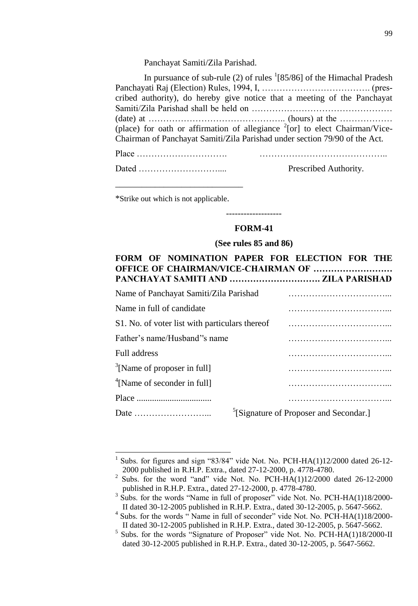Panchayat Samiti/Zila Parishad.

| cribed authority), do hereby give notice that a meeting of the Panchayat<br>(place) for oath or affirmation of allegiance $^{2}$ [or] to elect Chairman/Vice-<br>Chairman of Panchayat Samiti/Zila Parishad under section 79/90 of the Act. | In pursuance of sub-rule (2) of rules $(2)$ of the Himachal Pradesh |
|---------------------------------------------------------------------------------------------------------------------------------------------------------------------------------------------------------------------------------------------|---------------------------------------------------------------------|
|                                                                                                                                                                                                                                             |                                                                     |
|                                                                                                                                                                                                                                             |                                                                     |
|                                                                                                                                                                                                                                             |                                                                     |
|                                                                                                                                                                                                                                             |                                                                     |
|                                                                                                                                                                                                                                             |                                                                     |
|                                                                                                                                                                                                                                             |                                                                     |

| $Place \dots \dots \dots \dots \dots \dots \dots \dots \dots \dots$ |  |
|---------------------------------------------------------------------|--|
|                                                                     |  |

| Prescribed Authority. |
|-----------------------|
|                       |

\*Strike out which is not applicable.

 $\overline{a}$ 

\_\_\_\_\_\_\_\_\_\_\_\_\_\_\_\_\_\_\_\_\_\_\_\_\_\_\_\_\_

### **FORM-41**

-------------------

**(See rules 85 and 86)**

### **FORM OF NOMINATION PAPER FOR ELECTION FOR THE OFFICE OF CHAIRMAN/VICE-CHAIRMAN OF ……………………… PANCHAYAT SAMITI AND …………………………. ZILA PARISHAD**

| Name of Panchayat Samiti/Zila Parishad         |                                                    |
|------------------------------------------------|----------------------------------------------------|
| Name in full of candidate.                     |                                                    |
| S1. No. of voter list with particulars thereof |                                                    |
| Father's name/Husband''s name                  |                                                    |
| Full address                                   |                                                    |
| $\frac{3}{2}$ [Name of proposer in full]       |                                                    |
| $\rm{^{4}Name}$ of seconder in full]           |                                                    |
|                                                |                                                    |
|                                                | <sup>5</sup> [Signature of Proposer and Secondar.] |

<sup>1</sup> Subs. for figures and sign "83/84" vide Not. No. PCH-HA(1)12/2000 dated 26-12-2000 published in R.H.P. Extra., dated 27-12-2000, p. 4778-4780.

<sup>2</sup> Subs. for the word "and" vide Not. No. PCH-HA(1)12/2000 dated  $26-12-2000$ published in R.H.P. Extra., dated 27-12-2000, p. 4778-4780.

 $3\text{ Subs.}$  for the words "Name in full of proposer" vide Not. No. PCH-HA(1)18/2000-II dated 30-12-2005 published in R.H.P. Extra., dated 30-12-2005, p. 5647-5662.

<sup>&</sup>lt;sup>4</sup> Subs. for the words "Name in full of seconder" vide Not. No. PCH-HA(1)18/2000-II dated 30-12-2005 published in R.H.P. Extra., dated 30-12-2005, p. 5647-5662.

 $<sup>5</sup>$  Subs. for the words "Signature of Proposer" vide Not. No. PCH-HA(1)18/2000-II</sup> dated 30-12-2005 published in R.H.P. Extra., dated 30-12-2005, p. 5647-5662.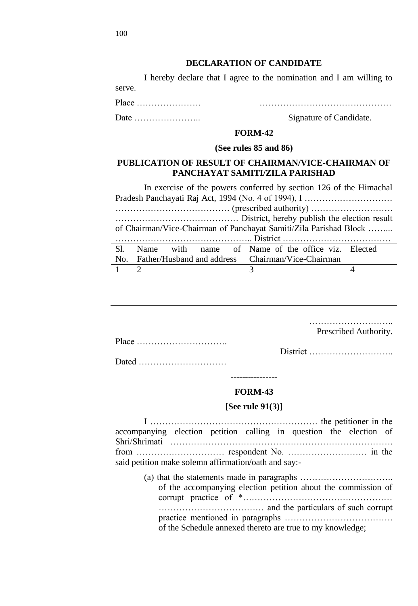#### **DECLARATION OF CANDIDATE**

I hereby declare that I agree to the nomination and I am willing to serve.

Place …………………. ………………………………………

Date ………………….. Signature of Candidate.

#### **FORM-42**

#### **(See rules 85 and 86)**

### **PUBLICATION OF RESULT OF CHAIRMAN/VICE-CHAIRMAN OF PANCHAYAT SAMITI/ZILA PARISHAD**

In exercise of the powers conferred by section 126 of the Himachal Pradesh Panchayati Raj Act, 1994 (No. 4 of 1994), I ………………………… ………………………………… (prescribed authority) ………………………. …………………………………… District, hereby publish the election result of Chairman/Vice-Chairman of Panchayat Samiti/Zila Parishad Block ……... ……………………………………….. District ………………………………. Sl. No. Name with name Father/Husband and address Name of the office viz. Elected Chairman/Vice-Chairman  $1 \quad 2 \quad 3 \quad 4$ 

………………………..

Prescribed Authority.

District ………………………..

Dated …………………………

Place ………………………….

# ---------------- **FORM-43**

#### **[See rule 91(3)]**

| accompanying election petition calling in question the election of |  |  |  |  |
|--------------------------------------------------------------------|--|--|--|--|
|                                                                    |  |  |  |  |
|                                                                    |  |  |  |  |
| said petition make solemn affirmation/oath and say:-               |  |  |  |  |

| of the accompanying election petition about the commission of |
|---------------------------------------------------------------|
|                                                               |
|                                                               |
|                                                               |
| of the Schedule annexed thereto are true to my knowledge;     |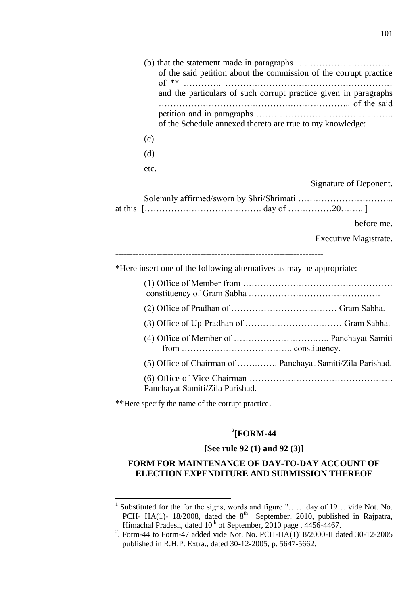|      | of the said petition about the commission of the corrupt practice<br>and the particulars of such corrupt practice given in paragraphs |
|------|---------------------------------------------------------------------------------------------------------------------------------------|
|      | of the Schedule annexed thereto are true to my knowledge:                                                                             |
| (c)  |                                                                                                                                       |
| (d)  |                                                                                                                                       |
| etc. |                                                                                                                                       |
|      | Signature of Deponent.                                                                                                                |
|      |                                                                                                                                       |
|      | before me.                                                                                                                            |
|      | Executive Magistrate.                                                                                                                 |
|      | *Here insert one of the following alternatives as may be appropriate:-                                                                |
|      |                                                                                                                                       |
|      |                                                                                                                                       |
|      |                                                                                                                                       |
|      |                                                                                                                                       |
|      | (5) Office of Chairman of  Panchayat Samiti/Zila Parishad.                                                                            |
|      | Panchayat Samiti/Zila Parishad.                                                                                                       |
|      |                                                                                                                                       |

\*\*Here specify the name of the corrupt practice.

# **2 [FORM-44**

---------------

#### **[See rule 92 (1) and 92 (3)]**

### **FORM FOR MAINTENANCE OF DAY-TO-DAY ACCOUNT OF ELECTION EXPENDITURE AND SUBMISSION THEREOF**

 1 Substituted for the for the signs, words and figure "…….day of 19… vide Not. No. PCH- HA(1)- 18/2008, dated the 8<sup>th</sup> September, 2010, published in Rajpatra, Himachal Pradesh, dated 10<sup>th</sup> of September, 2010 page . 4456-4467.

<sup>2</sup> . Form-44 to Form-47 added vide Not. No. PCH-HA(1)18/2000-II dated 30-12-2005 published in R.H.P. Extra., dated 30-12-2005, p. 5647-5662.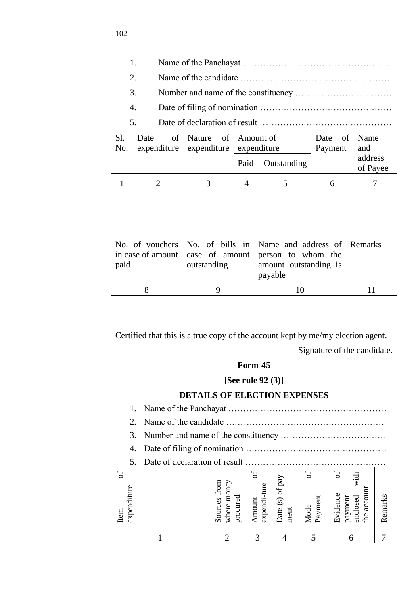| 1.                                                                                                  |   |                                                                  |      |                                                                                       |   |                     |  |  |  |
|-----------------------------------------------------------------------------------------------------|---|------------------------------------------------------------------|------|---------------------------------------------------------------------------------------|---|---------------------|--|--|--|
| $\overline{2}$ .                                                                                    |   |                                                                  |      |                                                                                       |   |                     |  |  |  |
| 3.                                                                                                  |   |                                                                  |      |                                                                                       |   |                     |  |  |  |
| 4.                                                                                                  |   |                                                                  |      |                                                                                       |   |                     |  |  |  |
| 5.                                                                                                  |   |                                                                  |      |                                                                                       |   |                     |  |  |  |
| S1.<br>of Nature of Amount of<br>Date<br>Date<br>No.<br>expenditure expenditure expenditure Payment |   |                                                                  |      |                                                                                       |   | Name<br>and         |  |  |  |
|                                                                                                     |   |                                                                  | Paid | Outstanding                                                                           |   | address<br>of Payee |  |  |  |
|                                                                                                     |   |                                                                  |      |                                                                                       |   |                     |  |  |  |
|                                                                                                     | 2 | 3                                                                | 4    | 5                                                                                     | 6 | 7                   |  |  |  |
| in case of amount<br>paid                                                                           |   | No. of vouchers No. of bills in<br>case of amount<br>outstanding |      | Name and address of Remarks<br>person to whom the<br>amount outstanding is<br>payable |   |                     |  |  |  |

Certified that this is a true copy of the account kept by me/my election agent.

Signature of the candidate.

### **Form-45**

### **[See rule 92 (3)]**

### **DETAILS OF ELECTION EXPENSES**

1. Name of the Panchayat ……………………………………………… 2. Name of the candidate ………………………………………………

- 3. Number and name of the constituency ………………………………
- 4. Date of filing of nomination …………………………………………
- 5. Date of declaration of result …………………………………………

| $\sigma$<br>expenditure<br>Item | where money<br>Sources from<br>procured | ď<br>expendi-ture<br>Amount | pay<br>Date (s) of<br>ment | ð<br>Payment<br>Mode | ď<br>with<br>account<br>Evidence<br>payment<br>enclosed<br>$\mathbf{f}$ | Remarks |
|---------------------------------|-----------------------------------------|-----------------------------|----------------------------|----------------------|-------------------------------------------------------------------------|---------|
|                                 |                                         | ⌒                           |                            |                      |                                                                         |         |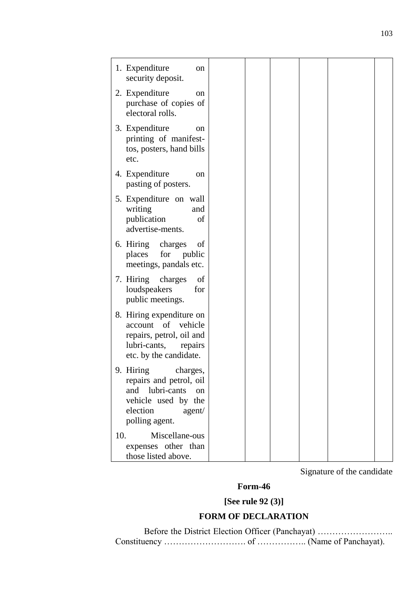| 1. Expenditure<br>on                                                                                                                        |  |  |  |
|---------------------------------------------------------------------------------------------------------------------------------------------|--|--|--|
| security deposit.                                                                                                                           |  |  |  |
| 2. Expenditure<br><sub>on</sub><br>purchase of copies of<br>electoral rolls.                                                                |  |  |  |
| 3. Expenditure<br>on<br>printing of manifest-<br>tos, posters, hand bills<br>etc.                                                           |  |  |  |
| 4. Expenditure<br>on<br>pasting of posters.                                                                                                 |  |  |  |
| 5. Expenditure on wall<br>writing<br>and<br>publication<br>οf<br>advertise-ments.                                                           |  |  |  |
| 6. Hiring<br>charges<br>οf<br>for<br>places<br>public<br>meetings, pandals etc.                                                             |  |  |  |
| charges<br>of<br>7. Hiring<br>loudspeakers<br>for<br>public meetings.                                                                       |  |  |  |
| 8. Hiring expenditure on<br>of<br>account<br>vehicle<br>repairs, petrol, oil and<br>lubri-cants,<br>repairs<br>etc. by the candidate.       |  |  |  |
| 9. Hiring<br>charges,<br>repairs and petrol, oil<br>lubri-cants<br>and<br>on<br>vehicle used by the<br>election<br>agent/<br>polling agent. |  |  |  |
| 10.<br>Miscellane-ous<br>expenses other than<br>those listed above.                                                                         |  |  |  |

Signature of the candidate

# **Form-46**

**[See rule 92 (3)]**

# **FORM OF DECLARATION**

Before the District Election Officer (Panchayat) …………………….. Constituency ………………………. of …………….. (Name of Panchayat).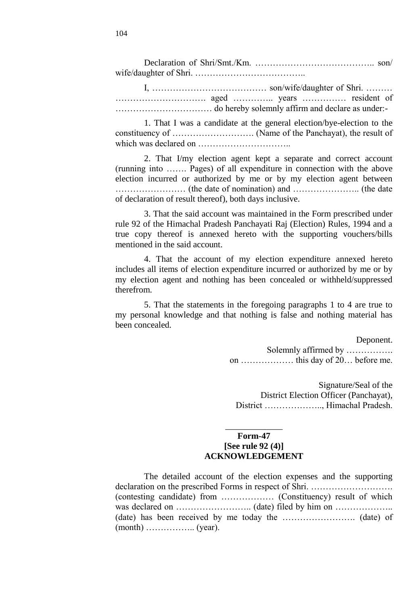Declaration of Shri/Smt./Km. ………………………………….. son/ wife/daughter of Shri. ………………………………..

I, ………………………………… son/wife/daughter of Shri. ……… …………………………. aged ………….. years …………… resident of …………………………… do hereby solemnly affirm and declare as under:-

1. That I was a candidate at the general election/bye-election to the constituency of ………………………. (Name of the Panchayat), the result of which was declared on …………………………..

2. That I/my election agent kept a separate and correct account (running into ……. Pages) of all expenditure in connection with the above election incurred or authorized by me or by my election agent between …………………… (the date of nomination) and ………………….. (the date of declaration of result thereof), both days inclusive.

3. That the said account was maintained in the Form prescribed under rule 92 of the Himachal Pradesh Panchayati Raj (Election) Rules, 1994 and a true copy thereof is annexed hereto with the supporting vouchers/bills mentioned in the said account.

4. That the account of my election expenditure annexed hereto includes all items of election expenditure incurred or authorized by me or by my election agent and nothing has been concealed or withheld/suppressed therefrom.

5. That the statements in the foregoing paragraphs 1 to 4 are true to my personal knowledge and that nothing is false and nothing material has been concealed.

#### Deponent.

Solemnly affirmed by ……………. on ……………… this day of 20… before me.

Signature/Seal of the District Election Officer (Panchayat), District ……………….., Himachal Pradesh.

### **Form-47 [See rule 92 (4)] ACKNOWLEDGEMENT**

\_\_\_\_\_\_\_\_\_\_\_\_\_

| The detailed account of the election expenses and the supporting |  |  |
|------------------------------------------------------------------|--|--|
|                                                                  |  |  |
|                                                                  |  |  |
|                                                                  |  |  |
|                                                                  |  |  |
|                                                                  |  |  |